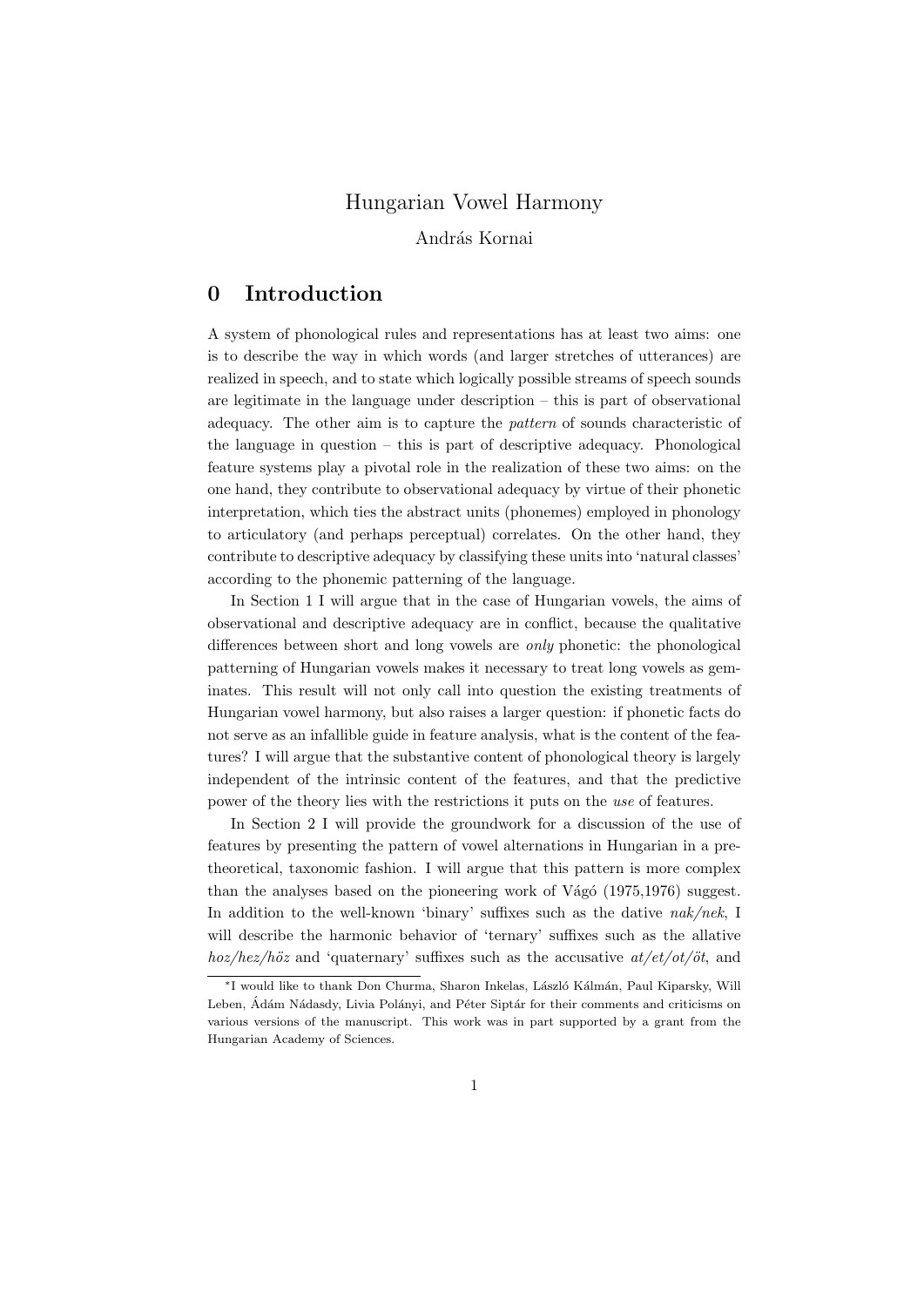# Hungarian Vowel Harmony

András Kornai

# 0 Introduction

A system of phonological rules and representations has at least two aims: one is to describe the way in which words (and larger stretches of utterances) are realized in speech, and to state which logically possible streams of speech sounds are legitimate in the language under description – this is part of observational adequacy. The other aim is to capture the pattern of sounds characteristic of the language in question – this is part of descriptive adequacy. Phonological feature systems play a pivotal role in the realization of these two aims: on the one hand, they contribute to observational adequacy by virtue of their phonetic interpretation, which ties the abstract units (phonemes) employed in phonology to articulatory (and perhaps perceptual) correlates. On the other hand, they contribute to descriptive adequacy by classifying these units into 'natural classes' according to the phonemic patterning of the language.

In Section 1 I will argue that in the case of Hungarian vowels, the aims of observational and descriptive adequacy are in conflict, because the qualitative differences between short and long vowels are only phonetic: the phonological patterning of Hungarian vowels makes it necessary to treat long vowels as geminates. This result will not only call into question the existing treatments of Hungarian vowel harmony, but also raises a larger question: if phonetic facts do not serve as an infallible guide in feature analysis, what is the content of the features? I will argue that the substantive content of phonological theory is largely independent of the intrinsic content of the features, and that the predictive power of the theory lies with the restrictions it puts on the use of features.

In Section 2 I will provide the groundwork for a discussion of the use of features by presenting the pattern of vowel alternations in Hungarian in a pretheoretical, taxonomic fashion. I will argue that this pattern is more complex than the analyses based on the pioneering work of Vágó  $(1975,1976)$  suggest. In addition to the well-known 'binary' suffixes such as the dative nak/nek, I will describe the harmonic behavior of 'ternary' suffixes such as the allative  $hoz/hez/h\ddot{o}z$  and 'quaternary' suffixes such as the accusative  $at/et/ot/\ddot{o}t$ , and

<sup>∗</sup>I would like to thank Don Churma, Sharon Inkelas, L´aszl´o K´alm´an, Paul Kiparsky, Will Leben, Ádám Nádasdy, Livia Polányi, and Péter Siptár for their comments and criticisms on various versions of the manuscript. This work was in part supported by a grant from the Hungarian Academy of Sciences.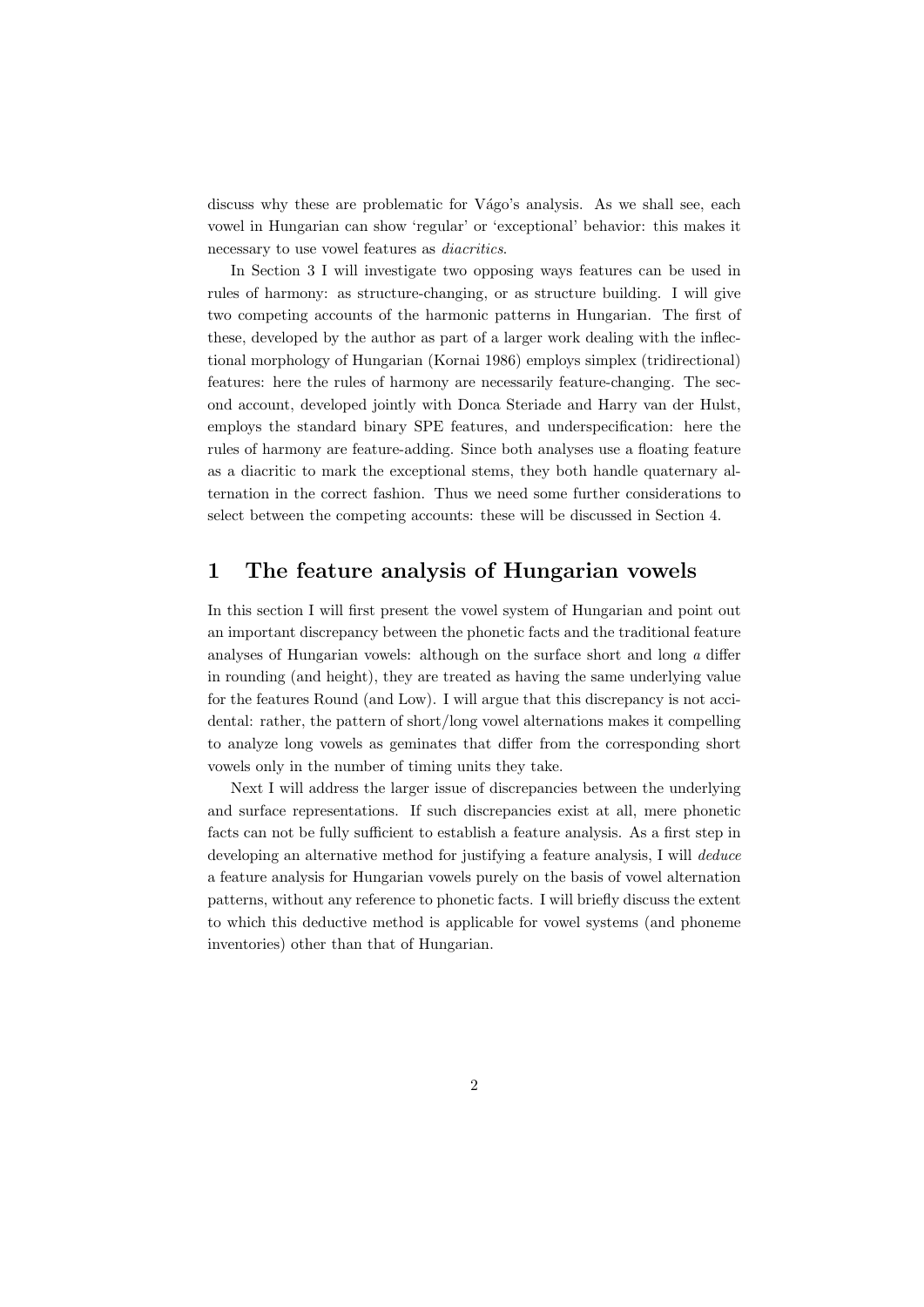discuss why these are problematic for Vágo's analysis. As we shall see, each vowel in Hungarian can show 'regular' or 'exceptional' behavior: this makes it necessary to use vowel features as diacritics.

In Section 3 I will investigate two opposing ways features can be used in rules of harmony: as structure-changing, or as structure building. I will give two competing accounts of the harmonic patterns in Hungarian. The first of these, developed by the author as part of a larger work dealing with the inflectional morphology of Hungarian (Kornai 1986) employs simplex (tridirectional) features: here the rules of harmony are necessarily feature-changing. The second account, developed jointly with Donca Steriade and Harry van der Hulst, employs the standard binary SPE features, and underspecification: here the rules of harmony are feature-adding. Since both analyses use a floating feature as a diacritic to mark the exceptional stems, they both handle quaternary alternation in the correct fashion. Thus we need some further considerations to select between the competing accounts: these will be discussed in Section 4.

# 1 The feature analysis of Hungarian vowels

In this section I will first present the vowel system of Hungarian and point out an important discrepancy between the phonetic facts and the traditional feature analyses of Hungarian vowels: although on the surface short and long a differ in rounding (and height), they are treated as having the same underlying value for the features Round (and Low). I will argue that this discrepancy is not accidental: rather, the pattern of short/long vowel alternations makes it compelling to analyze long vowels as geminates that differ from the corresponding short vowels only in the number of timing units they take.

Next I will address the larger issue of discrepancies between the underlying and surface representations. If such discrepancies exist at all, mere phonetic facts can not be fully sufficient to establish a feature analysis. As a first step in developing an alternative method for justifying a feature analysis, I will *deduce* a feature analysis for Hungarian vowels purely on the basis of vowel alternation patterns, without any reference to phonetic facts. I will briefly discuss the extent to which this deductive method is applicable for vowel systems (and phoneme inventories) other than that of Hungarian.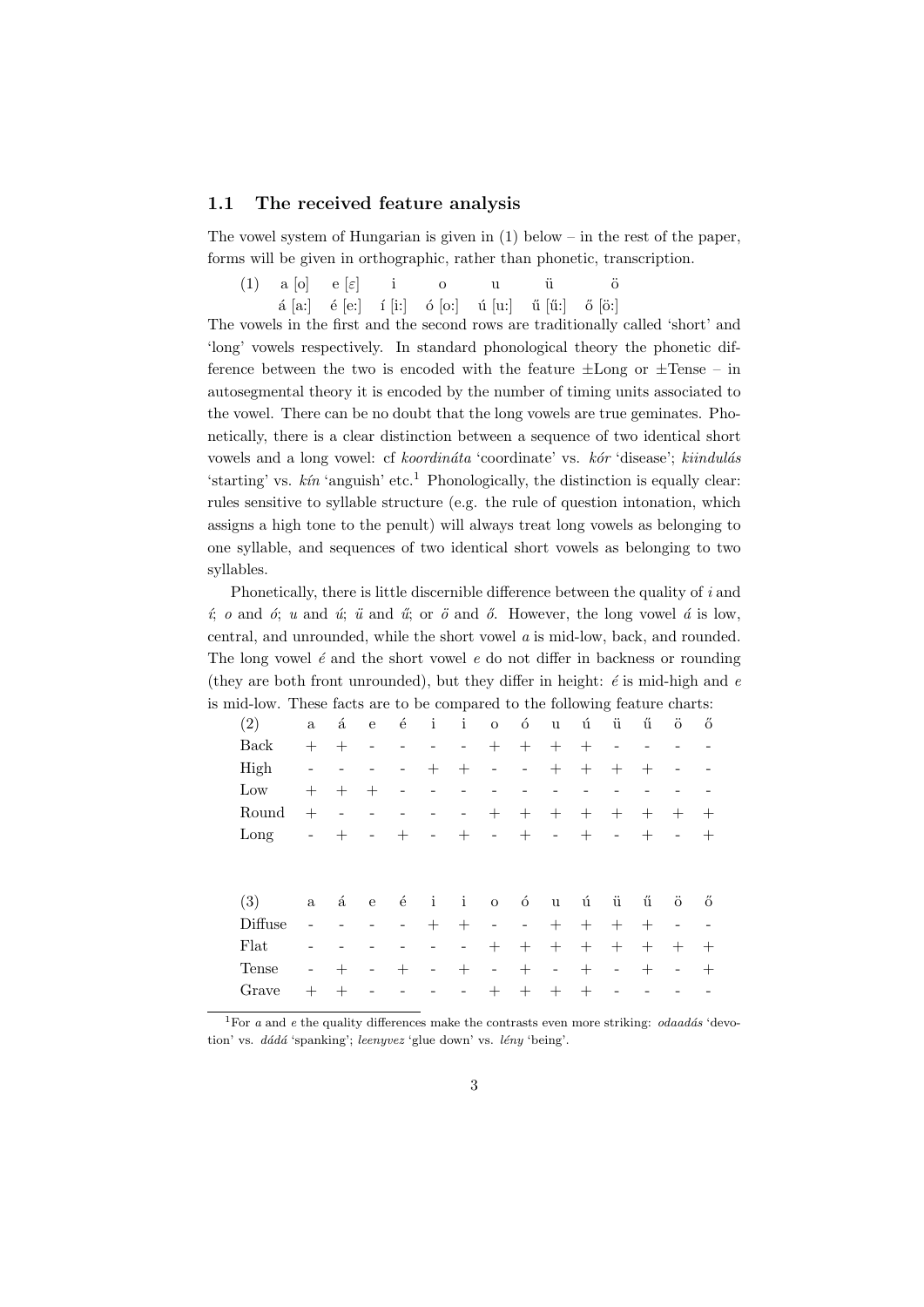### 1.1 The received feature analysis

The vowel system of Hungarian is given in  $(1)$  below – in the rest of the paper, forms will be given in orthographic, rather than phonetic, transcription.

|  |  |  | $(1)$ a [o] e [ $\varepsilon$ ] i o u ü ö        |  |
|--|--|--|--------------------------------------------------|--|
|  |  |  | á [a:] é [e:] í [i:] ó [o:] ú [u:] ű [ű:] ő [ö:] |  |

The vowels in the first and the second rows are traditionally called 'short' and 'long' vowels respectively. In standard phonological theory the phonetic difference between the two is encoded with the feature  $\pm$ Long or  $\pm$ Tense – in autosegmental theory it is encoded by the number of timing units associated to the vowel. There can be no doubt that the long vowels are true geminates. Phonetically, there is a clear distinction between a sequence of two identical short vowels and a long vowel: cf koordinata 'coordinate' vs. kor 'disease'; kiindulas 'starting' vs.  $kín$  'anguish' etc.<sup>1</sup> Phonologically, the distinction is equally clear: rules sensitive to syllable structure (e.g. the rule of question intonation, which assigns a high tone to the penult) will always treat long vowels as belonging to one syllable, and sequences of two identical short vowels as belonging to two syllables.

Phonetically, there is little discernible difference between the quality of i and  $i; o$  and  $\acute{o}$ ; u and  $\acute{u}$ ;  $\ddot{u}$  and  $\ddot{u}$ ; or  $\ddot{o}$  and  $\ddot{o}$ . However, the long vowel  $\acute{a}$  is low, central, and unrounded, while the short vowel a is mid-low, back, and rounded. The long vowel  $\acute{e}$  and the short vowel  $e$  do not differ in backness or rounding (they are both front unrounded), but they differ in height:  $\acute{e}$  is mid-high and  $e$ is mid-low. These facts are to be compared to the following feature charts:

| (2)     | $\mathbf{a}$             | $\acute{\mathrm{a}}$ | ${\bf e}$         | $\acute{\text{e}}$ | $\mathbf{i}$             | $\mathbf{i}$             | $\mathbf O$                  | ó                        | $\mathbf u$              | ú                    | ü                 | ű      | ö                        | ő      |
|---------|--------------------------|----------------------|-------------------|--------------------|--------------------------|--------------------------|------------------------------|--------------------------|--------------------------|----------------------|-------------------|--------|--------------------------|--------|
| Back    | $^{+}$                   | $^{+}$               |                   |                    |                          | $\qquad \qquad$          | $+$                          | $^{+}$                   | $^{+}$                   | $+$                  |                   |        |                          |        |
| High    |                          |                      |                   |                    | $^{+}$                   | $^{+}$                   | -                            | -                        | $+$                      | $^{+}$               | $^{+}$            | $^{+}$ |                          |        |
| Low     | $^{+}$                   | $^{+}$               | $^{+}$            |                    |                          |                          |                              |                          |                          |                      |                   |        |                          |        |
| Round   | $^{+}$                   |                      |                   |                    |                          | $\qquad \qquad -$        | $+$                          | $^{+}$                   | $^{+}$                   | $^{+}$               | $^{+}$            | $^{+}$ | $^{+}$                   | $^{+}$ |
| Long    | $\overline{\phantom{0}}$ | $\pm$                |                   | $^{+}$             | $\overline{\phantom{a}}$ | $^{+}$                   | $\qquad \qquad \blacksquare$ | $^{+}$                   | $\overline{\phantom{a}}$ | $+$                  | $\overline{a}$    | $^{+}$ | $\overline{\phantom{a}}$ | $^{+}$ |
|         |                          |                      |                   |                    |                          |                          |                              |                          |                          |                      |                   |        |                          |        |
|         |                          |                      |                   |                    |                          |                          |                              |                          |                          |                      |                   |        |                          |        |
|         |                          |                      |                   |                    |                          |                          |                              |                          |                          |                      |                   |        |                          |        |
| (3)     | $\mathbf{a}$             | $\acute{\mathrm{a}}$ | $\mathbf{e}$      | $\acute{\text e}$  | $\mathbf{i}$             | $\mathbf{i}$             | $\mathbf O$                  | ó                        | $\mathbf u$              | $\mathbf{\acute{u}}$ | ü                 | ű      | $\ddot{\text{o}}$        | ő      |
| Diffuse |                          |                      |                   |                    | $^{+}$                   | $^{+}$                   | $\qquad \qquad \blacksquare$ | $\overline{\phantom{a}}$ | $^{+}$                   | $^{+}$               | $+$               | $^{+}$ | $\overline{\phantom{a}}$ |        |
| Flat    |                          |                      |                   |                    |                          | $\overline{\phantom{a}}$ | $+$                          | $^{+}$                   | $^{+}$                   | $+$                  | $+$               | $^{+}$ | $^{+}$                   | $^{+}$ |
| Tense   | $\qquad \qquad$          | $\pm$                | $\qquad \qquad -$ | $^{+}$             | $\overline{a}$           | $^{+}$                   | $\qquad \qquad \blacksquare$ | $^{+}$                   | $\overline{\phantom{a}}$ | $+$                  | $\qquad \qquad -$ | $^{+}$ | $\qquad \qquad -$        | $\pm$  |
| Grave   | $^{+}$                   | $^{+}$               |                   |                    |                          |                          | $^{+}$                       | $^{+}$                   | $^{+}$                   | $^{+}$               |                   |        |                          |        |

<sup>1</sup>For a and e the quality differences make the contrasts even more striking:  $odaadás$  'devotion' vs.  $d\acute{a}d\acute{a}$  'spanking'; leenyvez 'glue down' vs. lény 'being'.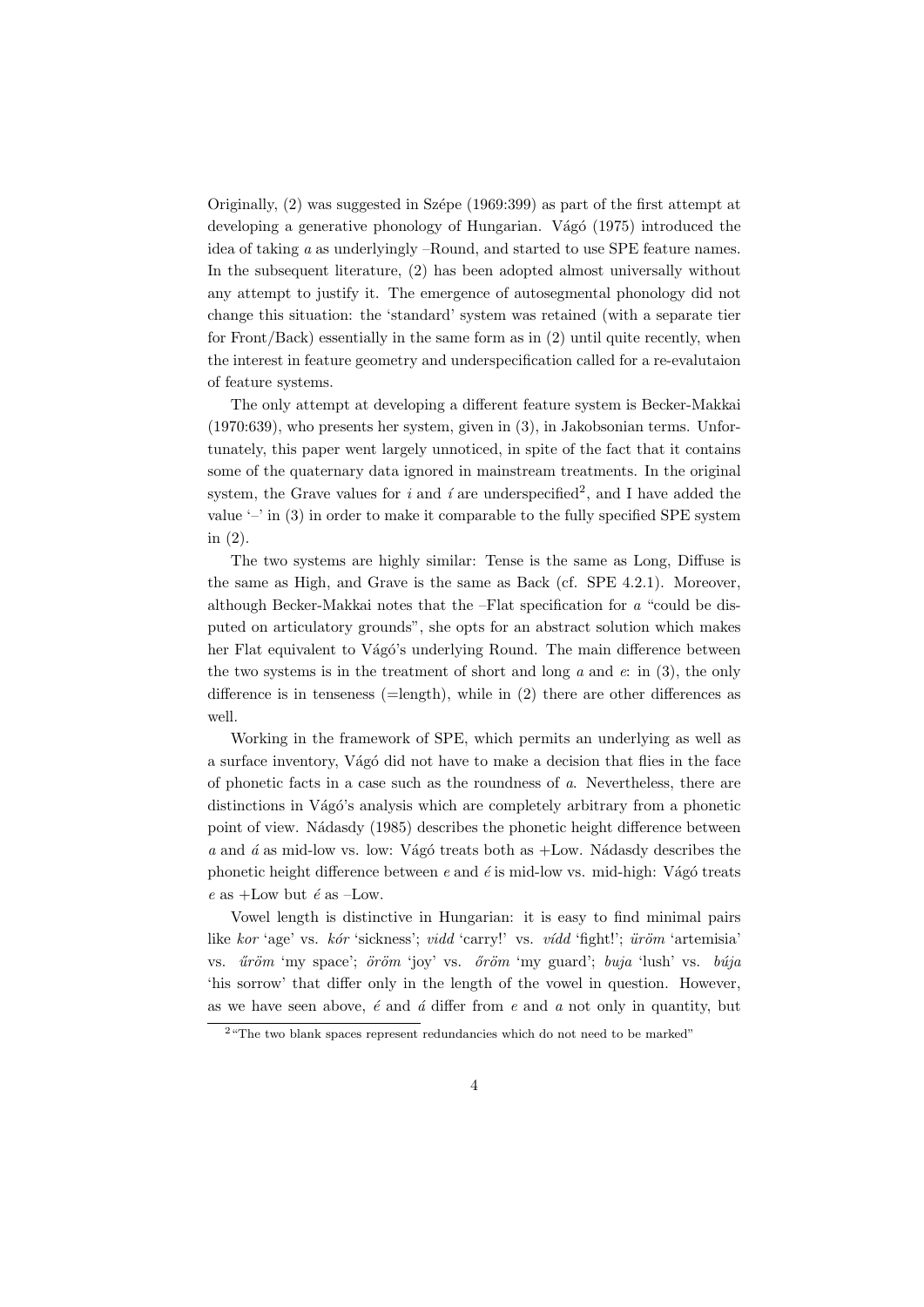Originally,  $(2)$  was suggested in Szépe (1969:399) as part of the first attempt at developing a generative phonology of Hungarian. Vágó (1975) introduced the idea of taking a as underlyingly –Round, and started to use SPE feature names. In the subsequent literature, (2) has been adopted almost universally without any attempt to justify it. The emergence of autosegmental phonology did not change this situation: the 'standard' system was retained (with a separate tier for Front/Back) essentially in the same form as in (2) until quite recently, when the interest in feature geometry and underspecification called for a re-evalutaion of feature systems.

The only attempt at developing a different feature system is Becker-Makkai (1970:639), who presents her system, given in (3), in Jakobsonian terms. Unfortunately, this paper went largely unnoticed, in spite of the fact that it contains some of the quaternary data ignored in mainstream treatments. In the original system, the Grave values for i and i are underspecified<sup>2</sup>, and I have added the value  $\sim$  in (3) in order to make it comparable to the fully specified SPE system in (2).

The two systems are highly similar: Tense is the same as Long, Diffuse is the same as High, and Grave is the same as Back (cf. SPE 4.2.1). Moreover, although Becker-Makkai notes that the –Flat specification for  $a$  "could be disputed on articulatory grounds", she opts for an abstract solution which makes her Flat equivalent to Vágó's underlying Round. The main difference between the two systems is in the treatment of short and long  $a$  and  $e$ : in (3), the only difference is in tenseness  $(=\text{length})$ , while in  $(2)$  there are other differences as well.

Working in the framework of SPE, which permits an underlying as well as a surface inventory, Vágó did not have to make a decision that flies in the face of phonetic facts in a case such as the roundness of a. Nevertheless, there are distinctions in Vágó's analysis which are completely arbitrary from a phonetic point of view. N´adasdy (1985) describes the phonetic height difference between a and  $\acute{a}$  as mid-low vs. low: Vágó treats both as  $+$ Low. Nádasdy describes the phonetic height difference between  $e$  and  $\acute{e}$  is mid-low vs. mid-high: Vágó treats e as  $+$ Low but é as  $-$ Low.

Vowel length is distinctive in Hungarian: it is easy to find minimal pairs like kor 'age' vs. kór 'sickness'; vidd 'carry!' vs. vídd 'fight!';  $\ddot{u}\dot{r}\ddot{o}m$  'artemisia' vs.  $\tilde{u}r\tilde{\sigma}m$  'my space';  $\tilde{\sigma}r\tilde{\sigma}m$  'joy' vs.  $\tilde{\sigma}r\tilde{\sigma}m$  'my guard'; buja 'lush' vs. búja 'his sorrow' that differ only in the length of the vowel in question. However, as we have seen above,  $\acute{e}$  and  $\acute{a}$  differ from  $e$  and  $\acute{a}$  not only in quantity, but

<sup>&</sup>lt;sup>2</sup> "The two blank spaces represent redundancies which do not need to be marked"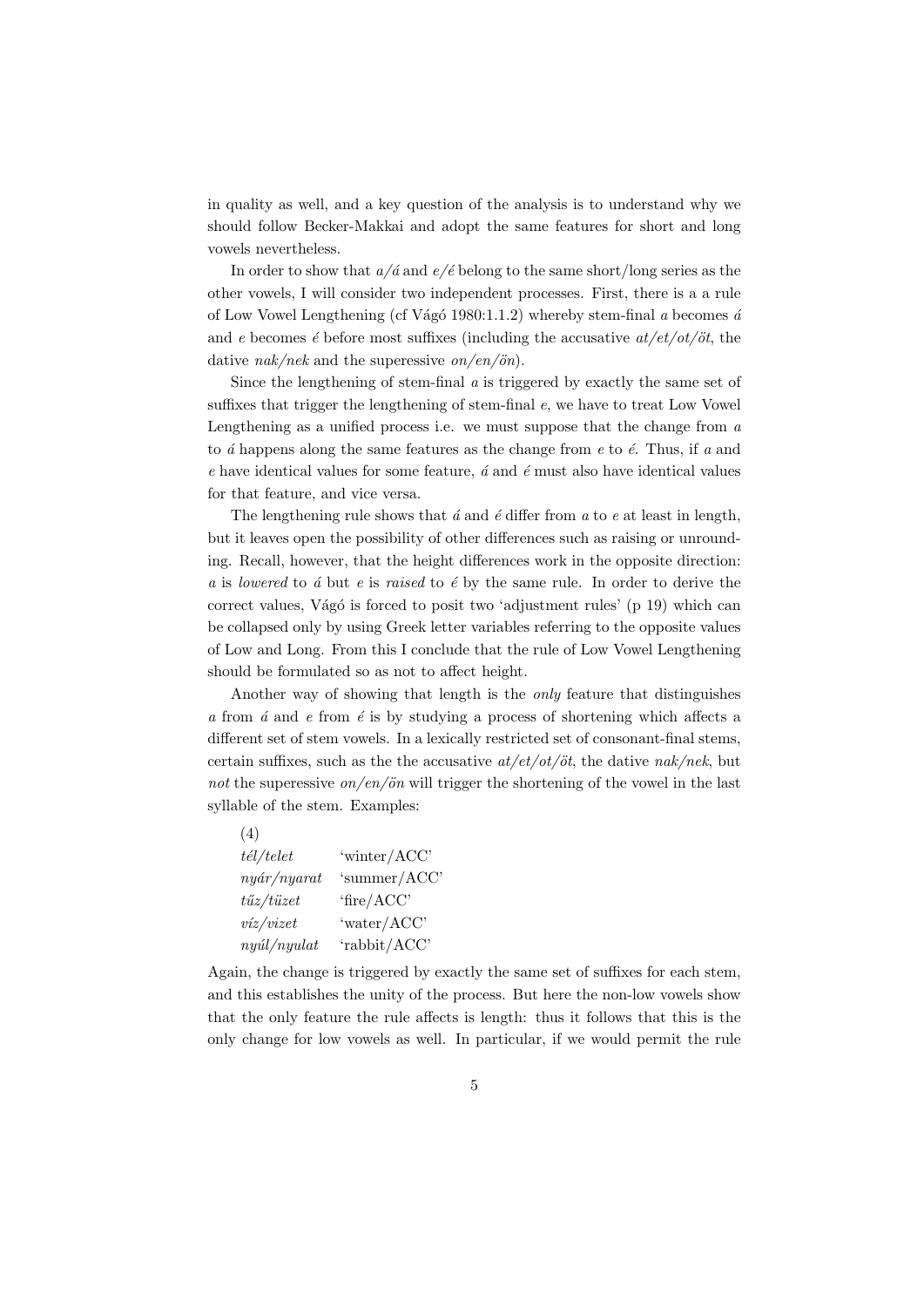in quality as well, and a key question of the analysis is to understand why we should follow Becker-Makkai and adopt the same features for short and long vowels nevertheless.

In order to show that  $a/\acute{a}$  and  $e/\acute{e}$  belong to the same short/long series as the other vowels, I will consider two independent processes. First, there is a a rule of Low Vowel Lengthening (cf Vágó 1980:1.1.2) whereby stem-final a becomes  $\acute{a}$ and e becomes  $\acute{e}$  before most suffixes (including the accusative  $at/et/ot/öt$ , the dative  $nak/nek$  and the superessive  $on/en/ön$ .

Since the lengthening of stem-final a is triggered by exactly the same set of suffixes that trigger the lengthening of stem-final e, we have to treat Low Vowel Lengthening as a unified process i.e. we must suppose that the change from  $a$ to  $\acute{a}$  happens along the same features as the change from  $e$  to  $\acute{e}$ . Thus, if  $a$  and e have identical values for some feature,  $\acute{a}$  and  $\acute{e}$  must also have identical values for that feature, and vice versa.

The lengthening rule shows that  $\acute{a}$  and  $\acute{e}$  differ from  $a$  to  $e$  at least in length, but it leaves open the possibility of other differences such as raising or unrounding. Recall, however, that the height differences work in the opposite direction: a is lowered to  $\acute{a}$  but e is raised to  $\acute{e}$  by the same rule. In order to derive the correct values, Vágó is forced to posit two 'adjustment rules' (p  $19$ ) which can be collapsed only by using Greek letter variables referring to the opposite values of Low and Long. From this I conclude that the rule of Low Vowel Lengthening should be formulated so as not to affect height.

Another way of showing that length is the only feature that distinguishes  $a$  from  $\acute{a}$  and  $e$  from  $\acute{e}$  is by studying a process of shortening which affects a different set of stem vowels. In a lexically restricted set of consonant-final stems, certain suffixes, such as the the accusative  $at/et/ot/ot$ , the dative nak/nek, but not the superessive on/en/ön will trigger the shortening of the vowel in the last syllable of the stem. Examples:

| (4)                    |              |
|------------------------|--------------|
| $t\acute{e}l/tele$     | 'winter/ACC' |
| $ny$ ár/nyarat         | 'summer/ACC' |
| $t\H{u}z/t\ddot{u}zet$ | 'fire/ACC'   |
| viz/vizet              | 'water/ACC'  |
| nyúl/nyulat            | 'rabbit/ACC' |

Again, the change is triggered by exactly the same set of suffixes for each stem, and this establishes the unity of the process. But here the non-low vowels show that the only feature the rule affects is length: thus it follows that this is the only change for low vowels as well. In particular, if we would permit the rule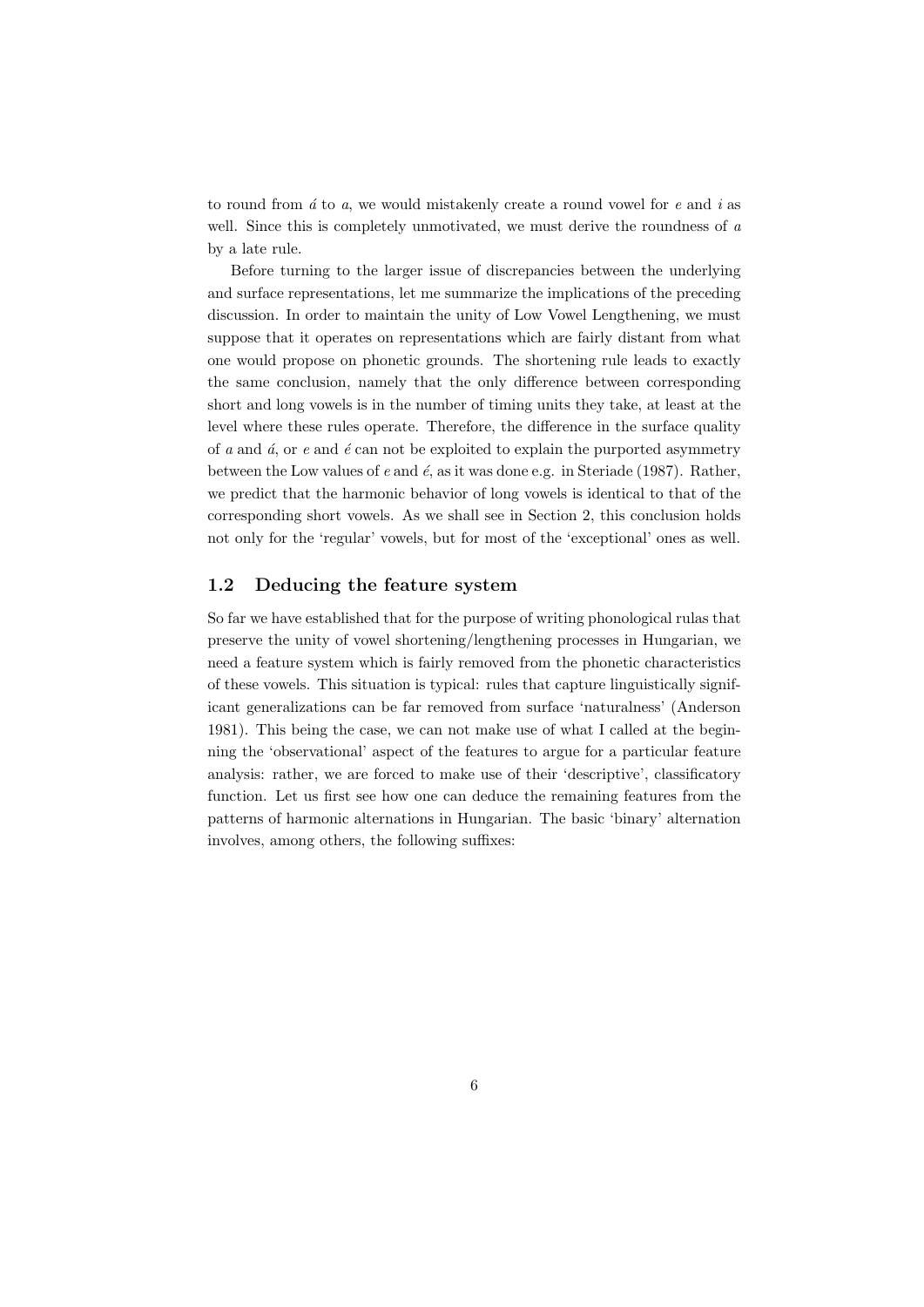to round from  $\acute{a}$  to  $a$ , we would mistakenly create a round vowel for  $e$  and  $i$  as well. Since this is completely unmotivated, we must derive the roundness of a by a late rule.

Before turning to the larger issue of discrepancies between the underlying and surface representations, let me summarize the implications of the preceding discussion. In order to maintain the unity of Low Vowel Lengthening, we must suppose that it operates on representations which are fairly distant from what one would propose on phonetic grounds. The shortening rule leads to exactly the same conclusion, namely that the only difference between corresponding short and long vowels is in the number of timing units they take, at least at the level where these rules operate. Therefore, the difference in the surface quality of a and  $\acute{a}$ , or e and  $\acute{e}$  can not be exploited to explain the purported asymmetry between the Low values of  $e$  and  $\acute{e}$ , as it was done e.g. in Steriade (1987). Rather, we predict that the harmonic behavior of long vowels is identical to that of the corresponding short vowels. As we shall see in Section 2, this conclusion holds not only for the 'regular' vowels, but for most of the 'exceptional' ones as well.

## 1.2 Deducing the feature system

So far we have established that for the purpose of writing phonological rulas that preserve the unity of vowel shortening/lengthening processes in Hungarian, we need a feature system which is fairly removed from the phonetic characteristics of these vowels. This situation is typical: rules that capture linguistically significant generalizations can be far removed from surface 'naturalness' (Anderson 1981). This being the case, we can not make use of what I called at the beginning the 'observational' aspect of the features to argue for a particular feature analysis: rather, we are forced to make use of their 'descriptive', classificatory function. Let us first see how one can deduce the remaining features from the patterns of harmonic alternations in Hungarian. The basic 'binary' alternation involves, among others, the following suffixes: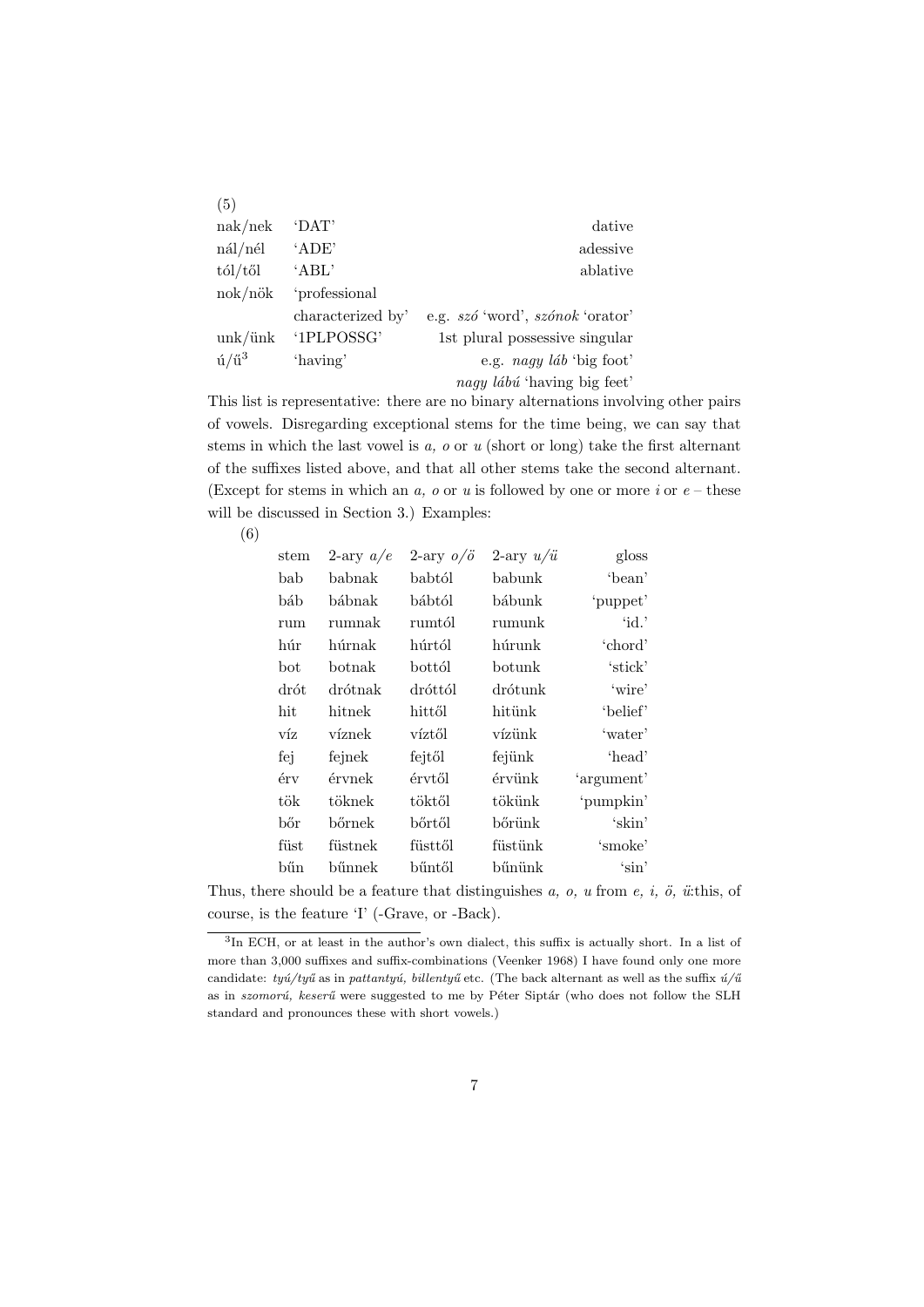| (5)                                       |                   |                                  |
|-------------------------------------------|-------------------|----------------------------------|
| nak/nek                                   | $^{\circ}$ DAT'   | dative                           |
| nál/nél                                   | 'ADE'             | adessive                         |
| $\frac{t}{d}$                             | 'ABL'             | ablative                         |
| nok/nök                                   | 'professional     |                                  |
|                                           | characterized by' | e.g. szó 'word', szónok 'orator' |
| unk/link                                  | '1PLPOSSG'        | 1st plural possessive singular   |
| $\mathbf{\acute{u}}/\mathbf{\acute{u}}^3$ | 'having'          | e.g. $nagy$ láb 'big foot'       |
|                                           |                   | nagy lábú 'having big feet'      |

This list is representative: there are no binary alternations involving other pairs of vowels. Disregarding exceptional stems for the time being, we can say that stems in which the last vowel is  $a$ ,  $o$  or  $u$  (short or long) take the first alternant of the suffixes listed above, and that all other stems take the second alternant. (Except for stems in which an a, o or u is followed by one or more i or  $e$  – these will be discussed in Section 3.) Examples:

(6)

| $^{stem}$ | 2-ary $a/e$ | 2-ary $o/\ddot{o}$ | 2-ary $u/\ddot{u}$      | gloss      |
|-----------|-------------|--------------------|-------------------------|------------|
| bab       | babnak      | babtól             | babunk                  | 'bean'     |
| báb       | bábnak      | bábtól             | bábunk                  | 'puppet'   |
| rum       | rumnak      | rumtól             | rumunk                  | 'id.'      |
| húr       | húrnak      | húrtól             | húrunk                  | 'chord'    |
| bot       | botnak      | $\mathrm{bott}$ ól | $\operatorname{botunk}$ | 'stick'    |
| drót      | drótnak     | dróttól            | drótunk                 | 'wire'     |
| hit       | hitnek      | hittől             | hitünk                  | 'belief'   |
| víz       | víznek      | víztől             | vízünk                  | 'water'    |
| fej       | fejnek      | fejtől             | fejünk                  | 'head'     |
| érv       | érvnek      | érvtől             | érvünk                  | 'argument' |
| tök       | töknek      | töktől             | tökünk                  | 'pumpkin'  |
| bőr       | bőrnek      | bőrtől             | bőrünk                  | 'skin'     |
| füst      | füstnek     | füsttől            | füstünk                 | 'smoke'    |
| bűn       | bűnnek      | bűntől             | bűnünk                  | 'sin'      |
|           |             |                    |                         |            |

Thus, there should be a feature that distinguishes a, o, u from e, i, ö, ü:this, of course, is the feature 'I' (-Grave, or -Back).

<sup>&</sup>lt;sup>3</sup>In ECH, or at least in the author's own dialect, this suffix is actually short. In a list of more than 3,000 suffixes and suffix-combinations (Veenker 1968) I have found only one more candidate: tyú/tyű as in pattantyú, billentyű etc. (The back alternant as well as the suffix  $\acute{u}/\mathrm{ü}$ as in *szomorú*, keserű were suggested to me by Péter Siptár (who does not follow the SLH standard and pronounces these with short vowels.)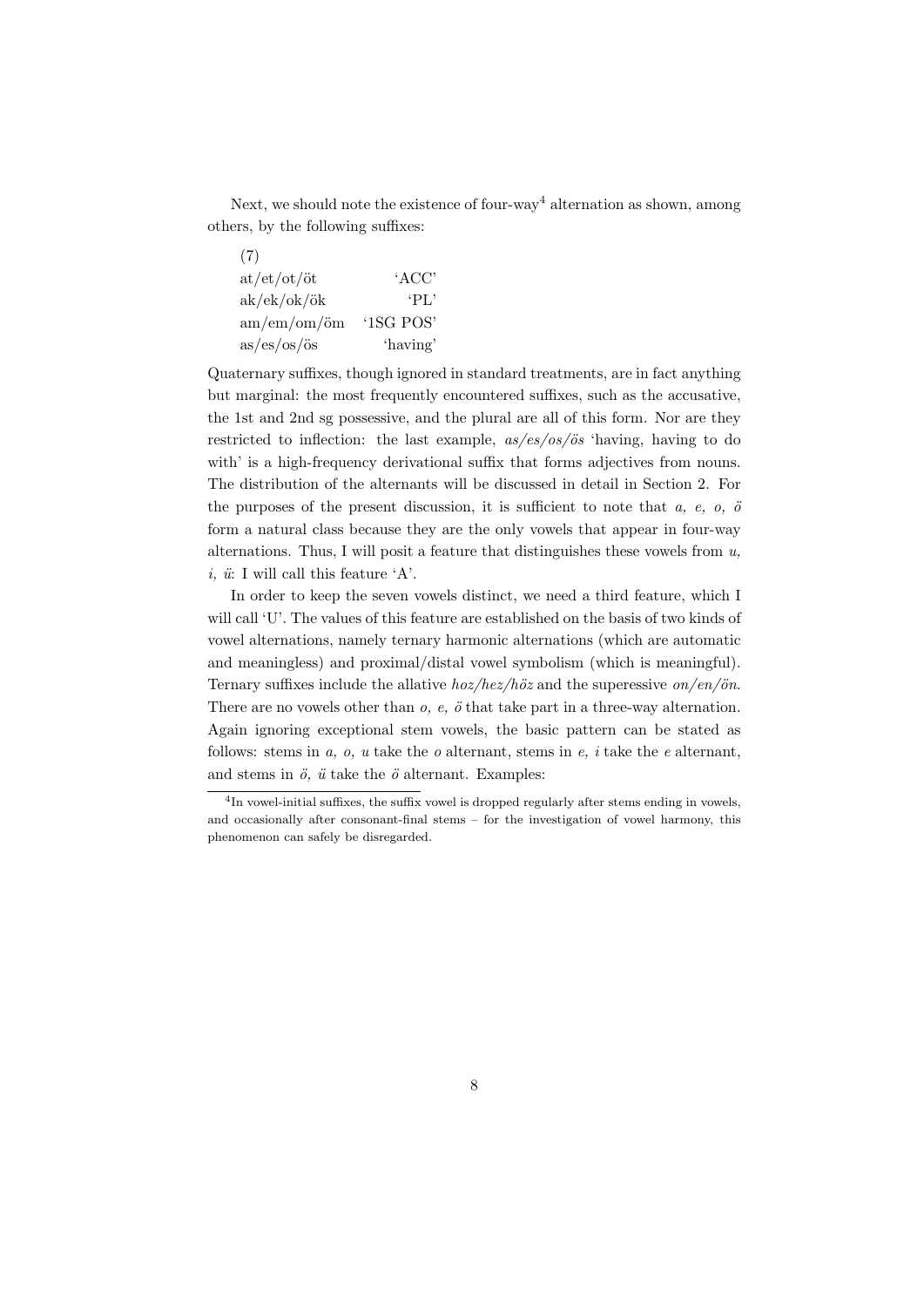Next, we should note the existence of four-way<sup>4</sup> alternation as shown, among others, by the following suffixes:

| (7)                  |           |
|----------------------|-----------|
| at/et/ot/öt          | 'ACC'     |
| ak/ek/ok/ök          | $'PI$ .   |
| $am/cm/cm/\ddot{o}m$ | '1SG POS' |
| as/es/os/ös          | 'having'  |

Quaternary suffixes, though ignored in standard treatments, are in fact anything but marginal: the most frequently encountered suffixes, such as the accusative, the 1st and 2nd sg possessive, and the plural are all of this form. Nor are they restricted to inflection: the last example,  $as/es/os/ös$  'having, having to do with' is a high-frequency derivational suffix that forms adjectives from nouns. The distribution of the alternants will be discussed in detail in Section 2. For the purposes of the present discussion, it is sufficient to note that  $a, e, o, \ddot{o}$ form a natural class because they are the only vowels that appear in four-way alternations. Thus, I will posit a feature that distinguishes these vowels from  $u$ , i,  $\ddot{u}$ : I will call this feature 'A'.

In order to keep the seven vowels distinct, we need a third feature, which I will call 'U'. The values of this feature are established on the basis of two kinds of vowel alternations, namely ternary harmonic alternations (which are automatic and meaningless) and proximal/distal vowel symbolism (which is meaningful). Ternary suffixes include the allative  $hoz/hez/höz$  and the superessive on/en/ön. There are no vowels other than  $o, e, \phi$  that take part in a three-way alternation. Again ignoring exceptional stem vowels, the basic pattern can be stated as follows: stems in  $a, o, u$  take the  $o$  alternant, stems in  $e, i$  take the  $e$  alternant, and stems in  $\ddot{o}$ ,  $\ddot{u}$  take the  $\ddot{o}$  alternant. Examples:

<sup>&</sup>lt;sup>4</sup>In vowel-initial suffixes, the suffix vowel is dropped regularly after stems ending in vowels, and occasionally after consonant-final stems – for the investigation of vowel harmony, this phenomenon can safely be disregarded.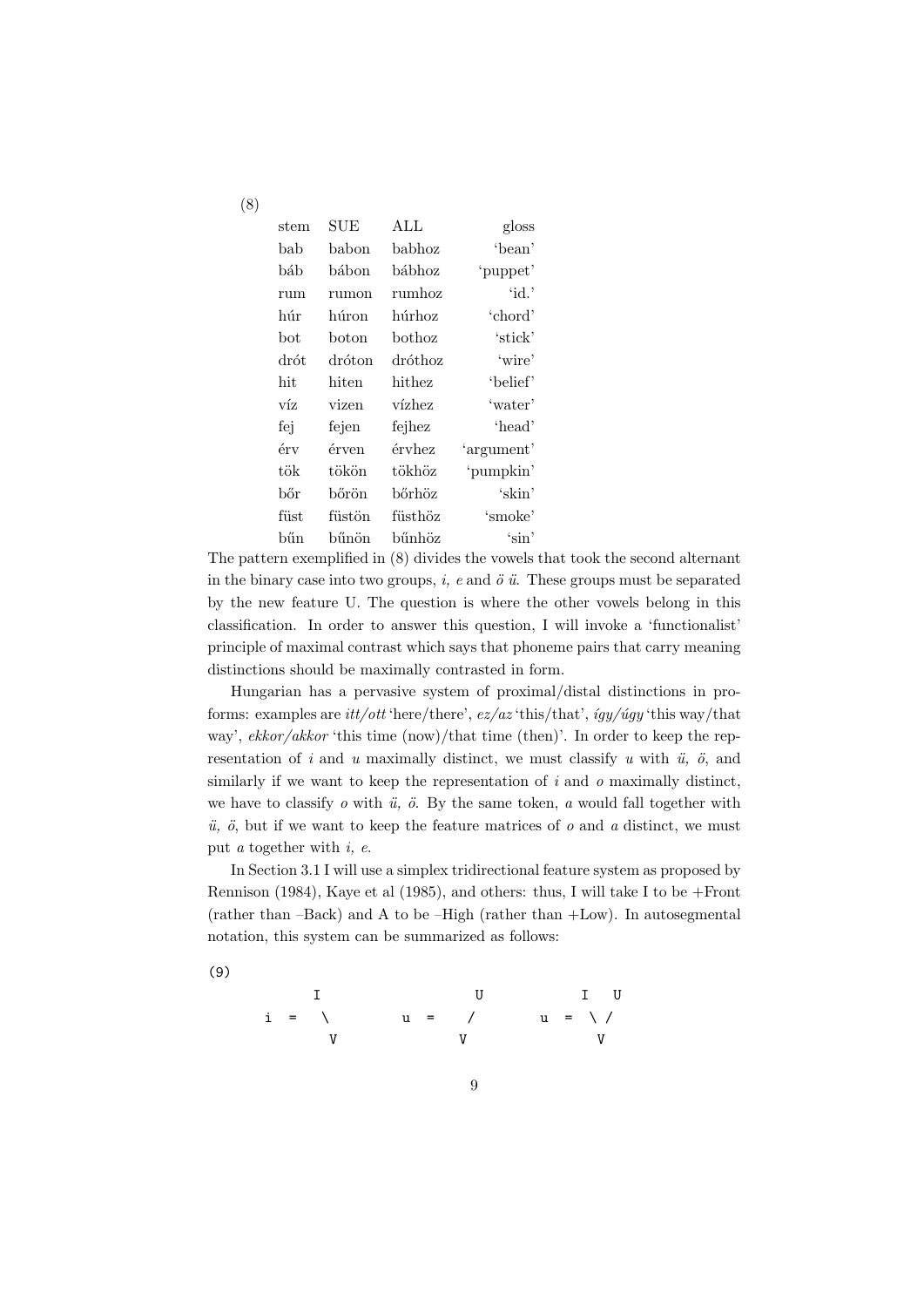| stem  | $\operatorname{SUE}$ | ALL     | gloss                 |
|-------|----------------------|---------|-----------------------|
| bab   | babon                | babhoz  | 'bean'                |
| báb   | hábon                | bábhoz  | 'puppet'              |
| rum   | rumon                | rumhoz  | $\dot{\mathrm{id}}$ . |
| húr   | húron                | húrhoz  | 'chord'               |
| bot   | boton                | bothoz  | 'stick'               |
| drót  | dróton               | dróthoz | 'wire'                |
| hit   | hiten                | hithez  | 'belief'              |
| víz   | vizen                | vízhez  | 'water'               |
| fej   | fejen                | fejhez  | 'head'                |
| érv   | érven                | érvhez  | 'argument'            |
| tök   | tökön                | tökhöz  | 'pumpkin'             |
| bőr   | bőrön                | bőrhöz  | 'skin'                |
| fiist | füstön               | füsthöz | 'smoke'               |
| bűn   | bűnön                | bűnhöz  | 'sin'                 |

(8)

(9)

The pattern exemplified in (8) divides the vowels that took the second alternant in the binary case into two groups,  $i$ ,  $e$  and  $\ddot{o}$   $\ddot{u}$ . These groups must be separated by the new feature U. The question is where the other vowels belong in this classification. In order to answer this question, I will invoke a 'functionalist' principle of maximal contrast which says that phoneme pairs that carry meaning distinctions should be maximally contrasted in form.

Hungarian has a pervasive system of proximal/distal distinctions in proforms: examples are *itt/ott* 'here/there',  $ez/az$  'this/that',  $igy/úgy$  'this way/that way',  $ekkor/akkor$  'this time (now)/that time (then)'. In order to keep the representation of i and u maximally distinct, we must classify u with  $\ddot{u}$ ,  $\ddot{o}$ , and similarly if we want to keep the representation of  $i$  and  $o$  maximally distinct, we have to classify  $o$  with  $\ddot{u}$ ,  $\ddot{o}$ . By the same token,  $a$  would fall together with  $\ddot{u}$ ,  $\ddot{o}$ , but if we want to keep the feature matrices of  $o$  and  $a$  distinct, we must put  $a$  together with  $i, e$ .

In Section 3.1 I will use a simplex tridirectional feature system as proposed by Rennison (1984), Kaye et al (1985), and others: thus, I will take I to be +Front (rather than  $-Back$ ) and A to be  $-High$  (rather than  $+Low$ ). In autosegmental notation, this system can be summarized as follows:

9

I U I U i = \ u = / u = \ / V V V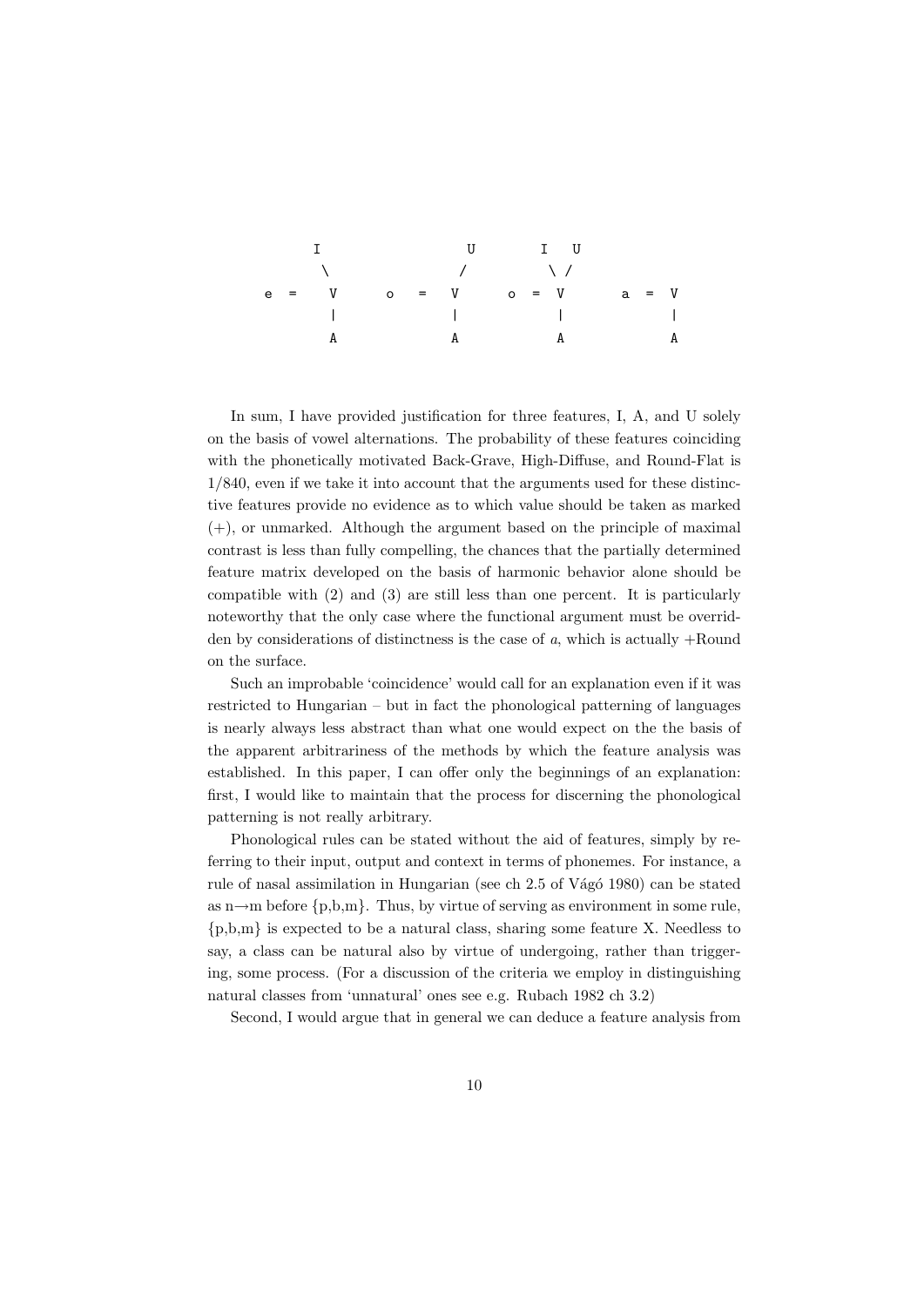|  |  |   | U IU       |                          |   |
|--|--|---|------------|--------------------------|---|
|  |  |   | $\sqrt{2}$ |                          |   |
|  |  |   |            |                          |   |
|  |  |   |            | <b>Contract Contract</b> |   |
|  |  | A |            |                          | A |

In sum, I have provided justification for three features, I, A, and U solely on the basis of vowel alternations. The probability of these features coinciding with the phonetically motivated Back-Grave, High-Diffuse, and Round-Flat is 1/840, even if we take it into account that the arguments used for these distinctive features provide no evidence as to which value should be taken as marked (+), or unmarked. Although the argument based on the principle of maximal contrast is less than fully compelling, the chances that the partially determined feature matrix developed on the basis of harmonic behavior alone should be compatible with (2) and (3) are still less than one percent. It is particularly noteworthy that the only case where the functional argument must be overridden by considerations of distinctness is the case of a, which is actually  $+$ Round on the surface.

Such an improbable 'coincidence' would call for an explanation even if it was restricted to Hungarian – but in fact the phonological patterning of languages is nearly always less abstract than what one would expect on the the basis of the apparent arbitrariness of the methods by which the feature analysis was established. In this paper, I can offer only the beginnings of an explanation: first, I would like to maintain that the process for discerning the phonological patterning is not really arbitrary.

Phonological rules can be stated without the aid of features, simply by referring to their input, output and context in terms of phonemes. For instance, a rule of nasal assimilation in Hungarian (see ch 2.5 of Vágó 1980) can be stated as n $\rightarrow$ m before {p,b,m}. Thus, by virtue of serving as environment in some rule, {p,b,m} is expected to be a natural class, sharing some feature X. Needless to say, a class can be natural also by virtue of undergoing, rather than triggering, some process. (For a discussion of the criteria we employ in distinguishing natural classes from 'unnatural' ones see e.g. Rubach 1982 ch 3.2)

Second, I would argue that in general we can deduce a feature analysis from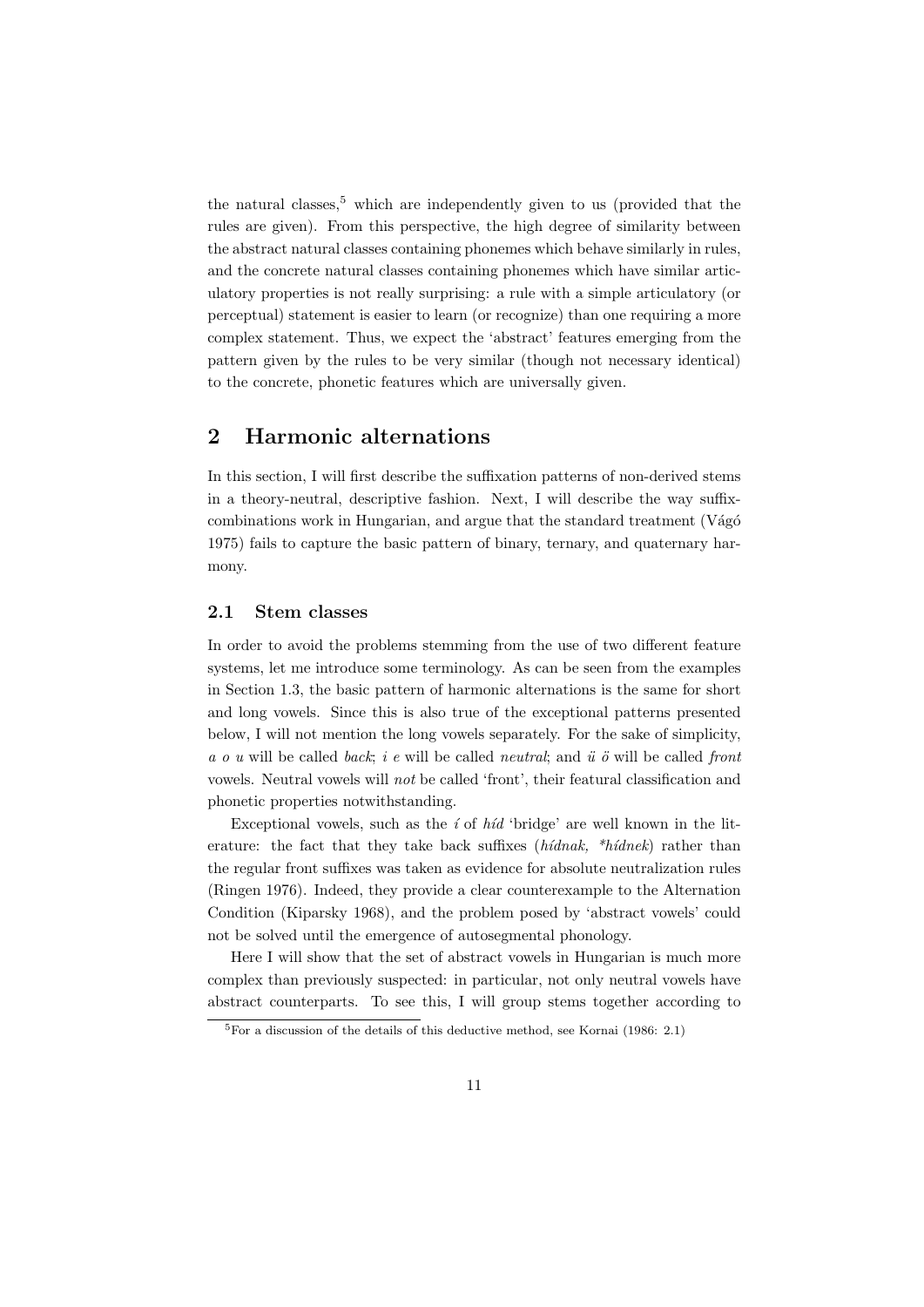the natural classes,<sup>5</sup> which are independently given to us (provided that the rules are given). From this perspective, the high degree of similarity between the abstract natural classes containing phonemes which behave similarly in rules, and the concrete natural classes containing phonemes which have similar articulatory properties is not really surprising: a rule with a simple articulatory (or perceptual) statement is easier to learn (or recognize) than one requiring a more complex statement. Thus, we expect the 'abstract' features emerging from the pattern given by the rules to be very similar (though not necessary identical) to the concrete, phonetic features which are universally given.

# 2 Harmonic alternations

In this section, I will first describe the suffixation patterns of non-derived stems in a theory-neutral, descriptive fashion. Next, I will describe the way suffixcombinations work in Hungarian, and argue that the standard treatment  $(Vágó)$ 1975) fails to capture the basic pattern of binary, ternary, and quaternary harmony.

### 2.1 Stem classes

In order to avoid the problems stemming from the use of two different feature systems, let me introduce some terminology. As can be seen from the examples in Section 1.3, the basic pattern of harmonic alternations is the same for short and long vowels. Since this is also true of the exceptional patterns presented below, I will not mention the long vowels separately. For the sake of simplicity, a o u will be called back; i e will be called neutral; and  $\ddot{u}$  o will be called front vowels. Neutral vowels will not be called 'front', their featural classification and phonetic properties notwithstanding.

Exceptional vowels, such as the  $i$  of  $h/d$  'bridge' are well known in the literature: the fact that they take back suffixes  $(hídnak, *hídnek)$  rather than the regular front suffixes was taken as evidence for absolute neutralization rules (Ringen 1976). Indeed, they provide a clear counterexample to the Alternation Condition (Kiparsky 1968), and the problem posed by 'abstract vowels' could not be solved until the emergence of autosegmental phonology.

Here I will show that the set of abstract vowels in Hungarian is much more complex than previously suspected: in particular, not only neutral vowels have abstract counterparts. To see this, I will group stems together according to

 ${}^{5}$ For a discussion of the details of this deductive method, see Kornai (1986: 2.1)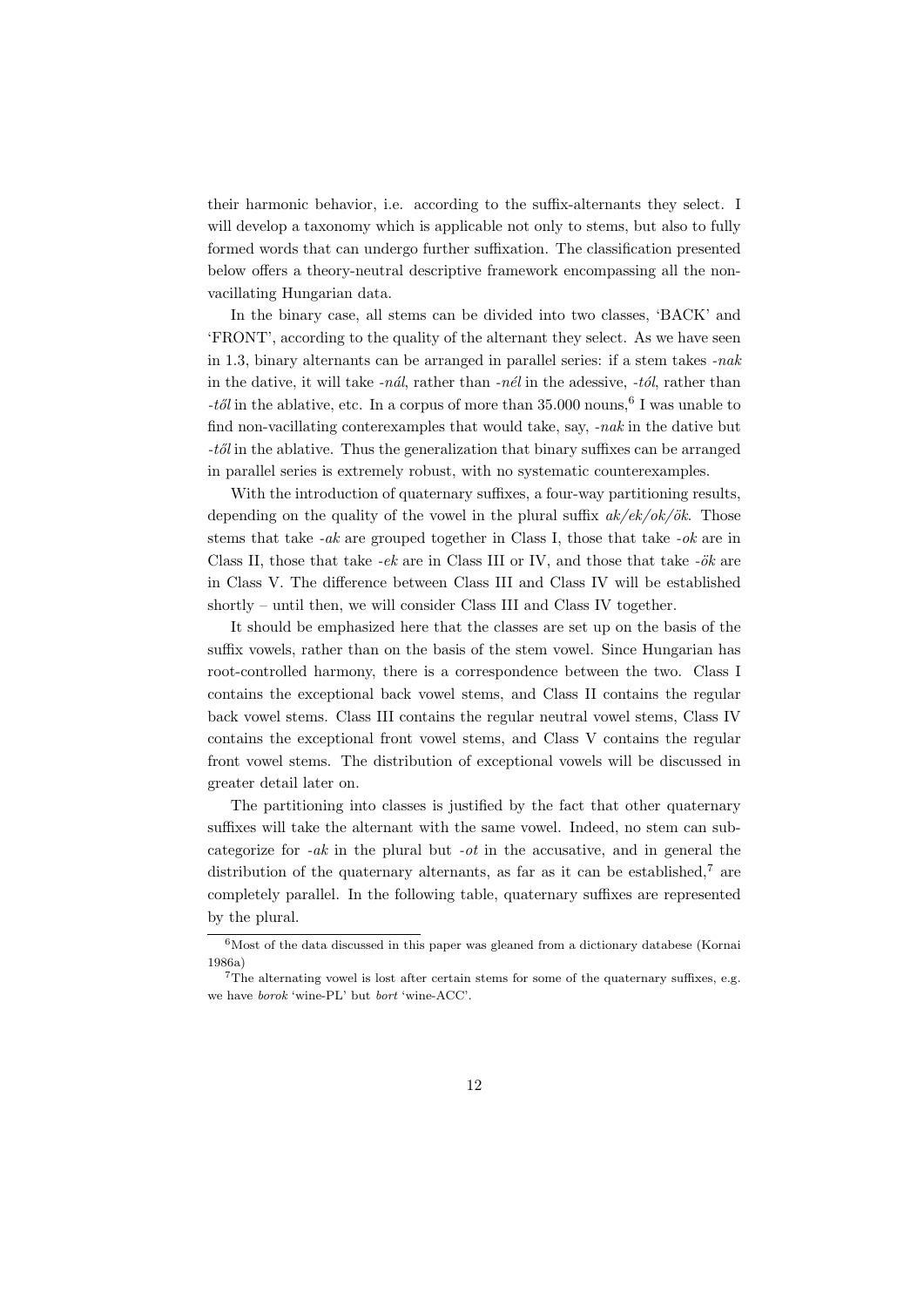their harmonic behavior, i.e. according to the suffix-alternants they select. I will develop a taxonomy which is applicable not only to stems, but also to fully formed words that can undergo further suffixation. The classification presented below offers a theory-neutral descriptive framework encompassing all the nonvacillating Hungarian data.

In the binary case, all stems can be divided into two classes, 'BACK' and 'FRONT', according to the quality of the alternant they select. As we have seen in 1.3, binary alternants can be arranged in parallel series: if a stem takes -nak in the dative, it will take  $-n\hat{a}l$ , rather than  $-n\hat{e}l$  in the adessive,  $-t\hat{o}l$ , rather than -től in the ablative, etc. In a corpus of more than  $35.000$  nouns,  $6$  I was unable to find non-vacillating conterexamples that would take, say, -nak in the dative but  $-t\delta l$  in the ablative. Thus the generalization that binary suffixes can be arranged in parallel series is extremely robust, with no systematic counterexamples.

With the introduction of quaternary suffixes, a four-way partitioning results, depending on the quality of the vowel in the plural suffix  $ak/ek/ok/ök$ . Those stems that take  $-ak$  are grouped together in Class I, those that take  $-ok$  are in Class II, those that take  $-ek$  are in Class III or IV, and those that take  $-ök$  are in Class V. The difference between Class III and Class IV will be established shortly – until then, we will consider Class III and Class IV together.

It should be emphasized here that the classes are set up on the basis of the suffix vowels, rather than on the basis of the stem vowel. Since Hungarian has root-controlled harmony, there is a correspondence between the two. Class I contains the exceptional back vowel stems, and Class II contains the regular back vowel stems. Class III contains the regular neutral vowel stems, Class IV contains the exceptional front vowel stems, and Class V contains the regular front vowel stems. The distribution of exceptional vowels will be discussed in greater detail later on.

The partitioning into classes is justified by the fact that other quaternary suffixes will take the alternant with the same vowel. Indeed, no stem can subcategorize for  $-ak$  in the plural but  $-ot$  in the accusative, and in general the distribution of the quaternary alternants, as far as it can be established,<sup>7</sup> are completely parallel. In the following table, quaternary suffixes are represented by the plural.

<sup>6</sup>Most of the data discussed in this paper was gleaned from a dictionary databese (Kornai 1986a)

<sup>7</sup>The alternating vowel is lost after certain stems for some of the quaternary suffixes, e.g. we have borok 'wine-PL' but bort 'wine-ACC'.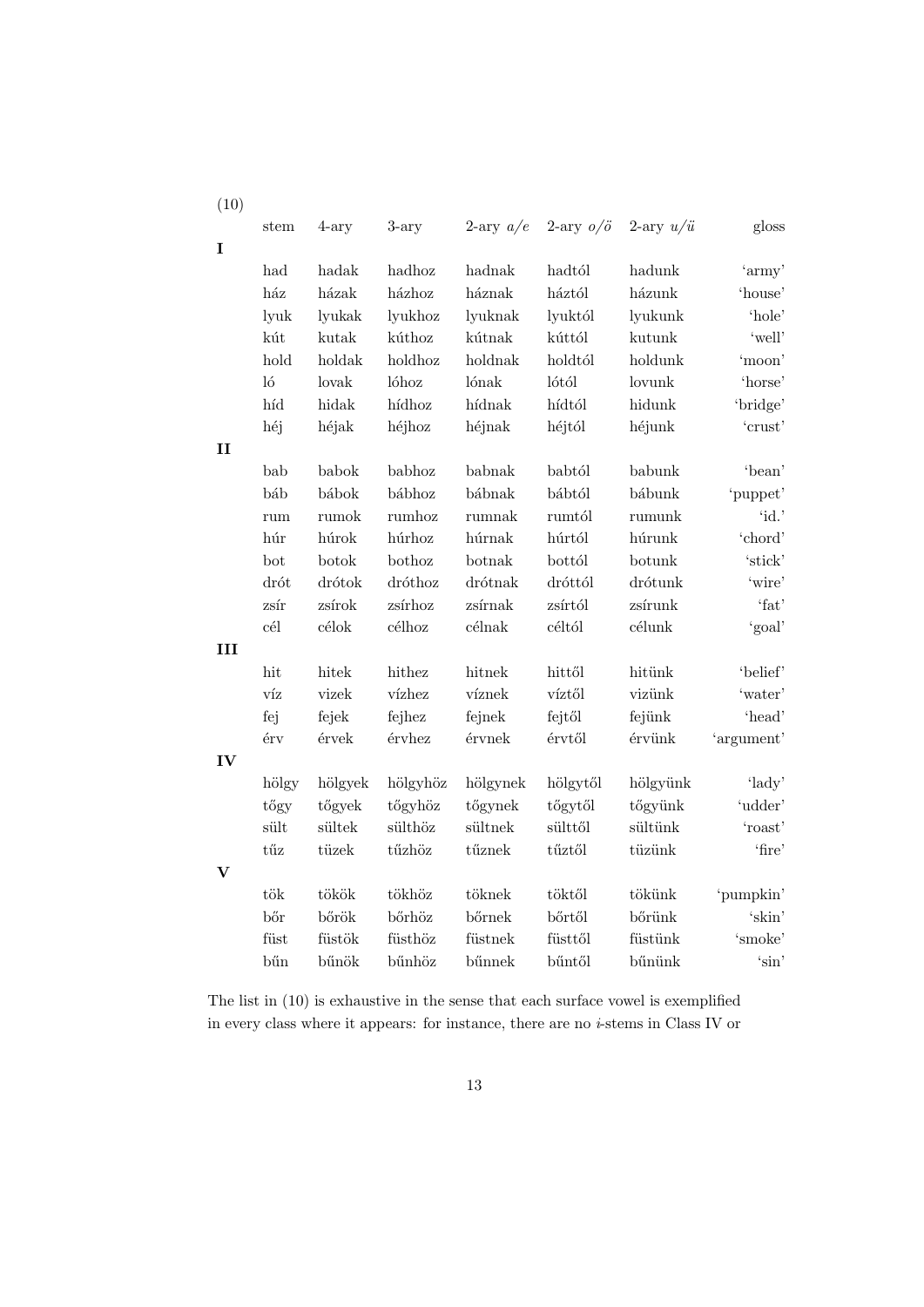| (10)         |              |         |          |             |                    |                    |                           |
|--------------|--------------|---------|----------|-------------|--------------------|--------------------|---------------------------|
|              | stem         | $4-ary$ | $3-ary$  | 2-ary $a/e$ | 2-ary $o/\ddot{o}$ | 2-ary $u/\ddot{u}$ | gloss                     |
| $\mathbf I$  |              |         |          |             |                    |                    |                           |
|              | $_{\rm had}$ | hadak   | hadhoz   | hadnak      | hadtól             | hadunk             | 'army'                    |
|              | ház          | házak   | házhoz   | háznak      | háztól             | házunk             | 'house'                   |
|              | lyuk         | lyukak  | lyukhoz  | lyuknak     | lyuktól            | lyukunk            | 'hole'                    |
|              | kút          | kutak   | kúthoz   | kútnak      | kúttól             | kutunk             | 'well'                    |
|              | hold         | holdak  | holdhoz  | holdnak     | holdtól            | holdunk            | 'moon'                    |
|              | $\log$       | lovak   | lóhoz    | lónak       | lótól              | lovunk             | 'horse'                   |
|              | híd          | hidak   | hídhoz   | hídnak      | hídtól             | hidunk             | 'bridge'                  |
|              | héj          | héjak   | héjhoz   | héjnak      | héjtól             | héjunk             | 'crust'                   |
| $\mathbf{I}$ |              |         |          |             |                    |                    |                           |
|              | bab          | babok   | babhoz   | babnak      | babtól             | babunk             | 'bean'                    |
|              | báb          | bábok   | bábhoz   | bábnak      | bábtól             | bábunk             | 'puppet'                  |
|              | rum          | rumok   | rumhoz   | rumnak      | rumtól             | rumunk             | 'id.'                     |
|              | húr          | húrok   | húrhoz   | húrnak      | húrtól             | húrunk             | 'chord'                   |
|              | bot          | botok   | bothoz   | botnak      | bottól             | botunk             | 'stick'                   |
|              | drót         | drótok  | dróthoz  | drótnak     | dróttól            | drótunk            | 'wire'                    |
|              | zsír         | zsírok  | zsírhoz  | zsírnak     | zsírtól            | zsírunk            | 'fat'                     |
|              | cél          | célok   | célhoz   | célnak      | céltól             | célunk             | 'goal'                    |
| III          |              |         |          |             |                    |                    |                           |
|              | hit          | hitek   | hithez   | hitnek      | hittől             | hitünk             | 'belief'                  |
|              | víz          | vizek   | vízhez   | víznek      | víztől             | vizünk             | 'water'                   |
|              | fej          | fejek   | fejhez   | fejnek      | fejtől             | fejünk             | 'head'                    |
|              | érv          | érvek   | érvhez   | érvnek      | érvtől             | érvünk             | 'argument'                |
| IV           |              |         |          |             |                    |                    |                           |
|              | hölgy        | hölgyek | hölgyhöz | hölgynek    | hölgytől           | hölgyünk           | 'lady'                    |
|              | tőgy         | tőgyek  | tőgyhöz  | tőgynek     | tőgytől            | tőgyünk            | 'udder'                   |
|              | sült         | sültek  | sülthöz  | sültnek     | sülttől            | sültünk            | 'roast'                   |
|              | tűz          | tüzek   | tűzhöz   | tűznek      | tűztől             | tüzünk             | 'fire'                    |
| $\mathbf V$  |              |         |          |             |                    |                    |                           |
|              | tök          | tökök   | tökhöz   | töknek      | töktől             | tökünk             | 'pumpkin'                 |
|              | bőr          | bőrök   | bőrhöz   | bőrnek      | $b$ őrtől          | bőrünk             | $^{\prime}\mathrm{skin'}$ |
|              | füst         | füstök  | füsthöz  | füstnek     | füsttől            | füstünk            | $\lq \$                   |
|              | bűn          | bűnök   | bűnhöz   | bűnnek      | bűntől             | bűnünk             | 'sin'                     |

The list in (10) is exhaustive in the sense that each surface vowel is exemplified in every class where it appears: for instance, there are no  $i$ -stems in Class IV or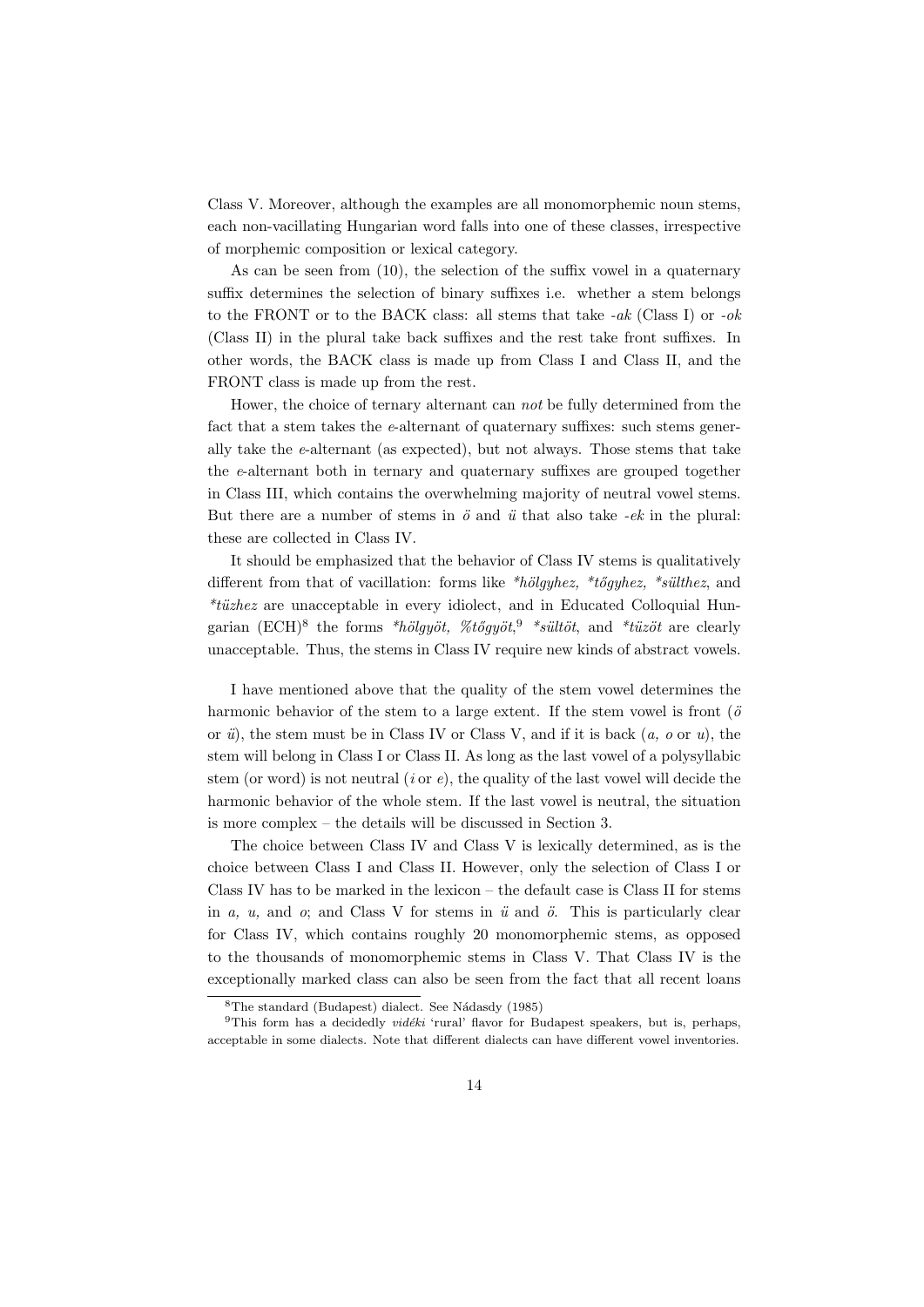Class V. Moreover, although the examples are all monomorphemic noun stems, each non-vacillating Hungarian word falls into one of these classes, irrespective of morphemic composition or lexical category.

As can be seen from (10), the selection of the suffix vowel in a quaternary suffix determines the selection of binary suffixes i.e. whether a stem belongs to the FRONT or to the BACK class: all stems that take  $-ak$  (Class I) or  $-ok$ (Class II) in the plural take back suffixes and the rest take front suffixes. In other words, the BACK class is made up from Class I and Class II, and the FRONT class is made up from the rest.

Hower, the choice of ternary alternant can not be fully determined from the fact that a stem takes the  $e$ -alternant of quaternary suffixes: such stems generally take the e-alternant (as expected), but not always. Those stems that take the e-alternant both in ternary and quaternary suffixes are grouped together in Class III, which contains the overwhelming majority of neutral vowel stems. But there are a number of stems in  $\ddot{o}$  and  $\ddot{u}$  that also take -ek in the plural: these are collected in Class IV.

It should be emphasized that the behavior of Class IV stems is qualitatively different from that of vacillation: forms like \*hölgyhez, \*tőgyhez, \*sülthez, and  $*$ tüzhez are unacceptable in every idiolect, and in Educated Colloquial Hungarian (ECH)<sup>8</sup> the forms \*hölgyöt, %tőgyöt,<sup>9</sup> \*sültöt, and \*tüzöt are clearly unacceptable. Thus, the stems in Class IV require new kinds of abstract vowels.

I have mentioned above that the quality of the stem vowel determines the harmonic behavior of the stem to a large extent. If the stem vowel is front  $(\ddot{o}$ or  $\ddot{u}$ , the stem must be in Class IV or Class V, and if it is back  $(a, o \text{ or } u)$ , the stem will belong in Class I or Class II. As long as the last vowel of a polysyllabic stem (or word) is not neutral (*i* or  $e$ ), the quality of the last vowel will decide the harmonic behavior of the whole stem. If the last vowel is neutral, the situation is more complex – the details will be discussed in Section 3.

The choice between Class IV and Class V is lexically determined, as is the choice between Class I and Class II. However, only the selection of Class I or Class IV has to be marked in the lexicon – the default case is Class II for stems in a, u, and  $o$ ; and Class V for stems in  $\ddot{u}$  and  $\ddot{o}$ . This is particularly clear for Class IV, which contains roughly 20 monomorphemic stems, as opposed to the thousands of monomorphemic stems in Class V. That Class IV is the exceptionally marked class can also be seen from the fact that all recent loans

 ${}^{8}$ The standard (Budapest) dialect. See Nádasdy (1985)

 $9$ This form has a decidedly *vidéki* 'rural' flavor for Budapest speakers, but is, perhaps, acceptable in some dialects. Note that different dialects can have different vowel inventories.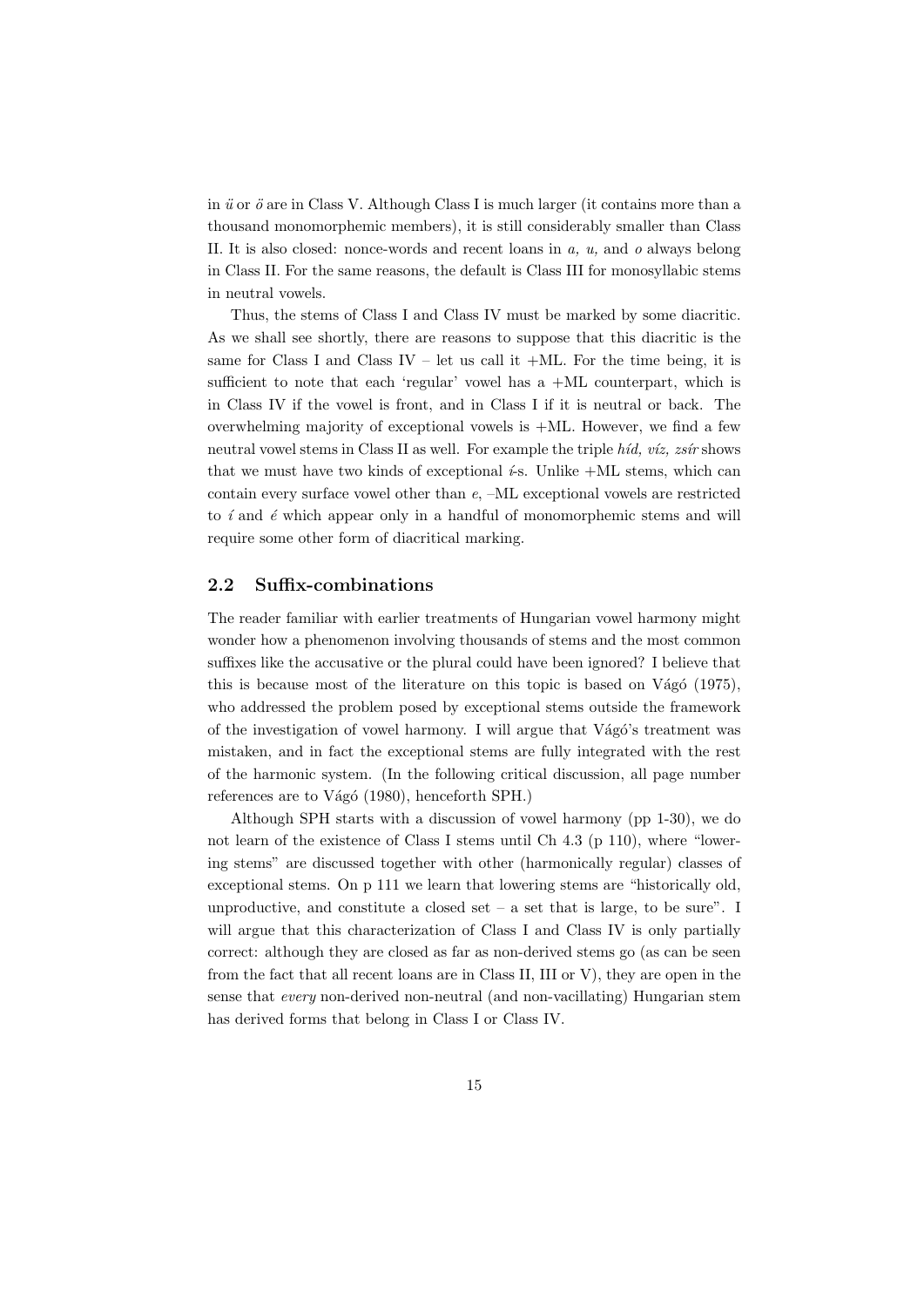in  $\ddot{u}$  or  $\ddot{o}$  are in Class V. Although Class I is much larger (it contains more than a thousand monomorphemic members), it is still considerably smaller than Class II. It is also closed: nonce-words and recent loans in a, u, and o always belong in Class II. For the same reasons, the default is Class III for monosyllabic stems in neutral vowels.

Thus, the stems of Class I and Class IV must be marked by some diacritic. As we shall see shortly, there are reasons to suppose that this diacritic is the same for Class I and Class IV – let us call it  $+ML$ . For the time being, it is sufficient to note that each 'regular' vowel has a +ML counterpart, which is in Class IV if the vowel is front, and in Class I if it is neutral or back. The overwhelming majority of exceptional vowels is +ML. However, we find a few neutral vowel stems in Class II as well. For example the triple  $h$ íd, víz, zsír shows that we must have two kinds of exceptional  $\epsilon$ -s. Unlike +ML stems, which can contain every surface vowel other than e, –ML exceptional vowels are restricted to  $i$  and  $\acute{e}$  which appear only in a handful of monomorphemic stems and will require some other form of diacritical marking.

## 2.2 Suffix-combinations

The reader familiar with earlier treatments of Hungarian vowel harmony might wonder how a phenomenon involving thousands of stems and the most common suffixes like the accusative or the plural could have been ignored? I believe that this is because most of the literature on this topic is based on Vágó  $(1975)$ , who addressed the problem posed by exceptional stems outside the framework of the investigation of vowel harmony. I will argue that Vágó's treatment was mistaken, and in fact the exceptional stems are fully integrated with the rest of the harmonic system. (In the following critical discussion, all page number references are to Vágó (1980), henceforth SPH.)

Although SPH starts with a discussion of vowel harmony (pp 1-30), we do not learn of the existence of Class I stems until Ch 4.3 (p 110), where "lowering stems" are discussed together with other (harmonically regular) classes of exceptional stems. On p 111 we learn that lowering stems are "historically old, unproductive, and constitute a closed set – a set that is large, to be sure". I will argue that this characterization of Class I and Class IV is only partially correct: although they are closed as far as non-derived stems go (as can be seen from the fact that all recent loans are in Class II, III or V), they are open in the sense that every non-derived non-neutral (and non-vacillating) Hungarian stem has derived forms that belong in Class I or Class IV.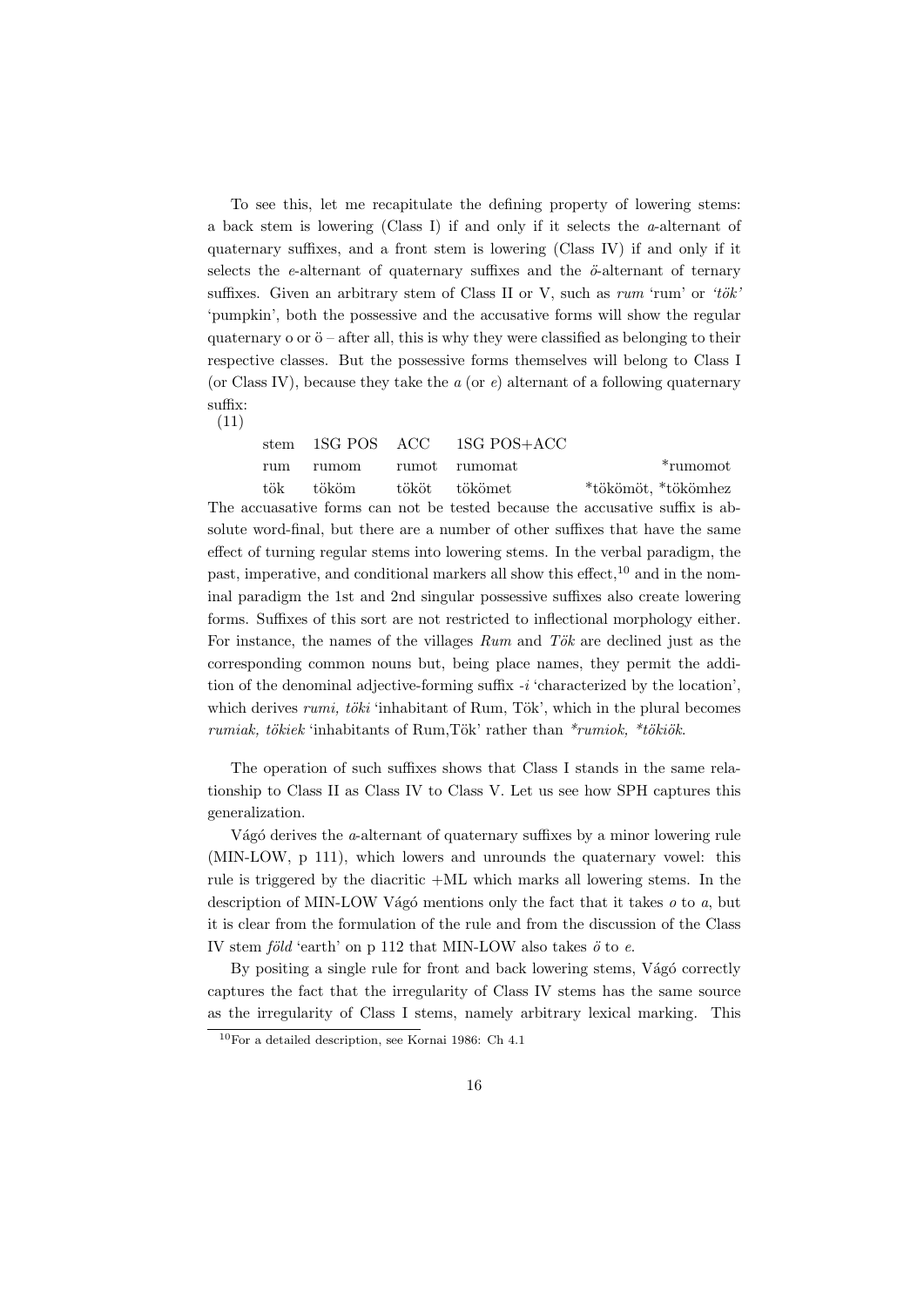To see this, let me recapitulate the defining property of lowering stems: a back stem is lowering (Class I) if and only if it selects the a-alternant of quaternary suffixes, and a front stem is lowering (Class IV) if and only if it selects the e-alternant of quaternary suffixes and the  $\ddot{\sigma}$ -alternant of ternary suffixes. Given an arbitrary stem of Class II or V, such as  $rum$  'rum' or 'tök' 'pumpkin', both the possessive and the accusative forms will show the regular quaternary o or  $\ddot{\mathrm{o}}$  – after all, this is why they were classified as belonging to their respective classes. But the possessive forms themselves will belong to Class I (or Class IV), because they take the  $a$  (or  $e$ ) alternant of a following quaternary suffix: (11)

stem 1SG POS ACC 1SG POS+ACC rum rumom rumot rumomat \*rumomot tök tököm tököt tökömet \*tökömöt, \*tökömhez The accuasative forms can not be tested because the accusative suffix is absolute word-final, but there are a number of other suffixes that have the same effect of turning regular stems into lowering stems. In the verbal paradigm, the past, imperative, and conditional markers all show this effect,  $10$  and in the nominal paradigm the 1st and 2nd singular possessive suffixes also create lowering forms. Suffixes of this sort are not restricted to inflectional morphology either. For instance, the names of the villages  $Run$  and  $Tök$  are declined just as the corresponding common nouns but, being place names, they permit the addition of the denominal adjective-forming suffix  $-i$  'characterized by the location', which derives rumi, töki 'inhabitant of Rum, Tök', which in the plural becomes rumiak, tökiek 'inhabitants of Rum,Tök' rather than  $*$ rumiok,  $*$ tökiök.

The operation of such suffixes shows that Class I stands in the same relationship to Class II as Class IV to Class V. Let us see how SPH captures this generalization.

Vágó derives the  $a$ -alternant of quaternary suffixes by a minor lowering rule (MIN-LOW, p 111), which lowers and unrounds the quaternary vowel: this rule is triggered by the diacritic +ML which marks all lowering stems. In the description of MIN-LOW Vágó mentions only the fact that it takes  $o$  to  $a$ , but it is clear from the formulation of the rule and from the discussion of the Class IV stem föld 'earth' on p 112 that MIN-LOW also takes  $\ddot{o}$  to  $e$ .

By positing a single rule for front and back lowering stems, Vágó correctly captures the fact that the irregularity of Class IV stems has the same source as the irregularity of Class I stems, namely arbitrary lexical marking. This

 $10$ For a detailed description, see Kornai 1986: Ch 4.1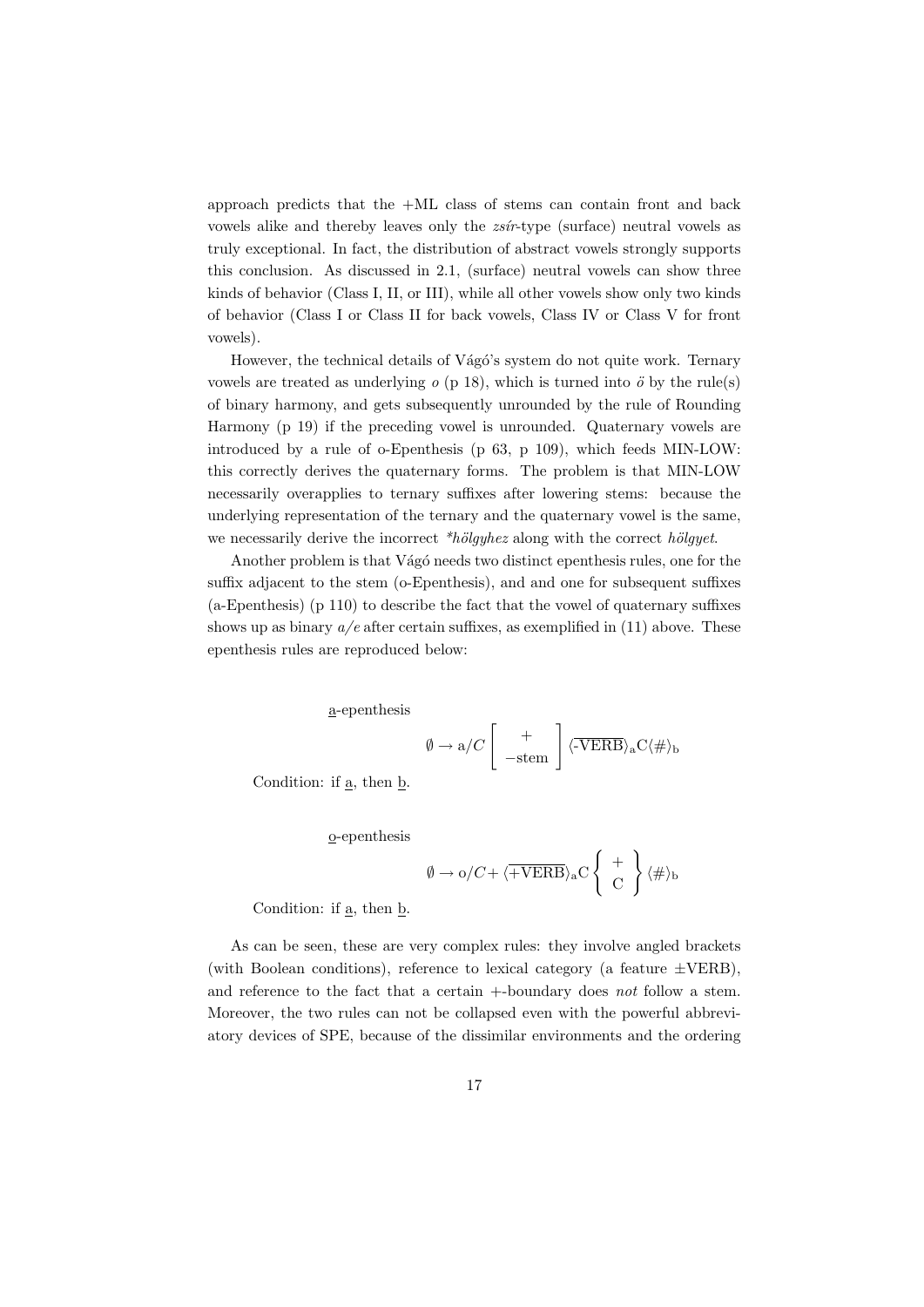approach predicts that the  $+ML$  class of stems can contain front and back vowels alike and thereby leaves only the  $zsir$ -type (surface) neutral vowels as truly exceptional. In fact, the distribution of abstract vowels strongly supports this conclusion. As discussed in 2.1, (surface) neutral vowels can show three kinds of behavior (Class I, II, or III), while all other vowels show only two kinds of behavior (Class I or Class II for back vowels, Class IV or Class V for front vowels).

However, the technical details of Vágó's system do not quite work. Ternary vowels are treated as underlying  $o$  (p 18), which is turned into  $\ddot{o}$  by the rule(s) of binary harmony, and gets subsequently unrounded by the rule of Rounding Harmony (p 19) if the preceding vowel is unrounded. Quaternary vowels are introduced by a rule of o-Epenthesis (p 63, p 109), which feeds MIN-LOW: this correctly derives the quaternary forms. The problem is that MIN-LOW necessarily overapplies to ternary suffixes after lowering stems: because the underlying representation of the ternary and the quaternary vowel is the same, we necessarily derive the incorrect  $*h\ddot{o}lquhez$  along with the correct h $\ddot{o}lquet$ .

Another problem is that Vágó needs two distinct epenthesis rules, one for the suffix adjacent to the stem (o-Epenthesis), and and one for subsequent suffixes (a-Epenthesis) (p 110) to describe the fact that the vowel of quaternary suffixes shows up as binary  $a/e$  after certain suffixes, as exemplified in (11) above. These epenthesis rules are reproduced below:

a-epenthesis

$$
\emptyset \to a/C \left[ \begin{array}{c} + \\ -\text{stem} \end{array} \right] \langle \overline{-\text{VERB}} \rangle_a C \langle \# \rangle_b
$$

Condition: if  $\underline{a}$ , then  $\underline{b}$ .

o-epenthesis

$$
\emptyset \to o/C + \langle \overline{+VERB} \rangle_a C \left\{ \begin{array}{c} + \\ C \end{array} \right\} \langle \# \rangle_b
$$

Condition: if a, then b.

As can be seen, these are very complex rules: they involve angled brackets (with Boolean conditions), reference to lexical category (a feature  $\pm$ VERB), and reference to the fact that a certain +-boundary does not follow a stem. Moreover, the two rules can not be collapsed even with the powerful abbreviatory devices of SPE, because of the dissimilar environments and the ordering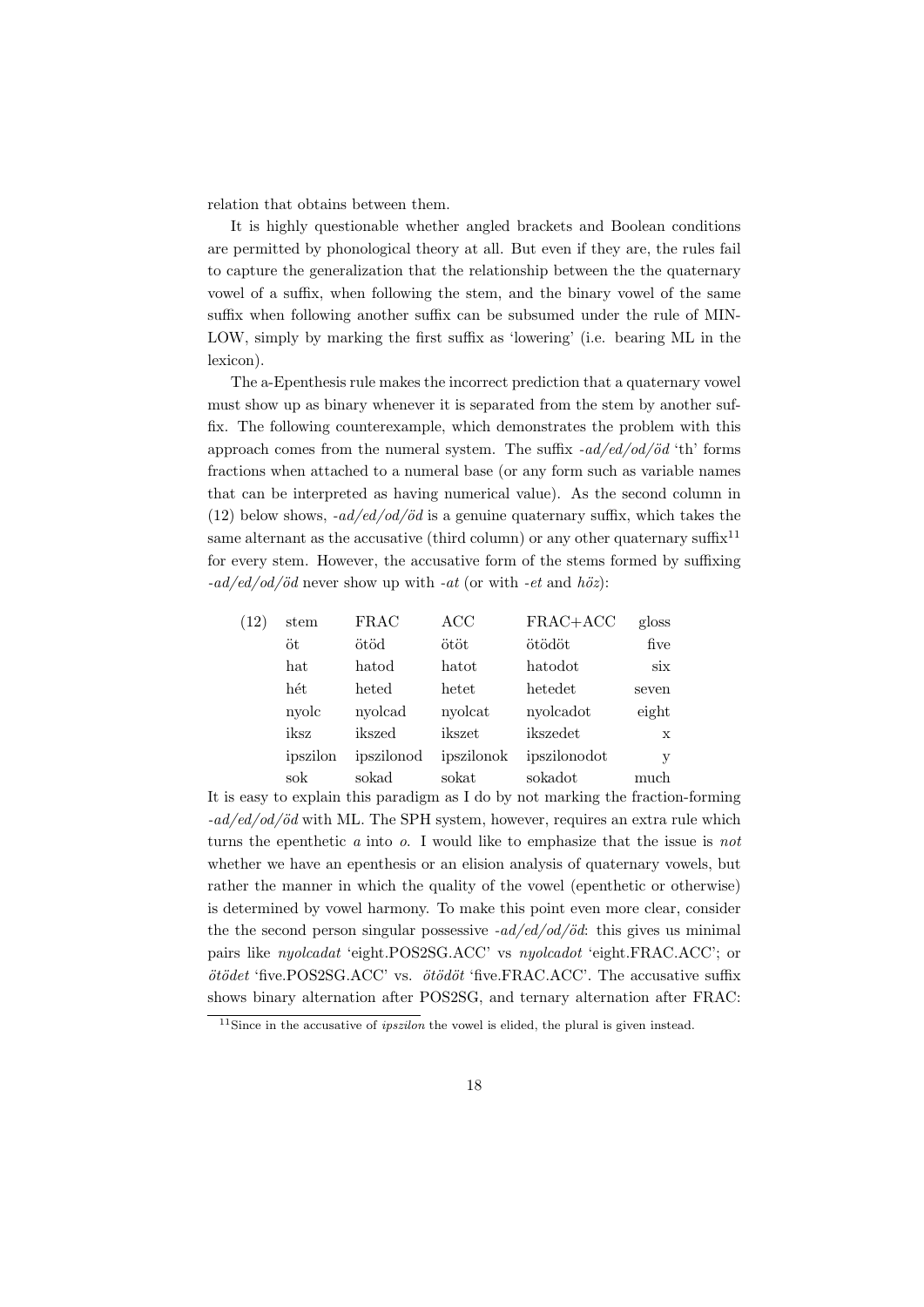relation that obtains between them.

It is highly questionable whether angled brackets and Boolean conditions are permitted by phonological theory at all. But even if they are, the rules fail to capture the generalization that the relationship between the the quaternary vowel of a suffix, when following the stem, and the binary vowel of the same suffix when following another suffix can be subsumed under the rule of MIN-LOW, simply by marking the first suffix as 'lowering' (i.e. bearing ML in the lexicon).

The a-Epenthesis rule makes the incorrect prediction that a quaternary vowel must show up as binary whenever it is separated from the stem by another suffix. The following counterexample, which demonstrates the problem with this approach comes from the numeral system. The suffix  $-ad/ed/od/öd$  'th' forms fractions when attached to a numeral base (or any form such as variable names that can be interpreted as having numerical value). As the second column in (12) below shows,  $-ad/ed/od/öd$  is a genuine quaternary suffix, which takes the same alternant as the accusative (third column) or any other quaternary suffix<sup>11</sup> for every stem. However, the accusative form of the stems formed by suffixing  $-ad/ed/od/öd$  never show up with  $-at$  (or with  $-et$  and  $h\ddot{o}z)$ :

| (12) | stem     | <b>FRAC</b> | ACC        | FRAC+ACC     | gloss |
|------|----------|-------------|------------|--------------|-------|
|      | öt       | ötöd        | ötöt       | ötödöt       | five  |
|      | hat      | hatod       | hatot      | hatodot      | six   |
|      | hét      | heted       | hetet      | hetedet      | seven |
|      | nyolc    | nyolcad     | nyolcat    | nyolcadot    | eight |
|      | iksz     | ikszed      | ikszet     | ikszedet     | X     |
|      | ipszilon | ipszilonod  | ipszilonok | ipszilonodot | у     |
|      | sok      | sokad       | sokat      | sokadot      | much  |

It is easy to explain this paradigm as I do by not marking the fraction-forming  $-ad/ed/od/öd$  with ML. The SPH system, however, requires an extra rule which turns the epenthetic a into o. I would like to emphasize that the issue is not whether we have an epenthesis or an elision analysis of quaternary vowels, but rather the manner in which the quality of the vowel (epenthetic or otherwise) is determined by vowel harmony. To make this point even more clear, consider the the second person singular possessive  $-ad/ed/od/\ddot{o}d$ : this gives us minimal pairs like nyolcadat 'eight.POS2SG.ACC' vs nyolcadot 'eight.FRAC.ACC'; or  $ötödet$  'five.POS2SG.ACC' vs.  $ötödöt$  'five.FRAC.ACC'. The accusative suffix shows binary alternation after POS2SG, and ternary alternation after FRAC:

 $11$ Since in the accusative of *ipszilon* the vowel is elided, the plural is given instead.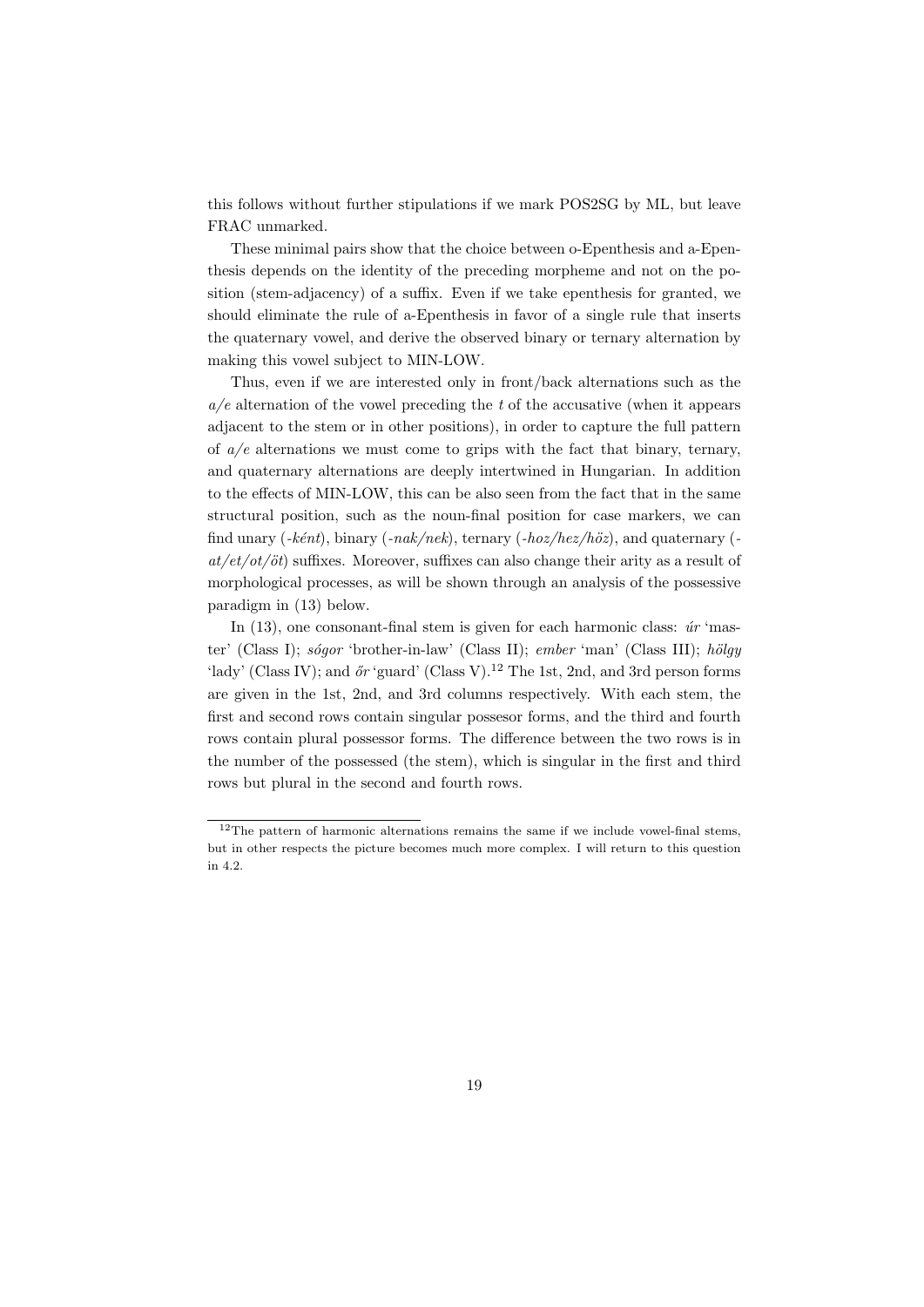this follows without further stipulations if we mark POS2SG by ML, but leave FRAC unmarked.

These minimal pairs show that the choice between o-Epenthesis and a-Epenthesis depends on the identity of the preceding morpheme and not on the position (stem-adjacency) of a suffix. Even if we take epenthesis for granted, we should eliminate the rule of a-Epenthesis in favor of a single rule that inserts the quaternary vowel, and derive the observed binary or ternary alternation by making this vowel subject to MIN-LOW.

Thus, even if we are interested only in front/back alternations such as the  $a/e$  alternation of the vowel preceding the t of the accusative (when it appears adjacent to the stem or in other positions), in order to capture the full pattern of  $a/e$  alternations we must come to grips with the fact that binary, ternary, and quaternary alternations are deeply intertwined in Hungarian. In addition to the effects of MIN-LOW, this can be also seen from the fact that in the same structural position, such as the noun-final position for case markers, we can find unary (-ként), binary (-nak/nek), ternary (-hoz/hez/höz), and quaternary ( $at/et/ot/öt)$  suffixes. Moreover, suffixes can also change their arity as a result of morphological processes, as will be shown through an analysis of the possessive paradigm in (13) below.

In  $(13)$ , one consonant-final stem is given for each harmonic class:  $\acute{u}r$  'master' (Class I); sofqor 'brother-in-law' (Class II); ember 'man' (Class III); hölgy 'lady' (Class IV); and  $\delta r$ 'guard' (Class V).<sup>12</sup> The 1st, 2nd, and 3rd person forms are given in the 1st, 2nd, and 3rd columns respectively. With each stem, the first and second rows contain singular possesor forms, and the third and fourth rows contain plural possessor forms. The difference between the two rows is in the number of the possessed (the stem), which is singular in the first and third rows but plural in the second and fourth rows.

 $12$ The pattern of harmonic alternations remains the same if we include vowel-final stems, but in other respects the picture becomes much more complex. I will return to this question in 4.2.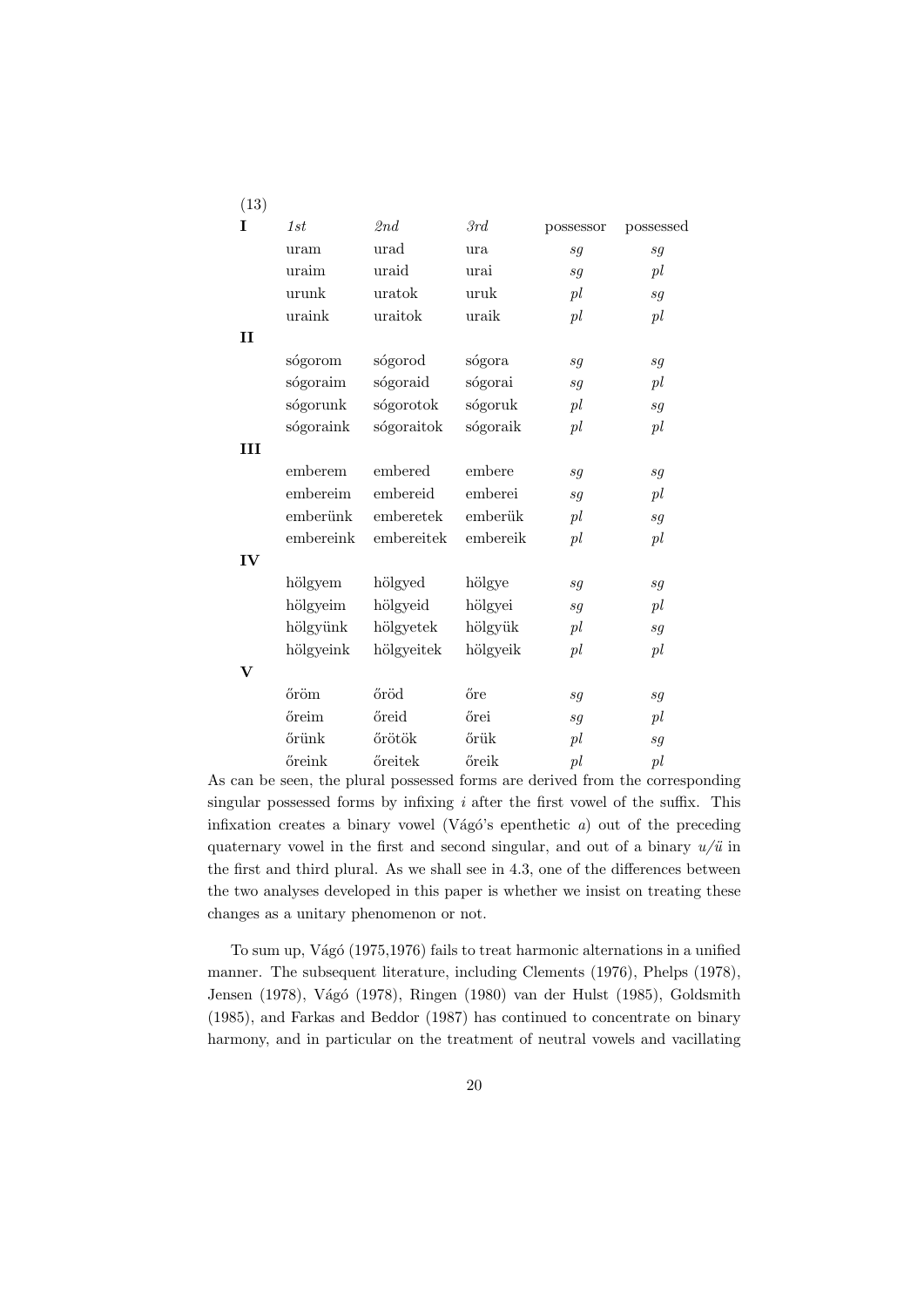| (13)         |           |            |          |           |                            |
|--------------|-----------|------------|----------|-----------|----------------------------|
| T            | 1st       | 2nd        | 3rd      | possessor | possessed                  |
|              | uram      | urad       | ura      | sg        | sg                         |
|              | uraim     | uraid      | urai     | sq        | pl                         |
|              | urunk     | uratok     | uruk     | pl        | sg                         |
|              | uraink    | uraitok    | uraik    | pl        | pl                         |
| $\mathbf{I}$ |           |            |          |           |                            |
|              | sógorom   | sógorod    | sógora   | sg        | sg                         |
|              | sógoraim  | sógoraid   | sógorai  | sg        | pl                         |
|              | sógorunk  | sógorotok  | sógoruk  | pl        | sg                         |
|              | sógoraink | sógoraitok | sógoraik | pl        | pl                         |
| <b>III</b>   |           |            |          |           |                            |
|              | emberem   | embered    | embere   | sg        | sg                         |
|              | embereim  | embereid   | emberei  | sg        | pl                         |
|              | emberünk  | emberetek  | emberük  | pl        | sg                         |
|              | embereink | embereitek | embereik | pl        | pl                         |
| IV           |           |            |          |           |                            |
|              | hölgyem   | hölgyed    | hölgye   | sg        | $\mathfrak{s}\mathfrak{g}$ |
|              | hölgyeim  | hölgyeid   | hölgyei  | sg        | pl                         |
|              | hölgyünk  | hölgyetek  | hölgyük  | pl        | sg                         |
|              | hölgyeink | hölgyeitek | hölgyeik | pl        | pl                         |
| $\mathbf{V}$ |           |            |          |           |                            |
|              | őröm      | őröd       | őre      | sg        | $\mathfrak{s}\mathfrak{g}$ |
|              | őreim     | őreid      | őrei     | sg        | pl                         |
|              | őrünk     | őrötök     | őrük     | pl        | sg                         |
|              | őreink    | őreitek    | őreik    | pl        | pl                         |

As can be seen, the plural possessed forms are derived from the corresponding singular possessed forms by infixing  $i$  after the first vowel of the suffix. This infixation creates a binary vowel (Vágó's epenthetic  $a$ ) out of the preceding quaternary vowel in the first and second singular, and out of a binary  $u/\ddot{u}$  in the first and third plural. As we shall see in 4.3, one of the differences between the two analyses developed in this paper is whether we insist on treating these changes as a unitary phenomenon or not.

To sum up, Vágó (1975,1976) fails to treat harmonic alternations in a unified manner. The subsequent literature, including Clements (1976), Phelps (1978), Jensen (1978), Vágó (1978), Ringen (1980) van der Hulst (1985), Goldsmith (1985), and Farkas and Beddor (1987) has continued to concentrate on binary harmony, and in particular on the treatment of neutral vowels and vacillating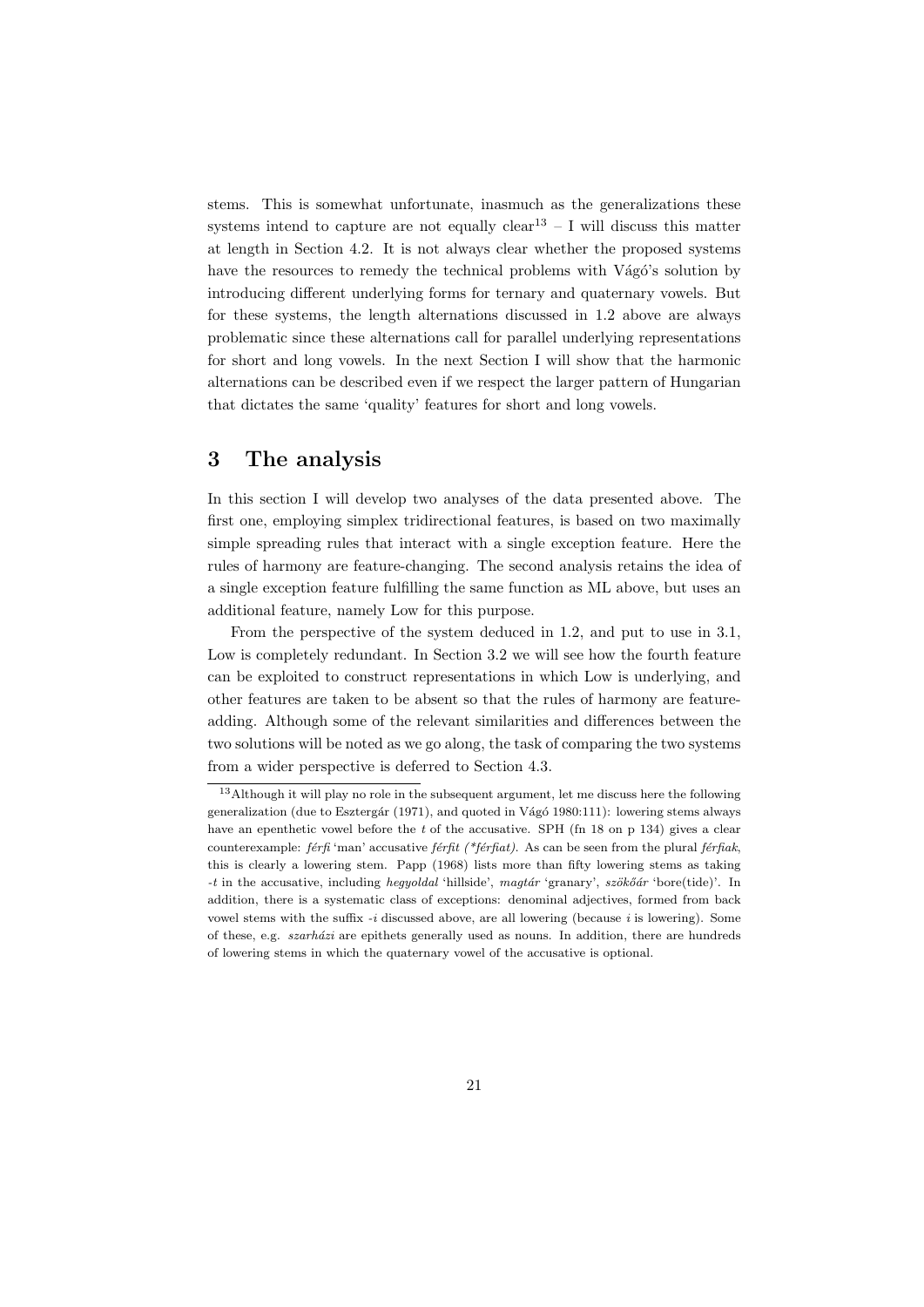stems. This is somewhat unfortunate, inasmuch as the generalizations these systems intend to capture are not equally  $clear^{13} - I$  will discuss this matter at length in Section 4.2. It is not always clear whether the proposed systems have the resources to remedy the technical problems with Vágó's solution by introducing different underlying forms for ternary and quaternary vowels. But for these systems, the length alternations discussed in 1.2 above are always problematic since these alternations call for parallel underlying representations for short and long vowels. In the next Section I will show that the harmonic alternations can be described even if we respect the larger pattern of Hungarian that dictates the same 'quality' features for short and long vowels.

# 3 The analysis

In this section I will develop two analyses of the data presented above. The first one, employing simplex tridirectional features, is based on two maximally simple spreading rules that interact with a single exception feature. Here the rules of harmony are feature-changing. The second analysis retains the idea of a single exception feature fulfilling the same function as ML above, but uses an additional feature, namely Low for this purpose.

From the perspective of the system deduced in 1.2, and put to use in 3.1, Low is completely redundant. In Section 3.2 we will see how the fourth feature can be exploited to construct representations in which Low is underlying, and other features are taken to be absent so that the rules of harmony are featureadding. Although some of the relevant similarities and differences between the two solutions will be noted as we go along, the task of comparing the two systems from a wider perspective is deferred to Section 4.3.

<sup>13</sup>Although it will play no role in the subsequent argument, let me discuss here the following generalization (due to Esztergár (1971), and quoted in Vágó 1980:111): lowering stems always have an epenthetic vowel before the t of the accusative. SPH (fn 18 on p 134) gives a clear counterexample: férfi 'man' accusative férfit (\*férfiat). As can be seen from the plural férfiak, this is clearly a lowering stem. Papp (1968) lists more than fifty lowering stems as taking -t in the accusative, including hegyoldal 'hillside', magtár 'granary', szökőár 'bore(tide)'. In addition, there is a systematic class of exceptions: denominal adjectives, formed from back vowel stems with the suffix  $-i$  discussed above, are all lowering (because i is lowering). Some of these, e.g.  $szarházi$  are epithets generally used as nouns. In addition, there are hundreds of lowering stems in which the quaternary vowel of the accusative is optional.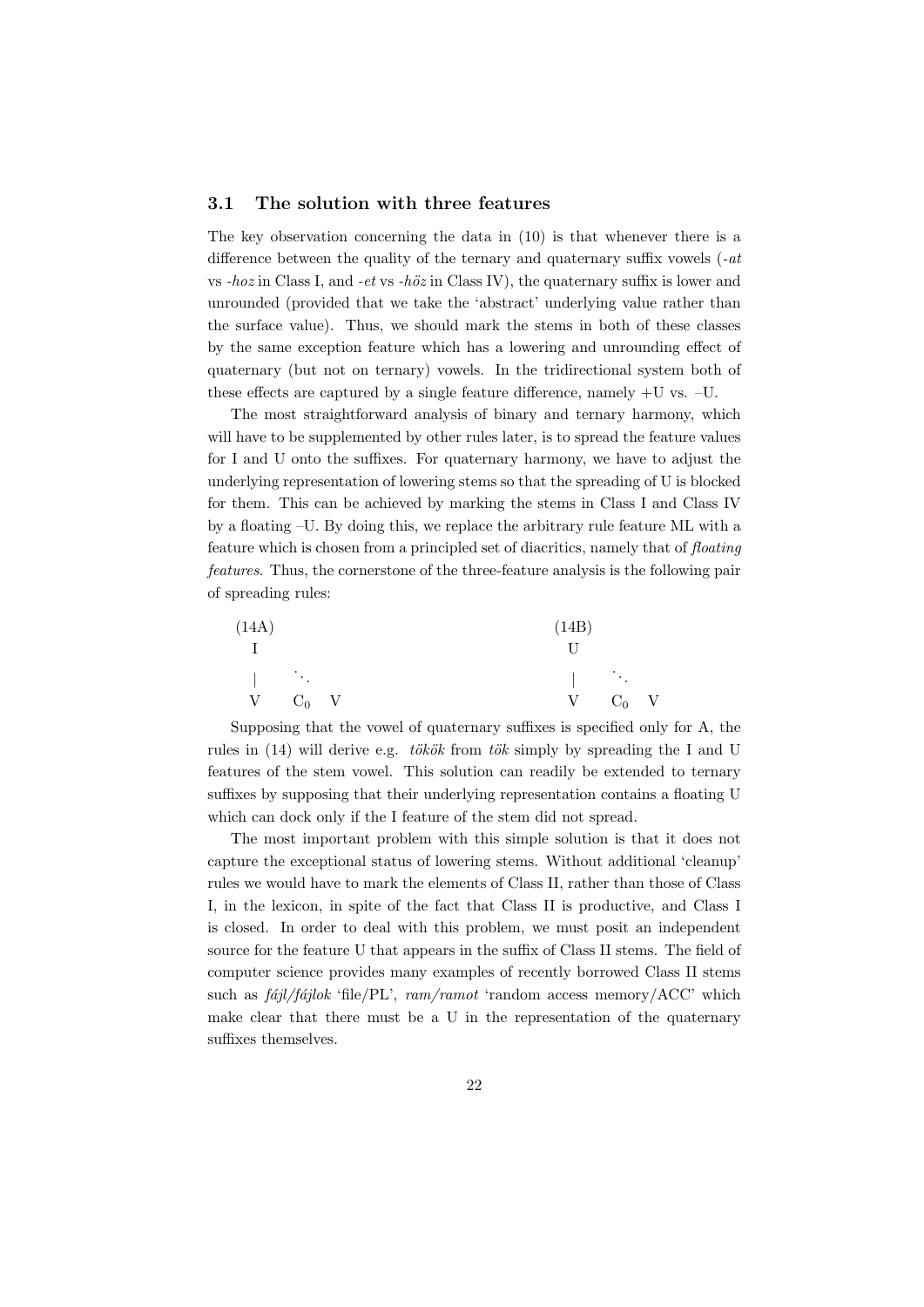### 3.1 The solution with three features

The key observation concerning the data in (10) is that whenever there is a difference between the quality of the ternary and quaternary suffix vowels  $(-at$ vs  $-hoz$  in Class I, and  $-et$  vs  $-h\ddot{o}z$  in Class IV), the quaternary suffix is lower and unrounded (provided that we take the 'abstract' underlying value rather than the surface value). Thus, we should mark the stems in both of these classes by the same exception feature which has a lowering and unrounding effect of quaternary (but not on ternary) vowels. In the tridirectional system both of these effects are captured by a single feature difference, namely +U vs. –U.

The most straightforward analysis of binary and ternary harmony, which will have to be supplemented by other rules later, is to spread the feature values for I and U onto the suffixes. For quaternary harmony, we have to adjust the underlying representation of lowering stems so that the spreading of U is blocked for them. This can be achieved by marking the stems in Class I and Class IV by a floating –U. By doing this, we replace the arbitrary rule feature ML with a feature which is chosen from a principled set of diacritics, namely that of floating features. Thus, the cornerstone of the three-feature analysis is the following pair of spreading rules:

| (14A)                                      |               |  |  | (14B)                                                                                                            |               |  |
|--------------------------------------------|---------------|--|--|------------------------------------------------------------------------------------------------------------------|---------------|--|
|                                            |               |  |  |                                                                                                                  |               |  |
| $\mathbb{R}^n$ . The set of $\mathbb{R}^n$ |               |  |  | $\mathbb{E}[\mathbf{z}^{\top} \mathbf{z}^{\top}]$ . The set of $\mathbb{E}[\mathbf{z}^{\top} \mathbf{z}^{\top}]$ |               |  |
|                                            | $V$ $C_0$ $V$ |  |  |                                                                                                                  | $V$ $C_0$ $V$ |  |

Supposing that the vowel of quaternary suffixes is specified only for A, the rules in (14) will derive e.g. tökök from tök simply by spreading the I and U features of the stem vowel. This solution can readily be extended to ternary suffixes by supposing that their underlying representation contains a floating U which can dock only if the I feature of the stem did not spread.

The most important problem with this simple solution is that it does not capture the exceptional status of lowering stems. Without additional 'cleanup' rules we would have to mark the elements of Class II, rather than those of Class I, in the lexicon, in spite of the fact that Class II is productive, and Class I is closed. In order to deal with this problem, we must posit an independent source for the feature U that appears in the suffix of Class II stems. The field of computer science provides many examples of recently borrowed Class II stems such as  $f\acute{a}jl/f\acute{a}jlok$  'file/PL',  $ram/ramot$  'random access memory/ACC' which make clear that there must be a U in the representation of the quaternary suffixes themselves.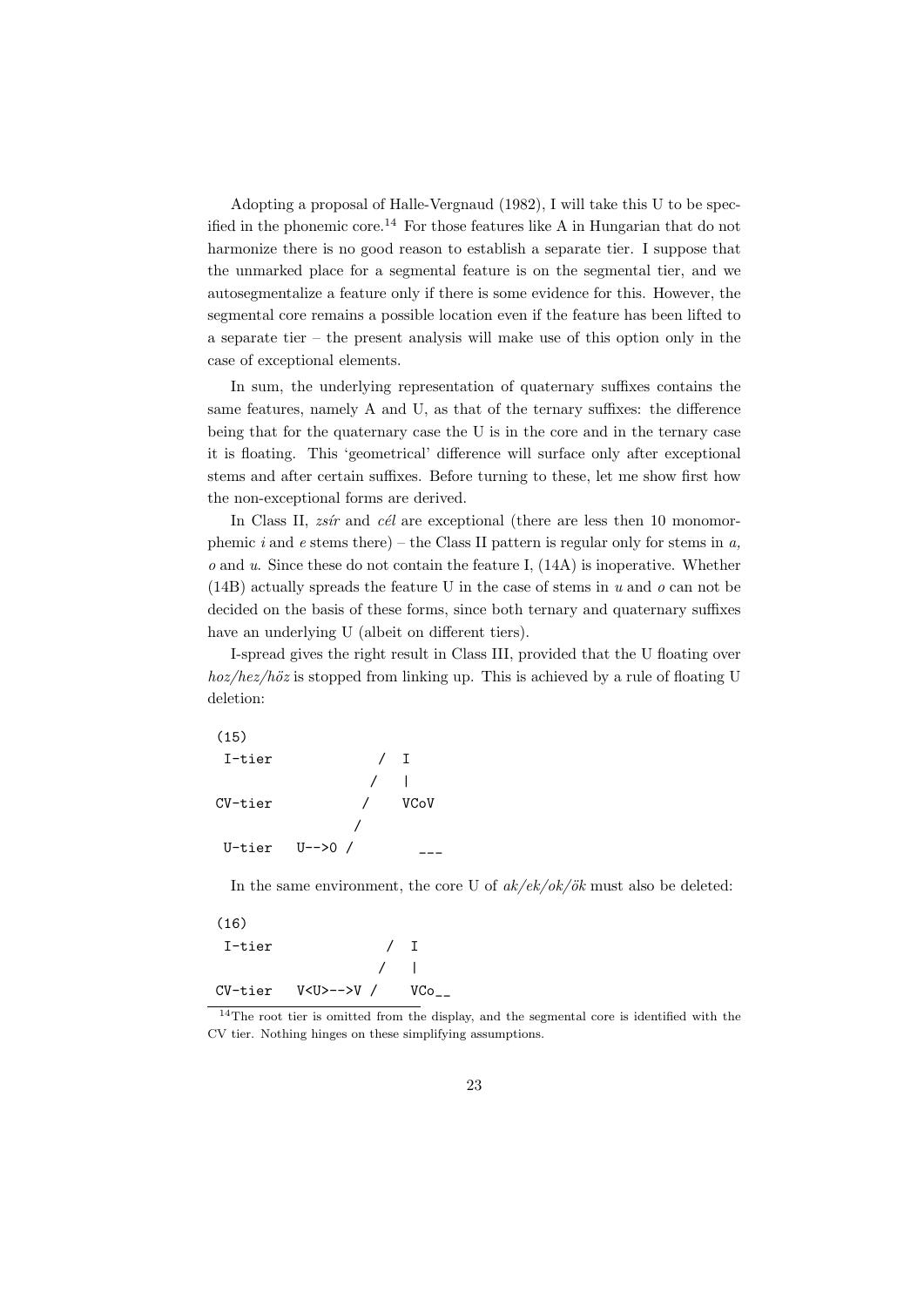Adopting a proposal of Halle-Vergnaud (1982), I will take this U to be specified in the phonemic core.<sup>14</sup> For those features like A in Hungarian that do not harmonize there is no good reason to establish a separate tier. I suppose that the unmarked place for a segmental feature is on the segmental tier, and we autosegmentalize a feature only if there is some evidence for this. However, the segmental core remains a possible location even if the feature has been lifted to a separate tier – the present analysis will make use of this option only in the case of exceptional elements.

In sum, the underlying representation of quaternary suffixes contains the same features, namely A and U, as that of the ternary suffixes: the difference being that for the quaternary case the U is in the core and in the ternary case it is floating. This 'geometrical' difference will surface only after exceptional stems and after certain suffixes. Before turning to these, let me show first how the non-exceptional forms are derived.

In Class II, *zsir* and *c* $\acute{e}l$  are exceptional (there are less then 10 monomorphemic i and e stems there) – the Class II pattern is regular only for stems in  $a$ ,  $o$  and  $u$ . Since these do not contain the feature I,  $(14A)$  is inoperative. Whether (14B) actually spreads the feature U in the case of stems in  $u$  and  $o$  can not be decided on the basis of these forms, since both ternary and quaternary suffixes have an underlying U (albeit on different tiers).

I-spread gives the right result in Class III, provided that the U floating over  $hoz/hez/höz$  is stopped from linking up. This is achieved by a rule of floating U deletion:

(15) I-tier / I  $\mathbf{I}$ CV-tier / VCoV / U-tier  $U-->0$  /

In the same environment, the core U of  $ak/ek/ok/ök$  must also be deleted:

| (16)   |                                          |            |  |
|--------|------------------------------------------|------------|--|
| I-tier |                                          | $\sqrt{1}$ |  |
|        |                                          |            |  |
|        | $CV - tier$ $V < U > - >> V$ / $VCo_{-}$ |            |  |

<sup>&</sup>lt;sup>14</sup>The root tier is omitted from the display, and the segmental core is identified with the CV tier. Nothing hinges on these simplifying assumptions.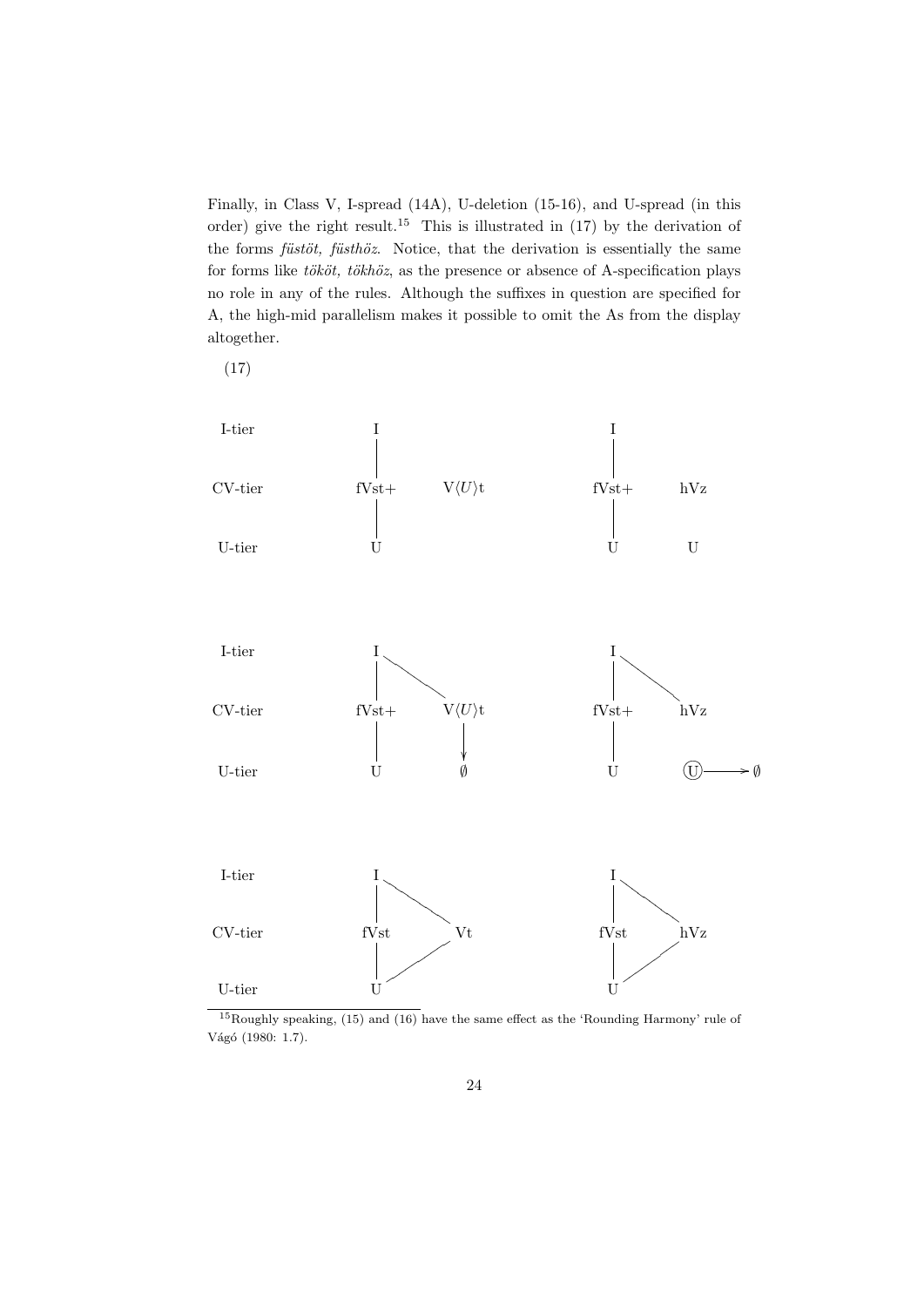Finally, in Class V, I-spread (14A), U-deletion (15-16), and U-spread (in this order) give the right result.<sup>15</sup> This is illustrated in  $(17)$  by the derivation of the forms  $f\ddot{u}st\ddot{o}t$ ,  $f\ddot{u}st\ddot{o}z$ . Notice, that the derivation is essentially the same for forms like  $t\ddot{o}k\ddot{o}t$ ,  $t\ddot{o}kh\ddot{o}z$ , as the presence or absence of A-specification plays no role in any of the rules. Although the suffixes in question are specified for A, the high-mid parallelism makes it possible to omit the As from the display altogether.

(17)



 $15$ Roughly speaking, (15) and (16) have the same effect as the 'Rounding Harmony' rule of Vágó (1980: 1.7).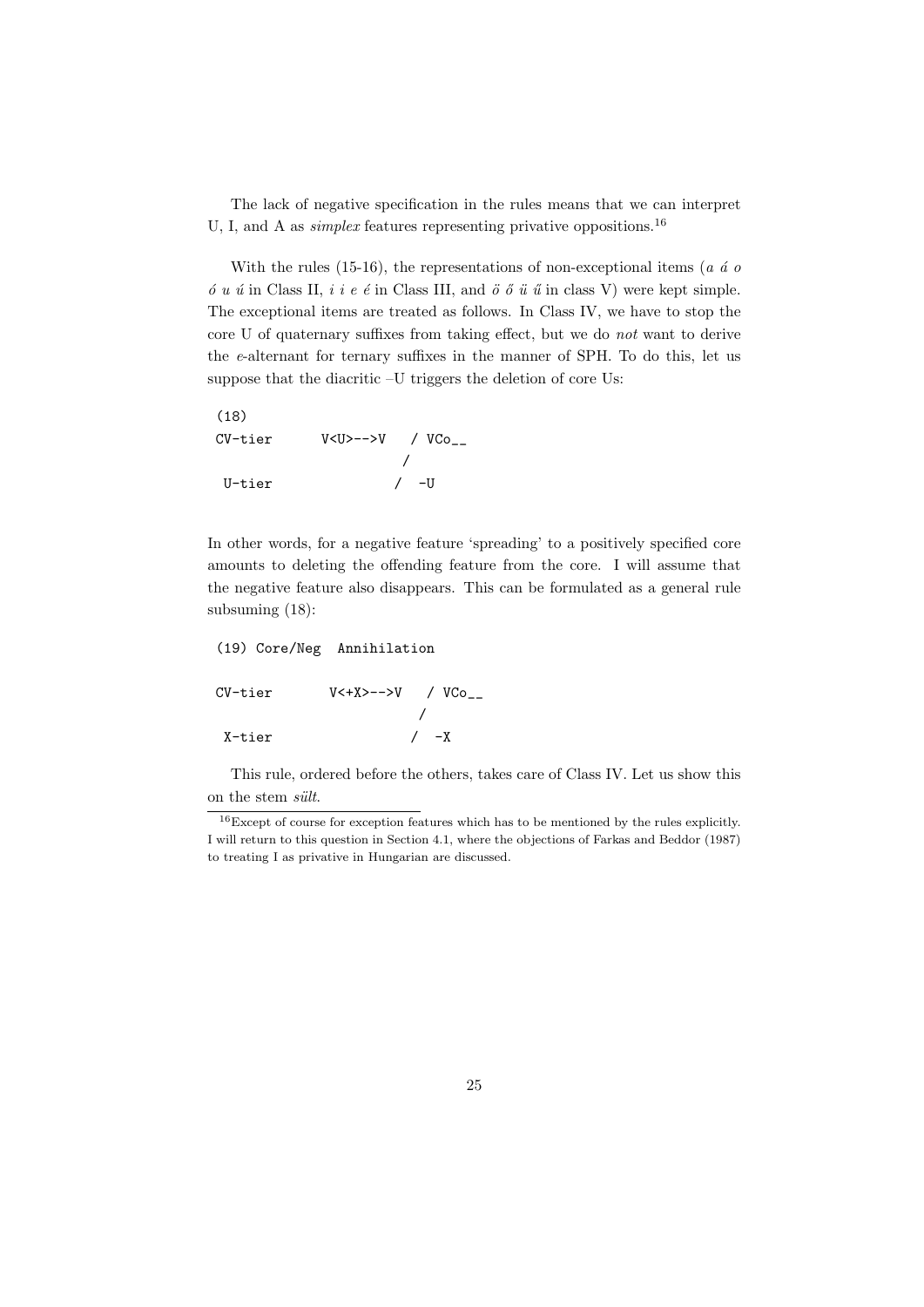The lack of negative specification in the rules means that we can interpret U, I, and A as *simplex* features representing privative oppositions.<sup>16</sup>

With the rules (15-16), the representations of non-exceptional items ( $a \dot{a} o$  $\acute{o}u$   $\acute{u}$  in Class II,  $i$  i e  $\acute{e}$  in Class III, and  $\ddot{o}$   $\ddot{o}$   $\ddot{u}$   $\ddot{u}$  in class V) were kept simple. The exceptional items are treated as follows. In Class IV, we have to stop the core U of quaternary suffixes from taking effect, but we do not want to derive the e-alternant for ternary suffixes in the manner of SPH. To do this, let us suppose that the diacritic –U triggers the deletion of core Us:

| (18)        |                           |        |
|-------------|---------------------------|--------|
| $CV - tier$ | $V < U > - >> V$ / $V Co$ |        |
|             |                           |        |
| U-tier      |                           | $/$ -U |

In other words, for a negative feature 'spreading' to a positively specified core amounts to deleting the offending feature from the core. I will assume that the negative feature also disappears. This can be formulated as a general rule subsuming (18):

# (19) Core/Neg Annihilation  $CV - tier$   $V \leftarrow X \rightarrow - \rightarrow V$  /  $VCo$ / X-tier / -X

This rule, ordered before the others, takes care of Class IV. Let us show this on the stem sült.

<sup>16</sup>Except of course for exception features which has to be mentioned by the rules explicitly. I will return to this question in Section 4.1, where the objections of Farkas and Beddor (1987) to treating I as privative in Hungarian are discussed.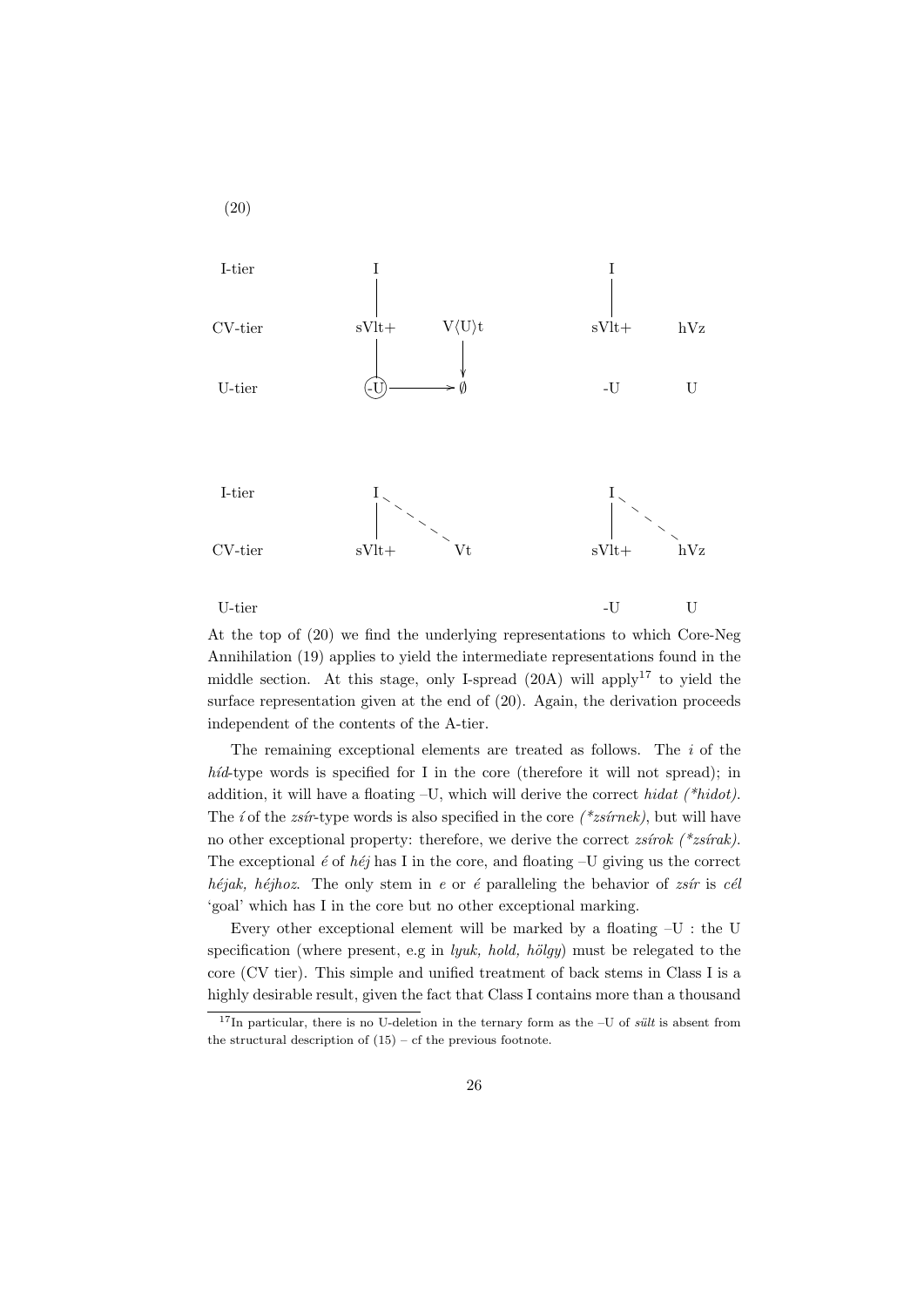

At the top of (20) we find the underlying representations to which Core-Neg Annihilation (19) applies to yield the intermediate representations found in the middle section. At this stage, only I-spread  $(20A)$  will apply<sup>17</sup> to yield the surface representation given at the end of  $(20)$ . Again, the derivation proceeds independent of the contents of the A-tier.

The remaining exceptional elements are treated as follows. The  $i$  of the  $h$ id-type words is specified for I in the core (therefore it will not spread); in addition, it will have a floating  $-U$ , which will derive the correct hidat (\*hidot). The *i* of the *zsir*-type words is also specified in the core (\**zsirnek*), but will have no other exceptional property: therefore, we derive the correct  $z\sin(kx)$  (\* $z\sin(kx)$ ). The exceptional  $\acute{e}$  of  $h\acute{e}j$  has I in the core, and floating –U giving us the correct héjak, héjhoz. The only stem in e or é paralleling the behavior of  $z\sin i\pi$  is cél 'goal' which has I in the core but no other exceptional marking.

Every other exceptional element will be marked by a floating –U : the U specification (where present, e.g in *lyuk, hold, hölgy*) must be relegated to the core (CV tier). This simple and unified treatment of back stems in Class I is a highly desirable result, given the fact that Class I contains more than a thousand

 $17$ In particular, there is no U-deletion in the ternary form as the –U of *sult* is absent from the structural description of  $(15)$  – cf the previous footnote.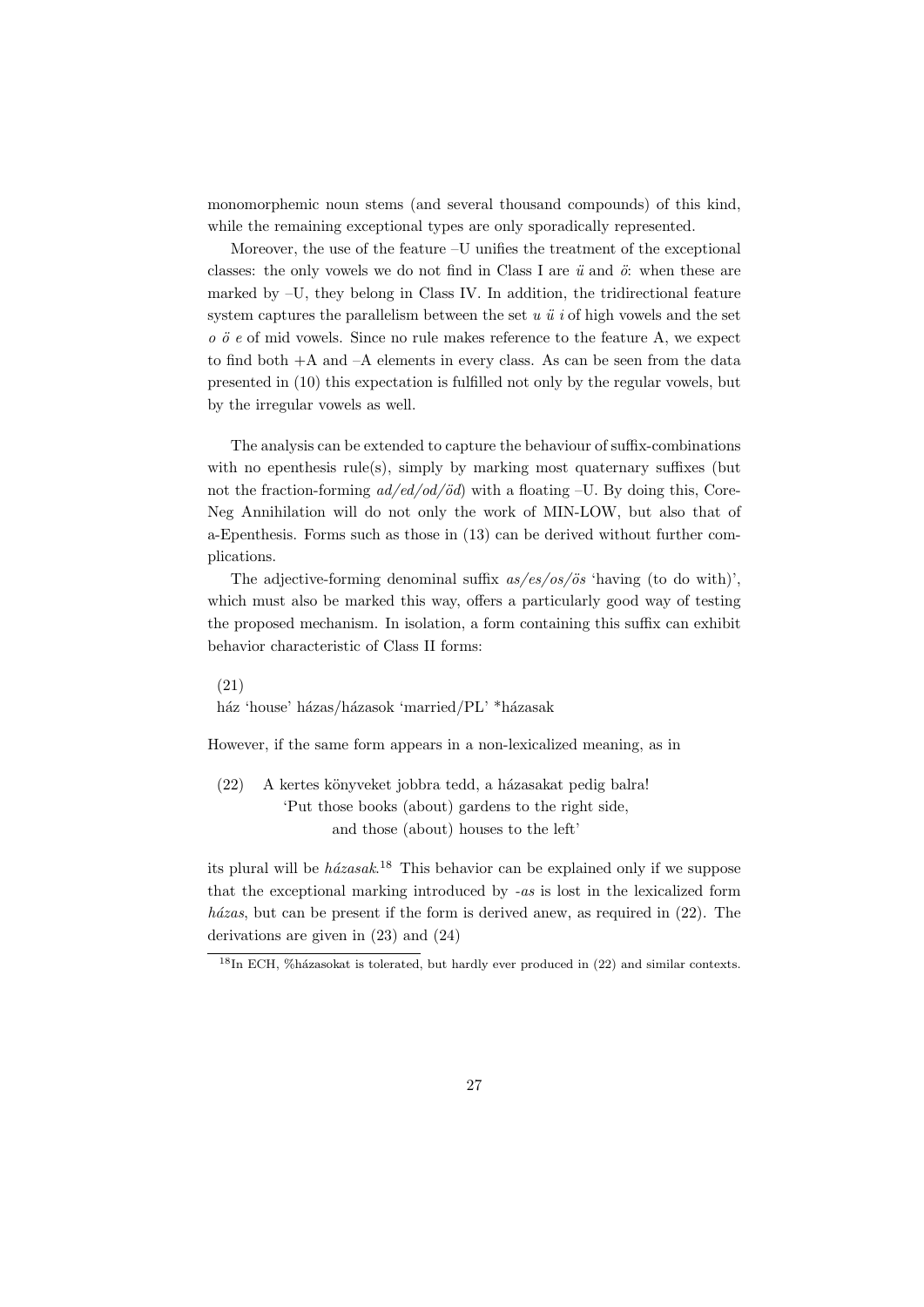monomorphemic noun stems (and several thousand compounds) of this kind, while the remaining exceptional types are only sporadically represented.

Moreover, the use of the feature –U unifies the treatment of the exceptional classes: the only vowels we do not find in Class I are  $\ddot{u}$  and  $\ddot{o}$ : when these are marked by –U, they belong in Class IV. In addition, the tridirectional feature system captures the parallelism between the set  $u \ddot{u} i$  of high vowels and the set  $\overline{o}$   $\overline{o}$  e of mid vowels. Since no rule makes reference to the feature A, we expect to find both +A and –A elements in every class. As can be seen from the data presented in (10) this expectation is fulfilled not only by the regular vowels, but by the irregular vowels as well.

The analysis can be extended to capture the behaviour of suffix-combinations with no epenthesis rule(s), simply by marking most quaternary suffixes (but not the fraction-forming  $ad/ed/od/öd$ ) with a floating –U. By doing this, Core-Neg Annihilation will do not only the work of MIN-LOW, but also that of a-Epenthesis. Forms such as those in (13) can be derived without further complications.

The adjective-forming denominal suffix  $as/es/os/ös$  'having (to do with)', which must also be marked this way, offers a particularly good way of testing the proposed mechanism. In isolation, a form containing this suffix can exhibit behavior characteristic of Class II forms:

(21)

ház 'house' házas/házasok 'married/PL' \*házasak

However, if the same form appears in a non-lexicalized meaning, as in

(22) A kertes könyveket jobbra tedd, a házasakat pedig balra! 'Put those books (about) gardens to the right side, and those (about) houses to the left'

its plural will be  $h\acute{a}zasak$ <sup>18</sup> This behavior can be explained only if we suppose that the exceptional marking introduced by -as is lost in the lexicalized form házas, but can be present if the form is derived anew, as required in  $(22)$ . The derivations are given in (23) and (24)

 $18$ In ECH, %házasokat is tolerated, but hardly ever produced in (22) and similar contexts.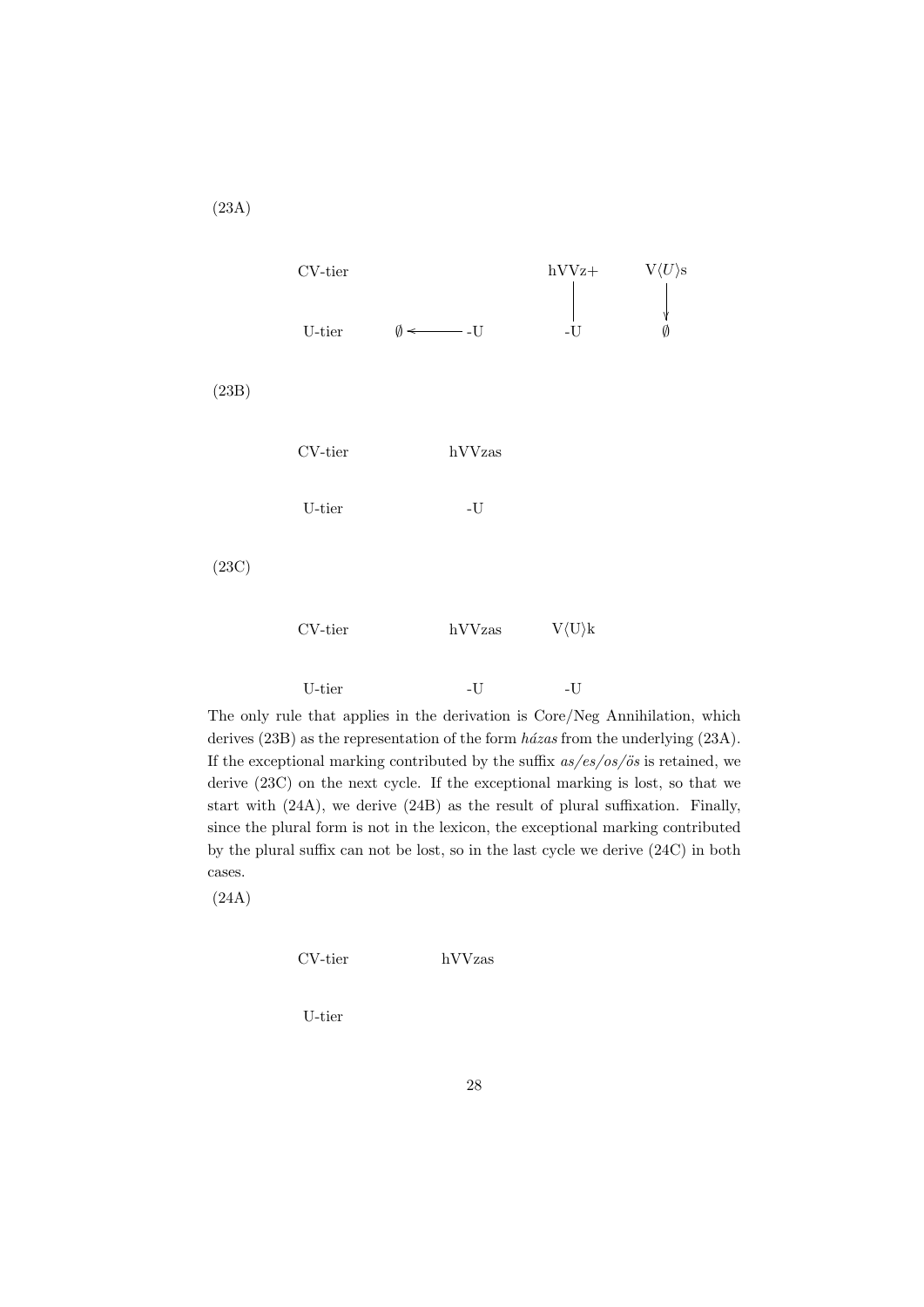

The only rule that applies in the derivation is Core/Neg Annihilation, which derives  $(23B)$  as the representation of the form  $h\acute{a}zas$  from the underlying  $(23A)$ . If the exceptional marking contributed by the suffix  $as/es/os/ös$  is retained, we derive (23C) on the next cycle. If the exceptional marking is lost, so that we start with (24A), we derive (24B) as the result of plural suffixation. Finally, since the plural form is not in the lexicon, the exceptional marking contributed by the plural suffix can not be lost, so in the last cycle we derive (24C) in both cases.

(24A)

CV-tier hVVzas

U-tier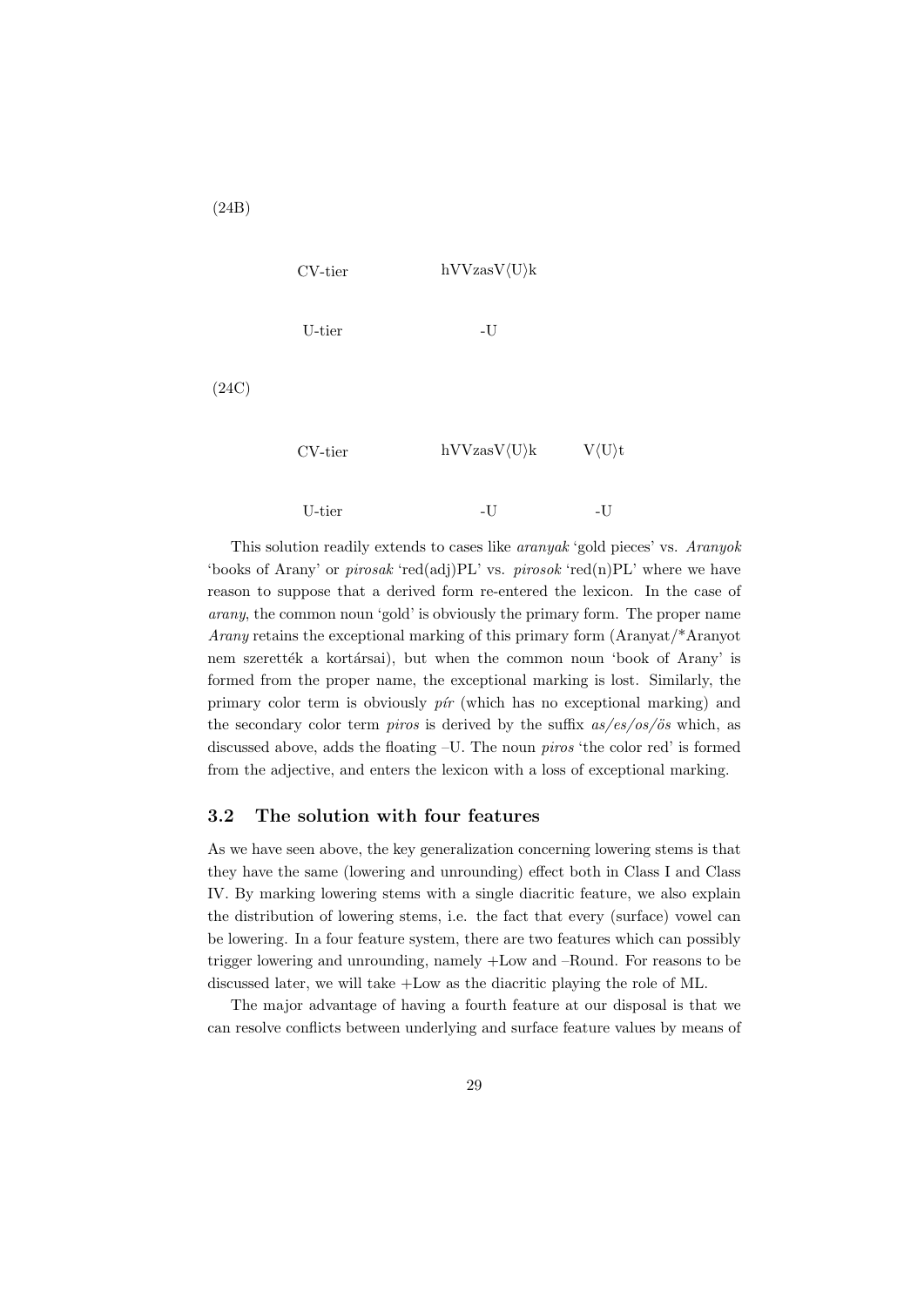

This solution readily extends to cases like aranyak 'gold pieces' vs. Aranyok 'books of Arany' or *pirosak* 'red(adj)PL' vs. *pirosok* 'red(n)PL' where we have reason to suppose that a derived form re-entered the lexicon. In the case of arany, the common noun 'gold' is obviously the primary form. The proper name Arany retains the exceptional marking of this primary form (Aranyat/\*Aranyot nem szerették a kortársai), but when the common noun 'book of Arany' is formed from the proper name, the exceptional marking is lost. Similarly, the primary color term is obviously  $p\acute{\iota}r$  (which has no exceptional marking) and the secondary color term *piros* is derived by the suffix  $as/es/os/ös$  which, as discussed above, adds the floating –U. The noun piros 'the color red' is formed from the adjective, and enters the lexicon with a loss of exceptional marking.

## 3.2 The solution with four features

As we have seen above, the key generalization concerning lowering stems is that they have the same (lowering and unrounding) effect both in Class I and Class IV. By marking lowering stems with a single diacritic feature, we also explain the distribution of lowering stems, i.e. the fact that every (surface) vowel can be lowering. In a four feature system, there are two features which can possibly trigger lowering and unrounding, namely +Low and –Round. For reasons to be discussed later, we will take +Low as the diacritic playing the role of ML.

The major advantage of having a fourth feature at our disposal is that we can resolve conflicts between underlying and surface feature values by means of

(24B)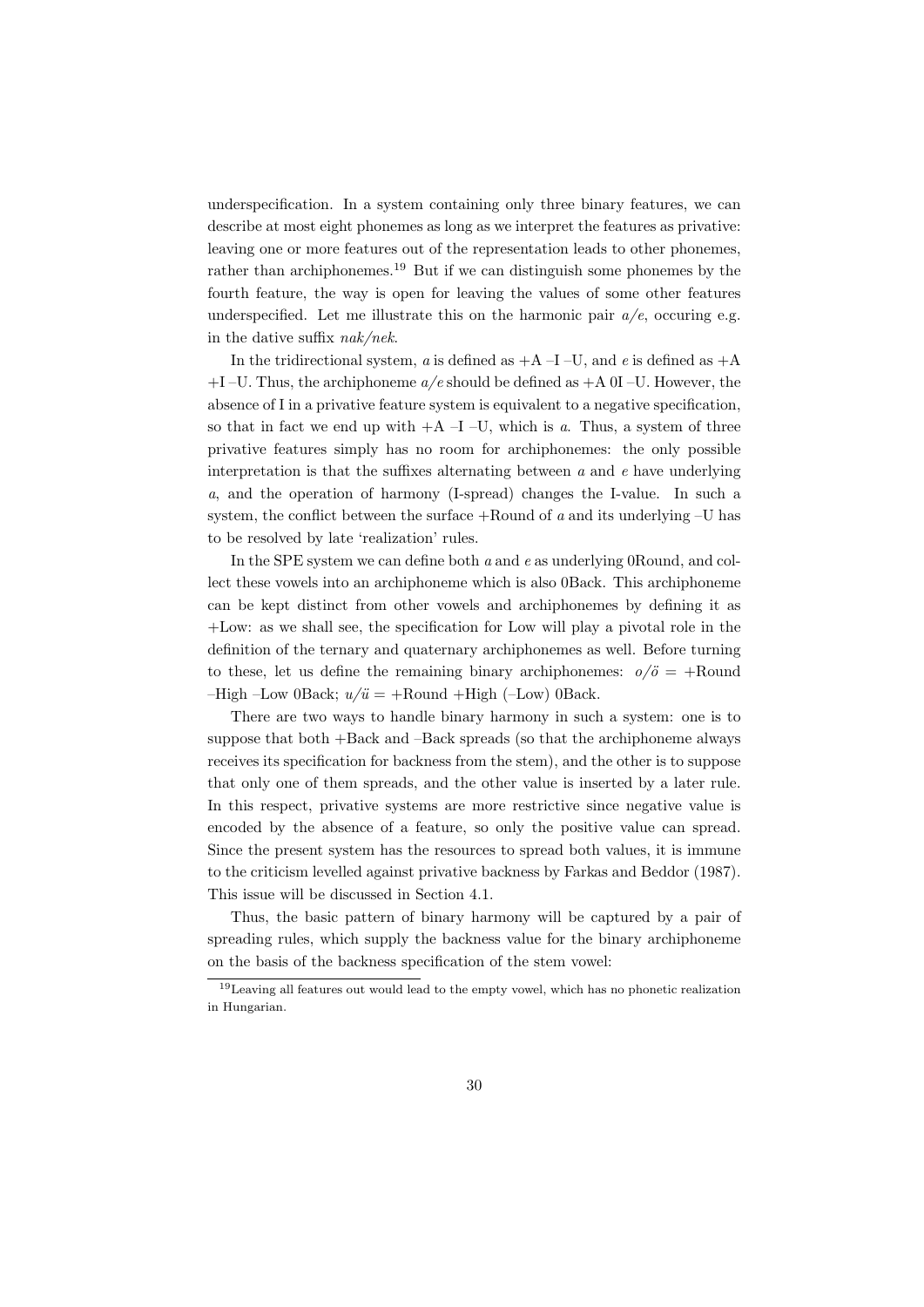underspecification. In a system containing only three binary features, we can describe at most eight phonemes as long as we interpret the features as privative: leaving one or more features out of the representation leads to other phonemes, rather than archiphonemes.<sup>19</sup> But if we can distinguish some phonemes by the fourth feature, the way is open for leaving the values of some other features underspecified. Let me illustrate this on the harmonic pair  $a/e$ , occuring e.g. in the dative suffix nak/nek.

In the tridirectional system, a is defined as  $+A$  –I –U, and e is defined as  $+A$  $+I$  –U. Thus, the archiphoneme  $a/e$  should be defined as  $+A$  0I –U. However, the absence of I in a privative feature system is equivalent to a negative specification, so that in fact we end up with  $+A-I-U$ , which is a. Thus, a system of three privative features simply has no room for archiphonemes: the only possible interpretation is that the suffixes alternating between  $a$  and  $e$  have underlying a, and the operation of harmony (I-spread) changes the I-value. In such a system, the conflict between the surface  $+$ Round of  $a$  and its underlying  $-U$  has to be resolved by late 'realization' rules.

In the SPE system we can define both a and e as underlying 0Round, and collect these vowels into an archiphoneme which is also 0Back. This archiphoneme can be kept distinct from other vowels and archiphonemes by defining it as +Low: as we shall see, the specification for Low will play a pivotal role in the definition of the ternary and quaternary archiphonemes as well. Before turning to these, let us define the remaining binary archiphonemes:  $o/\ddot{o} = +\text{Round}$  $-High$  –Low 0Back;  $u/\ddot{u} = +$ Round  $+$ High (–Low) 0Back.

There are two ways to handle binary harmony in such a system: one is to suppose that both +Back and –Back spreads (so that the archiphoneme always receives its specification for backness from the stem), and the other is to suppose that only one of them spreads, and the other value is inserted by a later rule. In this respect, privative systems are more restrictive since negative value is encoded by the absence of a feature, so only the positive value can spread. Since the present system has the resources to spread both values, it is immune to the criticism levelled against privative backness by Farkas and Beddor (1987). This issue will be discussed in Section 4.1.

Thus, the basic pattern of binary harmony will be captured by a pair of spreading rules, which supply the backness value for the binary archiphoneme on the basis of the backness specification of the stem vowel:

<sup>19</sup>Leaving all features out would lead to the empty vowel, which has no phonetic realization in Hungarian.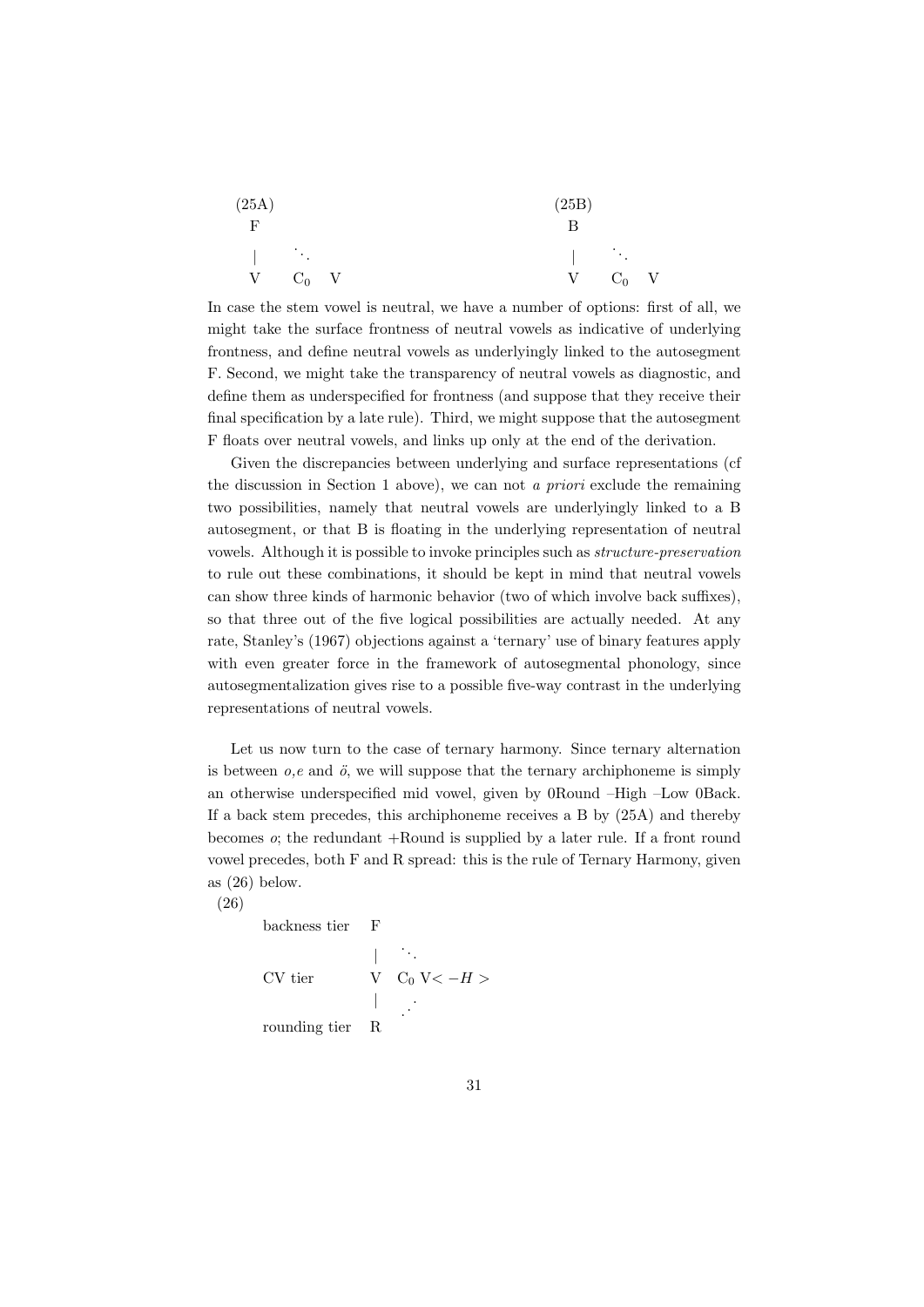| (25A)                               |  |  | (25B) |  |  |                                            |               |  |
|-------------------------------------|--|--|-------|--|--|--------------------------------------------|---------------|--|
| $\mathbf{F}$                        |  |  |       |  |  |                                            |               |  |
| $\mathbb{R}^n$ . The $\mathbb{R}^n$ |  |  |       |  |  | $\mathbb{R}^n$ . The set of $\mathbb{R}^n$ |               |  |
| $V$ $C_0$ $V$                       |  |  |       |  |  |                                            | $V$ $C_0$ $V$ |  |

In case the stem vowel is neutral, we have a number of options: first of all, we might take the surface frontness of neutral vowels as indicative of underlying frontness, and define neutral vowels as underlyingly linked to the autosegment F. Second, we might take the transparency of neutral vowels as diagnostic, and define them as underspecified for frontness (and suppose that they receive their final specification by a late rule). Third, we might suppose that the autosegment F floats over neutral vowels, and links up only at the end of the derivation.

Given the discrepancies between underlying and surface representations (cf the discussion in Section 1 above), we can not a priori exclude the remaining two possibilities, namely that neutral vowels are underlyingly linked to a B autosegment, or that B is floating in the underlying representation of neutral vowels. Although it is possible to invoke principles such as structure-preservation to rule out these combinations, it should be kept in mind that neutral vowels can show three kinds of harmonic behavior (two of which involve back suffixes), so that three out of the five logical possibilities are actually needed. At any rate, Stanley's (1967) objections against a 'ternary' use of binary features apply with even greater force in the framework of autosegmental phonology, since autosegmentalization gives rise to a possible five-way contrast in the underlying representations of neutral vowels.

Let us now turn to the case of ternary harmony. Since ternary alternation is between  $o,e$  and  $\ddot{o}$ , we will suppose that the ternary archiphoneme is simply an otherwise underspecified mid vowel, given by 0Round –High –Low 0Back. If a back stem precedes, this archiphoneme receives a B by (25A) and thereby becomes  $\alpha$ ; the redundant  $+$ Round is supplied by a later rule. If a front round vowel precedes, both F and R spread: this is the rule of Ternary Harmony, given as (26) below.

(26)

backness tier F

$$
\begin{array}{ccc}\n & & \cdots \\
 & & \mathbf{V} & \mathbf{C}_0 \ \mathbf{V} < -H > \\
 & & \ddots \\
 & & & \vdots \\
\mathbf{rounding\;tier} & \mathbf{R}\n\end{array}
$$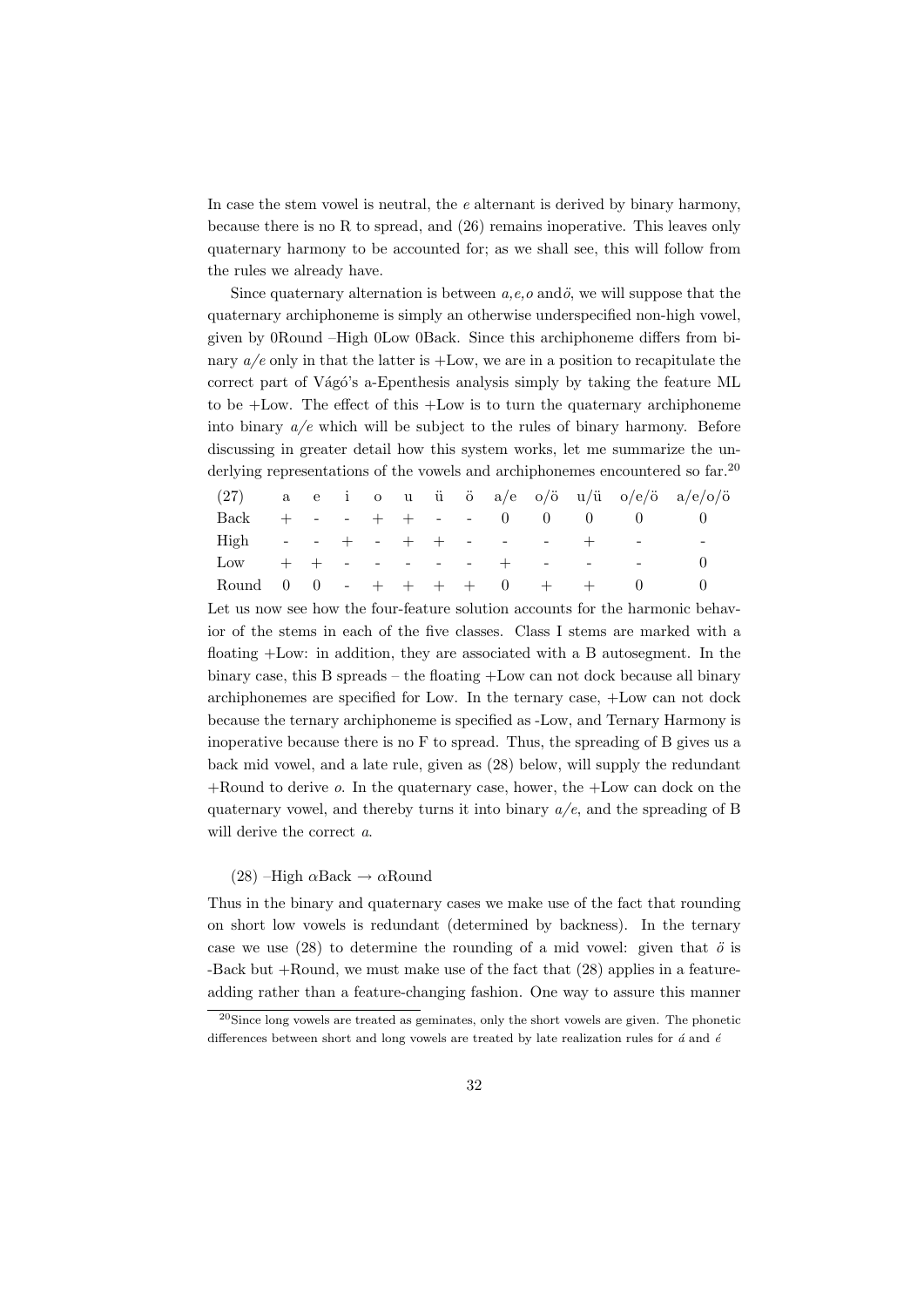In case the stem vowel is neutral, the e alternant is derived by binary harmony, because there is no R to spread, and (26) remains inoperative. This leaves only quaternary harmony to be accounted for; as we shall see, this will follow from the rules we already have.

Since quaternary alternation is between  $a, e, o$  and  $\ddot{o}$ , we will suppose that the quaternary archiphoneme is simply an otherwise underspecified non-high vowel, given by 0Round –High 0Low 0Back. Since this archiphoneme differs from binary  $a/e$  only in that the latter is  $+$ Low, we are in a position to recapitulate the correct part of Vágó's a-Epenthesis analysis simply by taking the feature ML to be +Low. The effect of this +Low is to turn the quaternary archiphoneme into binary  $a/e$  which will be subject to the rules of binary harmony. Before discussing in greater detail how this system works, let me summarize the underlying representations of the vowels and archiphonemes encountered so far.<sup>20</sup>

|                                     |  |  |  |  |  |         | (27) a e i o u ü ö a/e o/ö u/ü o/e/ö a/e/o/ö |
|-------------------------------------|--|--|--|--|--|---------|----------------------------------------------|
| Back + - - + + - - 0 0 0            |  |  |  |  |  |         |                                              |
| High - - + - + + - - -              |  |  |  |  |  | $+$ $-$ |                                              |
| $Low + + - - - - - - + - - - - - -$ |  |  |  |  |  |         |                                              |
| Round 0 0 - + + + + 0 + + 0         |  |  |  |  |  |         |                                              |

Let us now see how the four-feature solution accounts for the harmonic behavior of the stems in each of the five classes. Class I stems are marked with a floating +Low: in addition, they are associated with a B autosegment. In the binary case, this B spreads – the floating +Low can not dock because all binary archiphonemes are specified for Low. In the ternary case, +Low can not dock because the ternary archiphoneme is specified as -Low, and Ternary Harmony is inoperative because there is no F to spread. Thus, the spreading of B gives us a back mid vowel, and a late rule, given as (28) below, will supply the redundant  $+$ Round to derive  $\sigma$ . In the quaternary case, hower, the  $+$ Low can dock on the quaternary vowel, and thereby turns it into binary  $a/e$ , and the spreading of B will derive the correct  $a$ .

#### (28) –High  $\alpha$ Back  $\rightarrow \alpha$ Round

Thus in the binary and quaternary cases we make use of the fact that rounding on short low vowels is redundant (determined by backness). In the ternary case we use (28) to determine the rounding of a mid vowel: given that  $\ddot{o}$  is -Back but +Round, we must make use of the fact that (28) applies in a featureadding rather than a feature-changing fashion. One way to assure this manner

 $^{20}$ Since long vowels are treated as geminates, only the short vowels are given. The phonetic differences between short and long vowels are treated by late realization rules for  $\acute{a}$  and  $\acute{e}$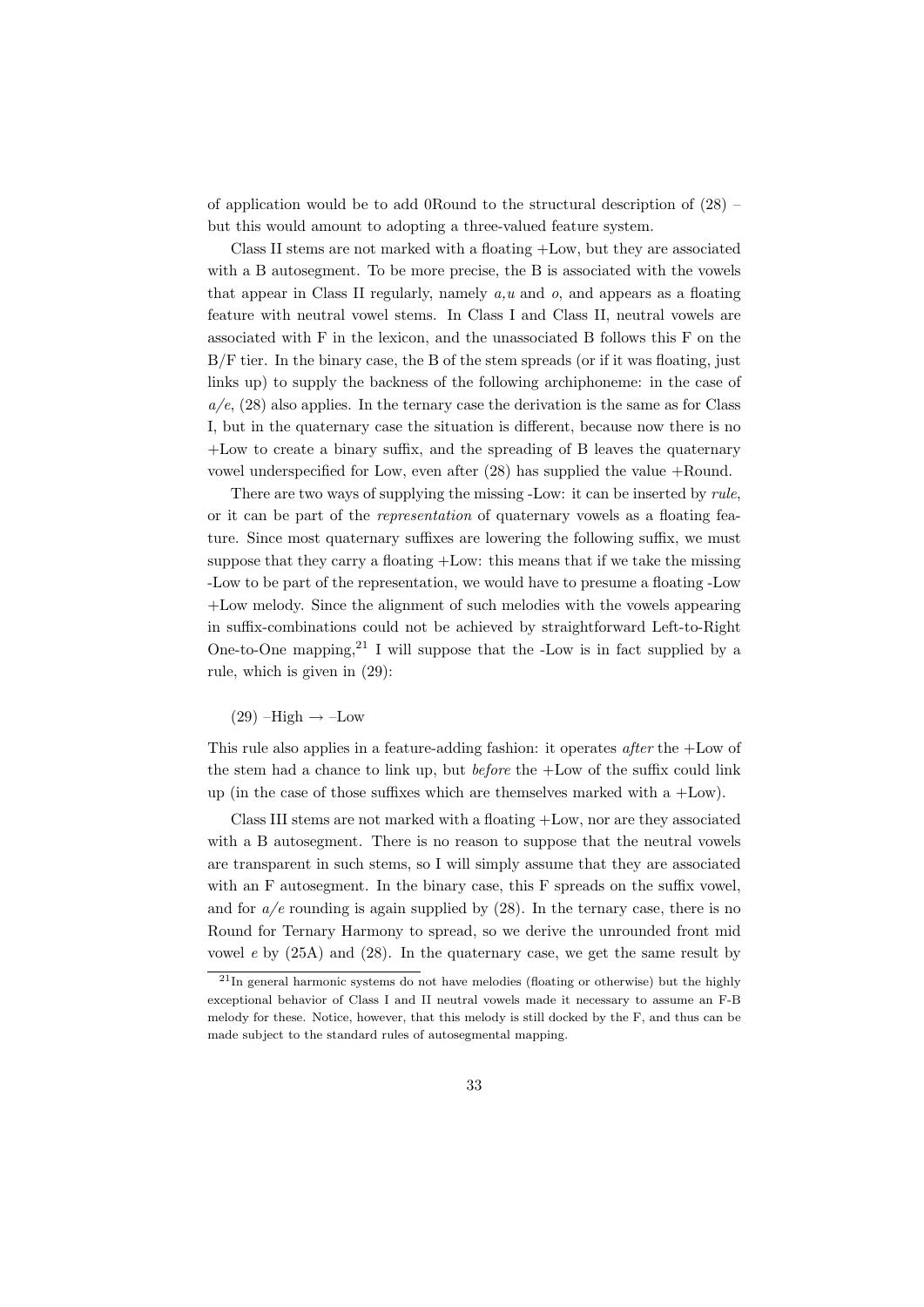of application would be to add 0Round to the structural description of (28) – but this would amount to adopting a three-valued feature system.

Class II stems are not marked with a floating +Low, but they are associated with a B autosegment. To be more precise, the B is associated with the vowels that appear in Class II regularly, namely  $a, u$  and  $o$ , and appears as a floating feature with neutral vowel stems. In Class I and Class II, neutral vowels are associated with F in the lexicon, and the unassociated B follows this F on the B/F tier. In the binary case, the B of the stem spreads (or if it was floating, just links up) to supply the backness of the following archiphoneme: in the case of  $a/e$ ,  $(28)$  also applies. In the ternary case the derivation is the same as for Class I, but in the quaternary case the situation is different, because now there is no +Low to create a binary suffix, and the spreading of B leaves the quaternary vowel underspecified for Low, even after (28) has supplied the value +Round.

There are two ways of supplying the missing -Low: it can be inserted by *rule*, or it can be part of the representation of quaternary vowels as a floating feature. Since most quaternary suffixes are lowering the following suffix, we must suppose that they carry a floating +Low: this means that if we take the missing -Low to be part of the representation, we would have to presume a floating -Low +Low melody. Since the alignment of such melodies with the vowels appearing in suffix-combinations could not be achieved by straightforward Left-to-Right One-to-One mapping,  $21$  I will suppose that the -Low is in fact supplied by a rule, which is given in (29):

 $(29)$  –High  $\rightarrow$  –Low

This rule also applies in a feature-adding fashion: it operates after the +Low of the stem had a chance to link up, but *before* the  $+$ Low of the suffix could link up (in the case of those suffixes which are themselves marked with a  $+$ Low).

Class III stems are not marked with a floating +Low, nor are they associated with a B autosegment. There is no reason to suppose that the neutral vowels are transparent in such stems, so I will simply assume that they are associated with an F autosegment. In the binary case, this F spreads on the suffix vowel, and for  $a/e$  rounding is again supplied by  $(28)$ . In the ternary case, there is no Round for Ternary Harmony to spread, so we derive the unrounded front mid vowel  $e$  by  $(25A)$  and  $(28)$ . In the quaternary case, we get the same result by

 $^{21}$ In general harmonic systems do not have melodies (floating or otherwise) but the highly exceptional behavior of Class I and II neutral vowels made it necessary to assume an F-B melody for these. Notice, however, that this melody is still docked by the F, and thus can be made subject to the standard rules of autosegmental mapping.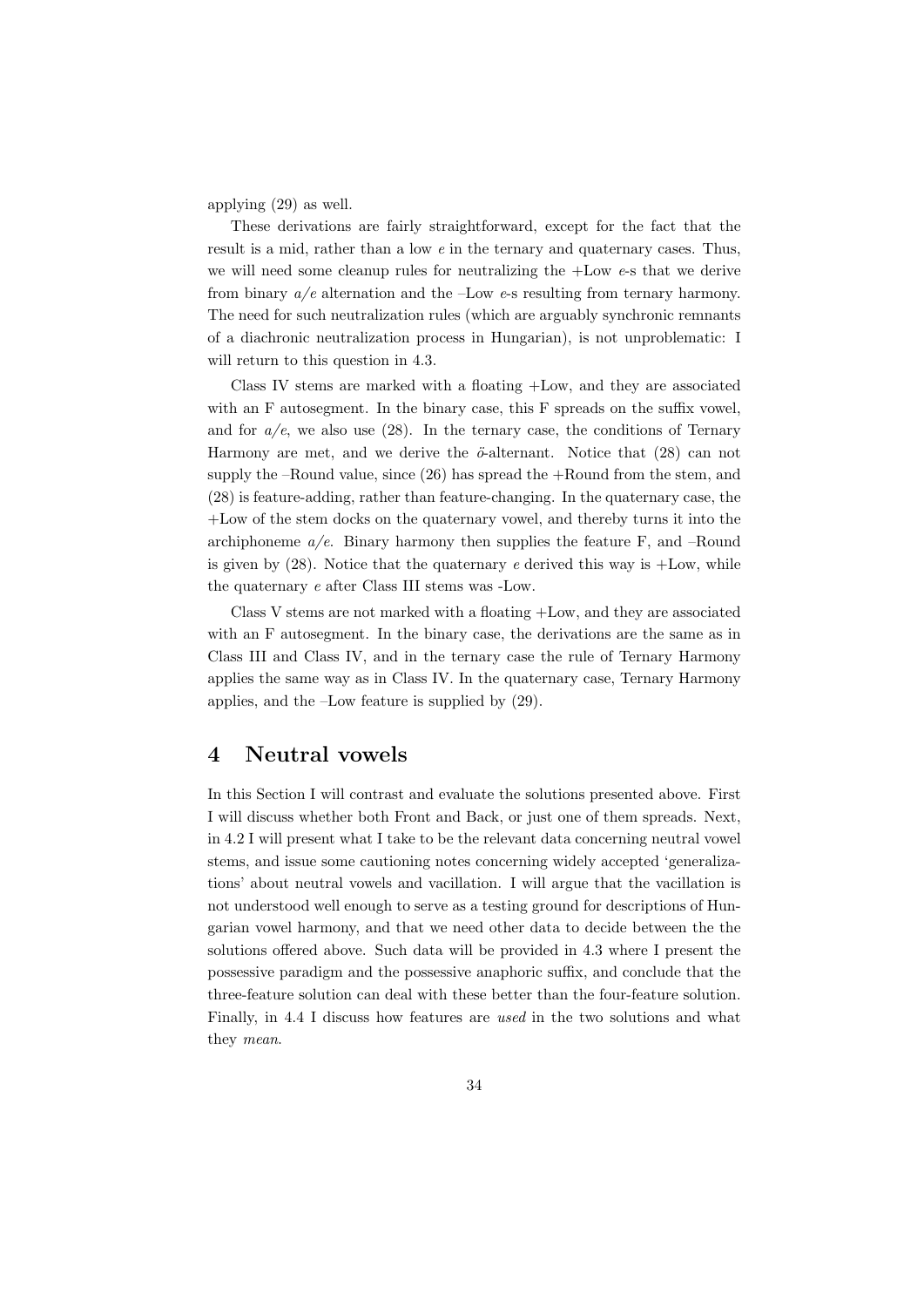applying (29) as well.

These derivations are fairly straightforward, except for the fact that the result is a mid, rather than a low e in the ternary and quaternary cases. Thus, we will need some cleanup rules for neutralizing the  $+$ Low  $e$ -s that we derive from binary  $a/e$  alternation and the -Low  $e$ -s resulting from ternary harmony. The need for such neutralization rules (which are arguably synchronic remnants of a diachronic neutralization process in Hungarian), is not unproblematic: I will return to this question in 4.3.

Class IV stems are marked with a floating +Low, and they are associated with an F autosegment. In the binary case, this F spreads on the suffix vowel, and for  $a/e$ , we also use (28). In the ternary case, the conditions of Ternary Harmony are met, and we derive the  $\ddot{\sigma}$ -alternant. Notice that (28) can not supply the –Round value, since  $(26)$  has spread the  $+$ Round from the stem, and (28) is feature-adding, rather than feature-changing. In the quaternary case, the +Low of the stem docks on the quaternary vowel, and thereby turns it into the archiphoneme  $a/e$ . Binary harmony then supplies the feature F, and –Round is given by  $(28)$ . Notice that the quaternary e derived this way is  $+$ Low, while the quaternary e after Class III stems was -Low.

Class V stems are not marked with a floating +Low, and they are associated with an F autosegment. In the binary case, the derivations are the same as in Class III and Class IV, and in the ternary case the rule of Ternary Harmony applies the same way as in Class IV. In the quaternary case, Ternary Harmony applies, and the –Low feature is supplied by (29).

## 4 Neutral vowels

In this Section I will contrast and evaluate the solutions presented above. First I will discuss whether both Front and Back, or just one of them spreads. Next, in 4.2 I will present what I take to be the relevant data concerning neutral vowel stems, and issue some cautioning notes concerning widely accepted 'generalizations' about neutral vowels and vacillation. I will argue that the vacillation is not understood well enough to serve as a testing ground for descriptions of Hungarian vowel harmony, and that we need other data to decide between the the solutions offered above. Such data will be provided in 4.3 where I present the possessive paradigm and the possessive anaphoric suffix, and conclude that the three-feature solution can deal with these better than the four-feature solution. Finally, in 4.4 I discuss how features are used in the two solutions and what they mean.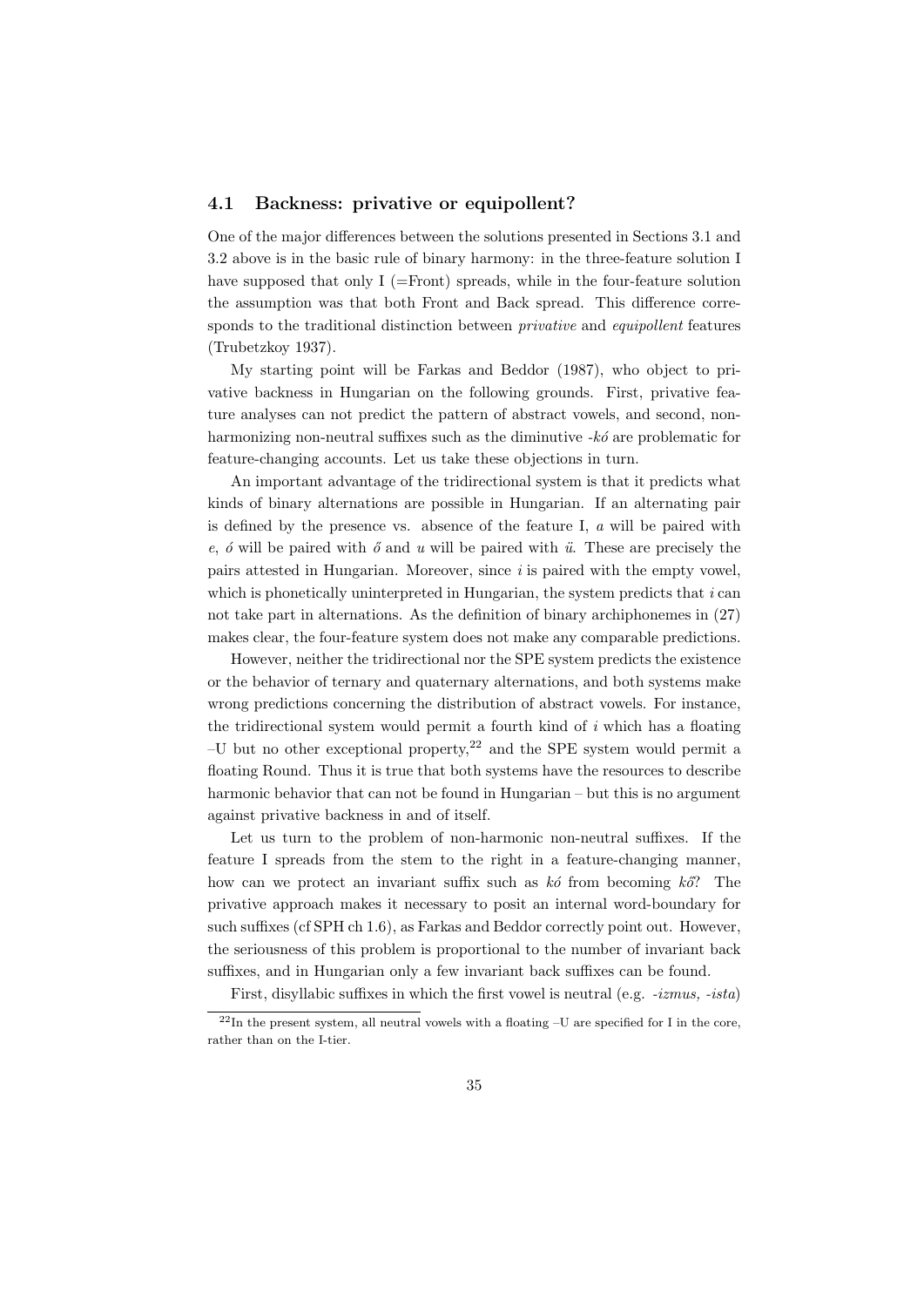### 4.1 Backness: privative or equipollent?

One of the major differences between the solutions presented in Sections 3.1 and 3.2 above is in the basic rule of binary harmony: in the three-feature solution I have supposed that only  $I$  (=Front) spreads, while in the four-feature solution the assumption was that both Front and Back spread. This difference corresponds to the traditional distinction between *privative* and *equipollent* features (Trubetzkoy 1937).

My starting point will be Farkas and Beddor (1987), who object to privative backness in Hungarian on the following grounds. First, privative feature analyses can not predict the pattern of abstract vowels, and second, nonharmonizing non-neutral suffixes such as the diminutive  $-k\acute{o}$  are problematic for feature-changing accounts. Let us take these objections in turn.

An important advantage of the tridirectional system is that it predicts what kinds of binary alternations are possible in Hungarian. If an alternating pair is defined by the presence vs. absence of the feature I,  $\alpha$  will be paired with e,  $\acute{o}$  will be paired with  $\acute{o}$  and u will be paired with  $\ddot{u}$ . These are precisely the pairs attested in Hungarian. Moreover, since  $i$  is paired with the empty vowel, which is phonetically uninterpreted in Hungarian, the system predicts that  $i$  can not take part in alternations. As the definition of binary archiphonemes in (27) makes clear, the four-feature system does not make any comparable predictions.

However, neither the tridirectional nor the SPE system predicts the existence or the behavior of ternary and quaternary alternations, and both systems make wrong predictions concerning the distribution of abstract vowels. For instance, the tridirectional system would permit a fourth kind of  $i$  which has a floating  $-U$  but no other exceptional property,<sup>22</sup> and the SPE system would permit a floating Round. Thus it is true that both systems have the resources to describe harmonic behavior that can not be found in Hungarian – but this is no argument against privative backness in and of itself.

Let us turn to the problem of non-harmonic non-neutral suffixes. If the feature I spreads from the stem to the right in a feature-changing manner, how can we protect an invariant suffix such as  $k\acute{o}$  from becoming  $k\acute{o}$ ? The privative approach makes it necessary to posit an internal word-boundary for such suffixes (cf SPH ch 1.6), as Farkas and Beddor correctly point out. However, the seriousness of this problem is proportional to the number of invariant back suffixes, and in Hungarian only a few invariant back suffixes can be found.

First, disyllabic suffixes in which the first vowel is neutral (e.g. -izmus, -ista)

 $22$ In the present system, all neutral vowels with a floating  $-U$  are specified for I in the core, rather than on the I-tier.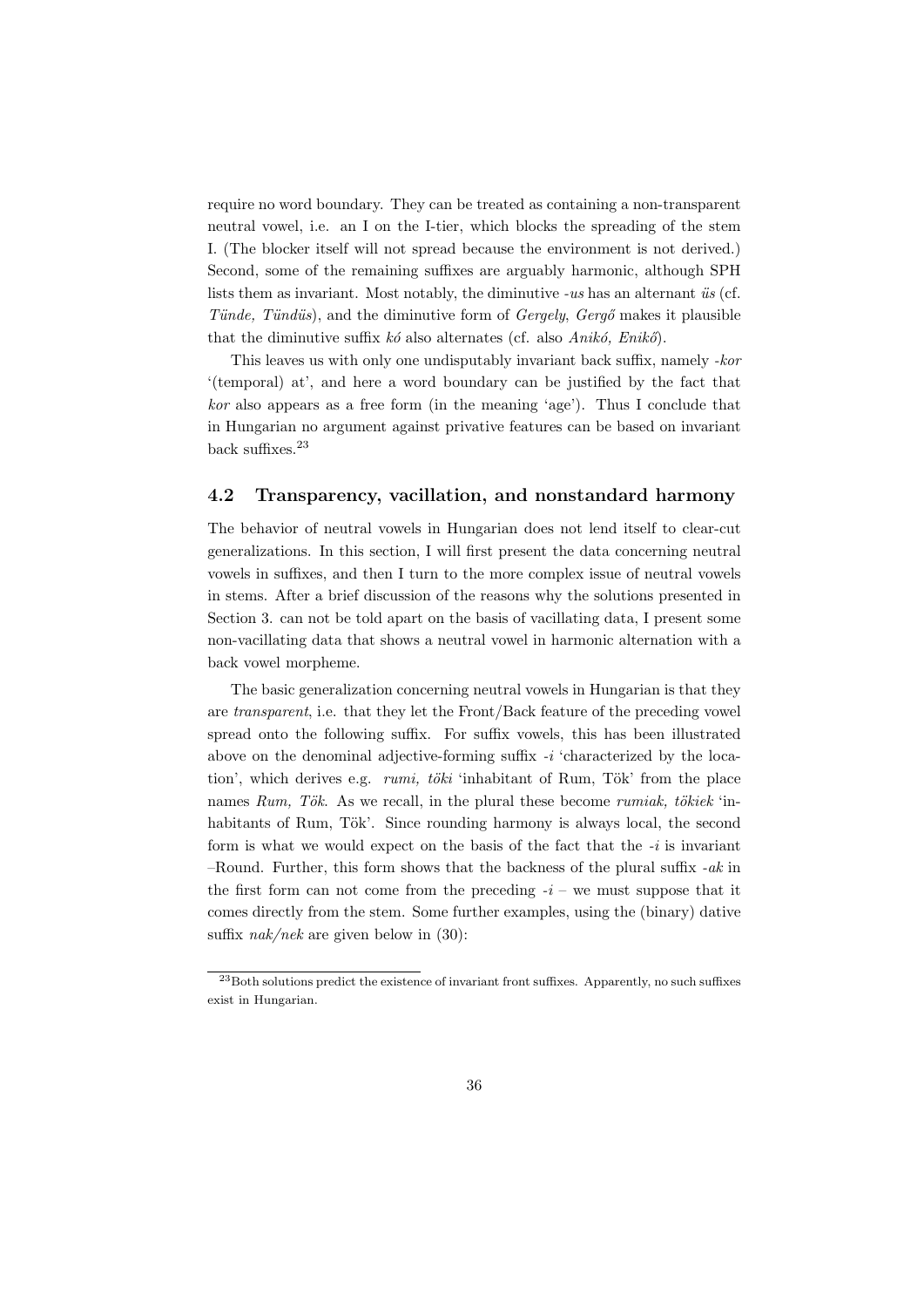require no word boundary. They can be treated as containing a non-transparent neutral vowel, i.e. an I on the I-tier, which blocks the spreading of the stem I. (The blocker itself will not spread because the environment is not derived.) Second, some of the remaining suffixes are arguably harmonic, although SPH lists them as invariant. Most notably, the diminutive  $-us$  has an alternant  $\ddot{u}s$  (cf. Tünde, Tündüs), and the diminutive form of  $Gerqely$ ,  $Gerq\sigma$  makes it plausible that the diminutive suffix  $k\acute{o}$  also alternates (cf. also Anik $\acute{o}$ , Enik $\acute{o}$ ).

This leaves us with only one undisputably invariant back suffix, namely -kor '(temporal) at', and here a word boundary can be justified by the fact that kor also appears as a free form (in the meaning 'age'). Thus I conclude that in Hungarian no argument against privative features can be based on invariant back suffixes.<sup>23</sup>

## 4.2 Transparency, vacillation, and nonstandard harmony

The behavior of neutral vowels in Hungarian does not lend itself to clear-cut generalizations. In this section, I will first present the data concerning neutral vowels in suffixes, and then I turn to the more complex issue of neutral vowels in stems. After a brief discussion of the reasons why the solutions presented in Section 3. can not be told apart on the basis of vacillating data, I present some non-vacillating data that shows a neutral vowel in harmonic alternation with a back vowel morpheme.

The basic generalization concerning neutral vowels in Hungarian is that they are transparent, i.e. that they let the Front/Back feature of the preceding vowel spread onto the following suffix. For suffix vowels, this has been illustrated above on the denominal adjective-forming suffix -i 'characterized by the location', which derives e.g.  $rumi$ , töki 'inhabitant of Rum, Tök' from the place names Rum, Tök. As we recall, in the plural these become rumiak, tökiek 'inhabitants of Rum, Tök'. Since rounding harmony is always local, the second form is what we would expect on the basis of the fact that the  $-i$  is invariant –Round. Further, this form shows that the backness of the plural suffix  $-ak$  in the first form can not come from the preceding  $-i$  – we must suppose that it comes directly from the stem. Some further examples, using the (binary) dative suffix  $nak/nek$  are given below in (30):

 $^{23}$ Both solutions predict the existence of invariant front suffixes. Apparently, no such suffixes exist in Hungarian.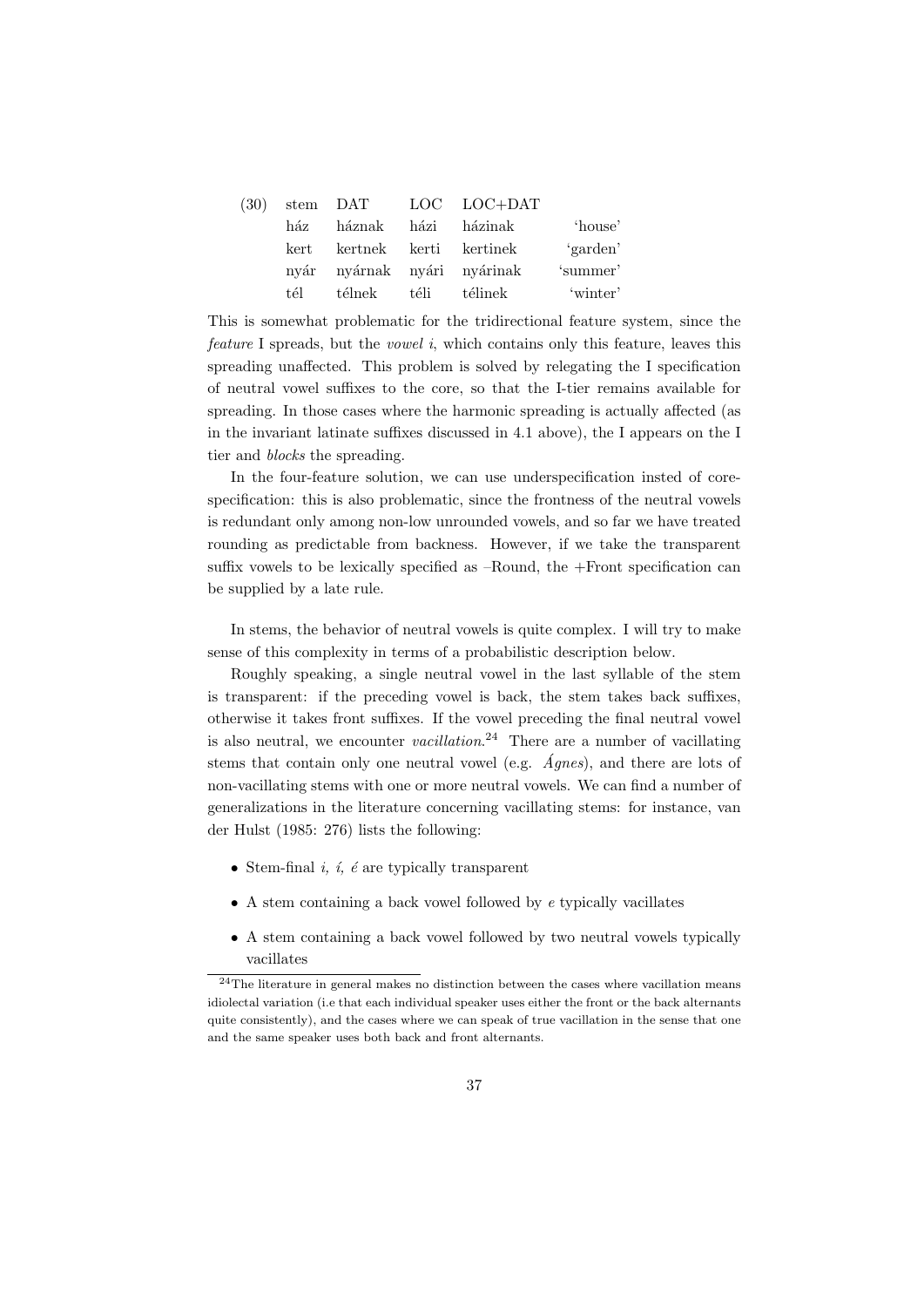| (30) |      | stem DAT                    |      | LOC LOC+DAT |          |
|------|------|-----------------------------|------|-------------|----------|
|      | ház  | háznak                      | házi | házinak     | 'house'  |
|      | kert | kertnek kerti               |      | kertinek    | 'garden' |
|      |      | nyár nyárnak nyári nyárinak |      |             | 'summer' |
|      | tél  | télnek                      | téli | télinek     | 'winter' |

This is somewhat problematic for the tridirectional feature system, since the feature I spreads, but the vowel i, which contains only this feature, leaves this spreading unaffected. This problem is solved by relegating the I specification of neutral vowel suffixes to the core, so that the I-tier remains available for spreading. In those cases where the harmonic spreading is actually affected (as in the invariant latinate suffixes discussed in 4.1 above), the I appears on the I tier and blocks the spreading.

In the four-feature solution, we can use underspecification insted of corespecification: this is also problematic, since the frontness of the neutral vowels is redundant only among non-low unrounded vowels, and so far we have treated rounding as predictable from backness. However, if we take the transparent suffix vowels to be lexically specified as –Round, the +Front specification can be supplied by a late rule.

In stems, the behavior of neutral vowels is quite complex. I will try to make sense of this complexity in terms of a probabilistic description below.

Roughly speaking, a single neutral vowel in the last syllable of the stem is transparent: if the preceding vowel is back, the stem takes back suffixes, otherwise it takes front suffixes. If the vowel preceding the final neutral vowel is also neutral, we encounter *vacillation*.<sup>24</sup> There are a number of vacillating stems that contain only one neutral vowel (e.g.  $\overline{Agnes}$ ), and there are lots of non-vacillating stems with one or more neutral vowels. We can find a number of generalizations in the literature concerning vacillating stems: for instance, van der Hulst (1985: 276) lists the following:

- Stem-final  $i, i, e$  are typically transparent
- $\bullet$  A stem containing a back vowel followed by  $e$  typically vacillates
- A stem containing a back vowel followed by two neutral vowels typically vacillates

 $^{24}\mathrm{The}$  literature in general makes no distinction between the cases where vacillation means idiolectal variation (i.e that each individual speaker uses either the front or the back alternants quite consistently), and the cases where we can speak of true vacillation in the sense that one and the same speaker uses both back and front alternants.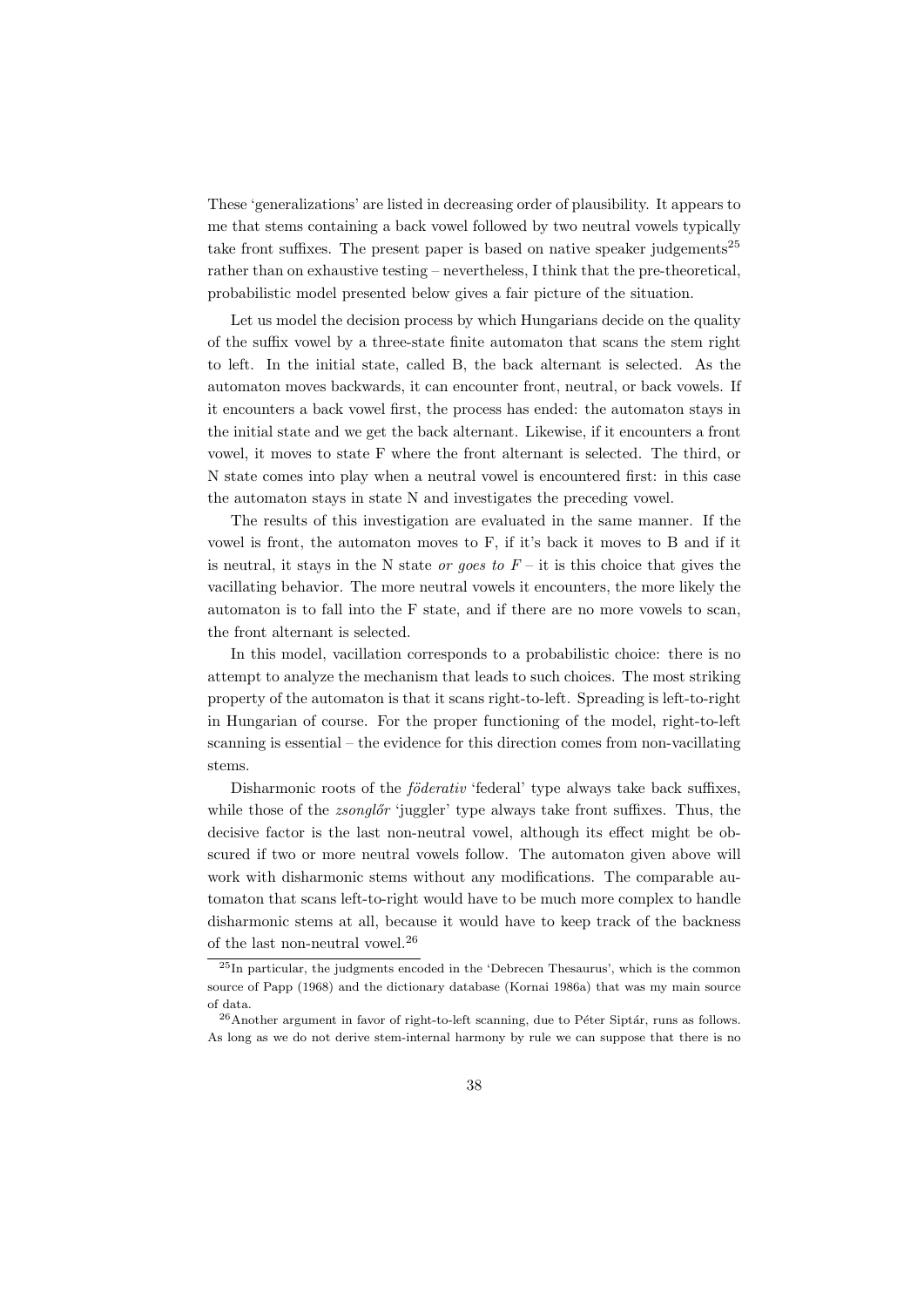These 'generalizations' are listed in decreasing order of plausibility. It appears to me that stems containing a back vowel followed by two neutral vowels typically take front suffixes. The present paper is based on native speaker judgements<sup>25</sup> rather than on exhaustive testing – nevertheless, I think that the pre-theoretical, probabilistic model presented below gives a fair picture of the situation.

Let us model the decision process by which Hungarians decide on the quality of the suffix vowel by a three-state finite automaton that scans the stem right to left. In the initial state, called B, the back alternant is selected. As the automaton moves backwards, it can encounter front, neutral, or back vowels. If it encounters a back vowel first, the process has ended: the automaton stays in the initial state and we get the back alternant. Likewise, if it encounters a front vowel, it moves to state F where the front alternant is selected. The third, or N state comes into play when a neutral vowel is encountered first: in this case the automaton stays in state N and investigates the preceding vowel.

The results of this investigation are evaluated in the same manner. If the vowel is front, the automaton moves to F, if it's back it moves to B and if it is neutral, it stays in the N state *or goes to*  $F$  – it is this choice that gives the vacillating behavior. The more neutral vowels it encounters, the more likely the automaton is to fall into the F state, and if there are no more vowels to scan, the front alternant is selected.

In this model, vacillation corresponds to a probabilistic choice: there is no attempt to analyze the mechanism that leads to such choices. The most striking property of the automaton is that it scans right-to-left. Spreading is left-to-right in Hungarian of course. For the proper functioning of the model, right-to-left scanning is essential – the evidence for this direction comes from non-vacillating stems.

Disharmonic roots of the *föderativ* 'federal' type always take back suffixes, while those of the *zsonglőr* 'juggler' type always take front suffixes. Thus, the decisive factor is the last non-neutral vowel, although its effect might be obscured if two or more neutral vowels follow. The automaton given above will work with disharmonic stems without any modifications. The comparable automaton that scans left-to-right would have to be much more complex to handle disharmonic stems at all, because it would have to keep track of the backness of the last non-neutral vowel.<sup>26</sup>

<sup>25</sup>In particular, the judgments encoded in the 'Debrecen Thesaurus', which is the common source of Papp (1968) and the dictionary database (Kornai 1986a) that was my main source of data.

 $^{26}$ Another argument in favor of right-to-left scanning, due to Péter Siptár, runs as follows. As long as we do not derive stem-internal harmony by rule we can suppose that there is no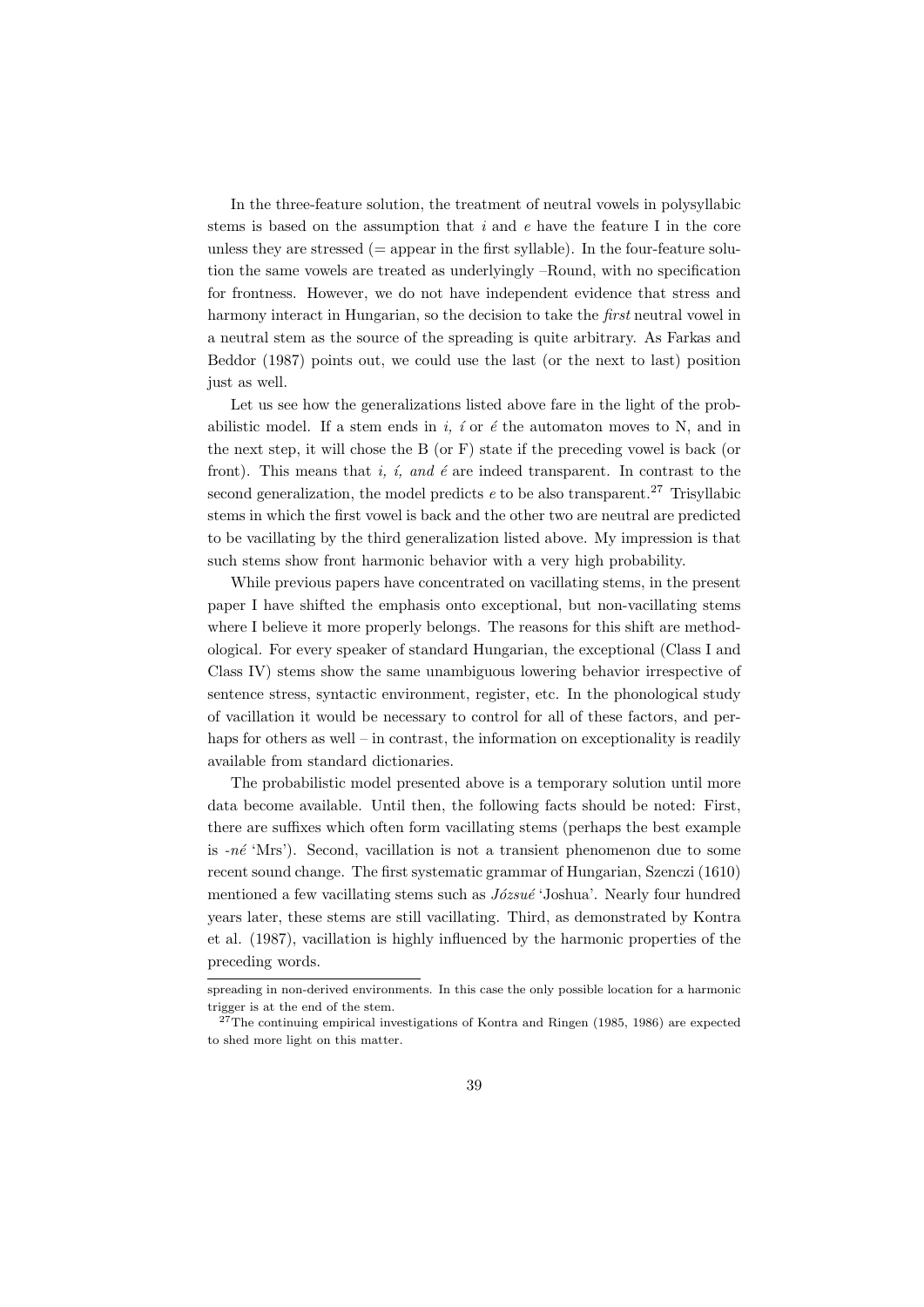In the three-feature solution, the treatment of neutral vowels in polysyllabic stems is based on the assumption that  $i$  and  $e$  have the feature I in the core unless they are stressed  $(=$  appear in the first syllable). In the four-feature solution the same vowels are treated as underlyingly –Round, with no specification for frontness. However, we do not have independent evidence that stress and harmony interact in Hungarian, so the decision to take the first neutral vowel in a neutral stem as the source of the spreading is quite arbitrary. As Farkas and Beddor (1987) points out, we could use the last (or the next to last) position just as well.

Let us see how the generalizations listed above fare in the light of the probabilistic model. If a stem ends in i, i or  $\acute{e}$  the automaton moves to N, and in the next step, it will chose the B (or F) state if the preceding vowel is back (or front). This means that i, i, and  $\acute{e}$  are indeed transparent. In contrast to the second generalization, the model predicts  $e$  to be also transparent.<sup>27</sup> Trisyllabic stems in which the first vowel is back and the other two are neutral are predicted to be vacillating by the third generalization listed above. My impression is that such stems show front harmonic behavior with a very high probability.

While previous papers have concentrated on vacillating stems, in the present paper I have shifted the emphasis onto exceptional, but non-vacillating stems where I believe it more properly belongs. The reasons for this shift are methodological. For every speaker of standard Hungarian, the exceptional (Class I and Class IV) stems show the same unambiguous lowering behavior irrespective of sentence stress, syntactic environment, register, etc. In the phonological study of vacillation it would be necessary to control for all of these factors, and perhaps for others as well – in contrast, the information on exceptionality is readily available from standard dictionaries.

The probabilistic model presented above is a temporary solution until more data become available. Until then, the following facts should be noted: First, there are suffixes which often form vacillating stems (perhaps the best example is  $-n\acute{e}$  'Mrs'). Second, vacillation is not a transient phenomenon due to some recent sound change. The first systematic grammar of Hungarian, Szenczi (1610) mentioned a few vacillating stems such as  $Józsué 'Joshua'.$  Nearly four hundred years later, these stems are still vacillating. Third, as demonstrated by Kontra et al. (1987), vacillation is highly influenced by the harmonic properties of the preceding words.

spreading in non-derived environments. In this case the only possible location for a harmonic trigger is at the end of the stem.

 $^{27}$ The continuing empirical investigations of Kontra and Ringen (1985, 1986) are expected to shed more light on this matter.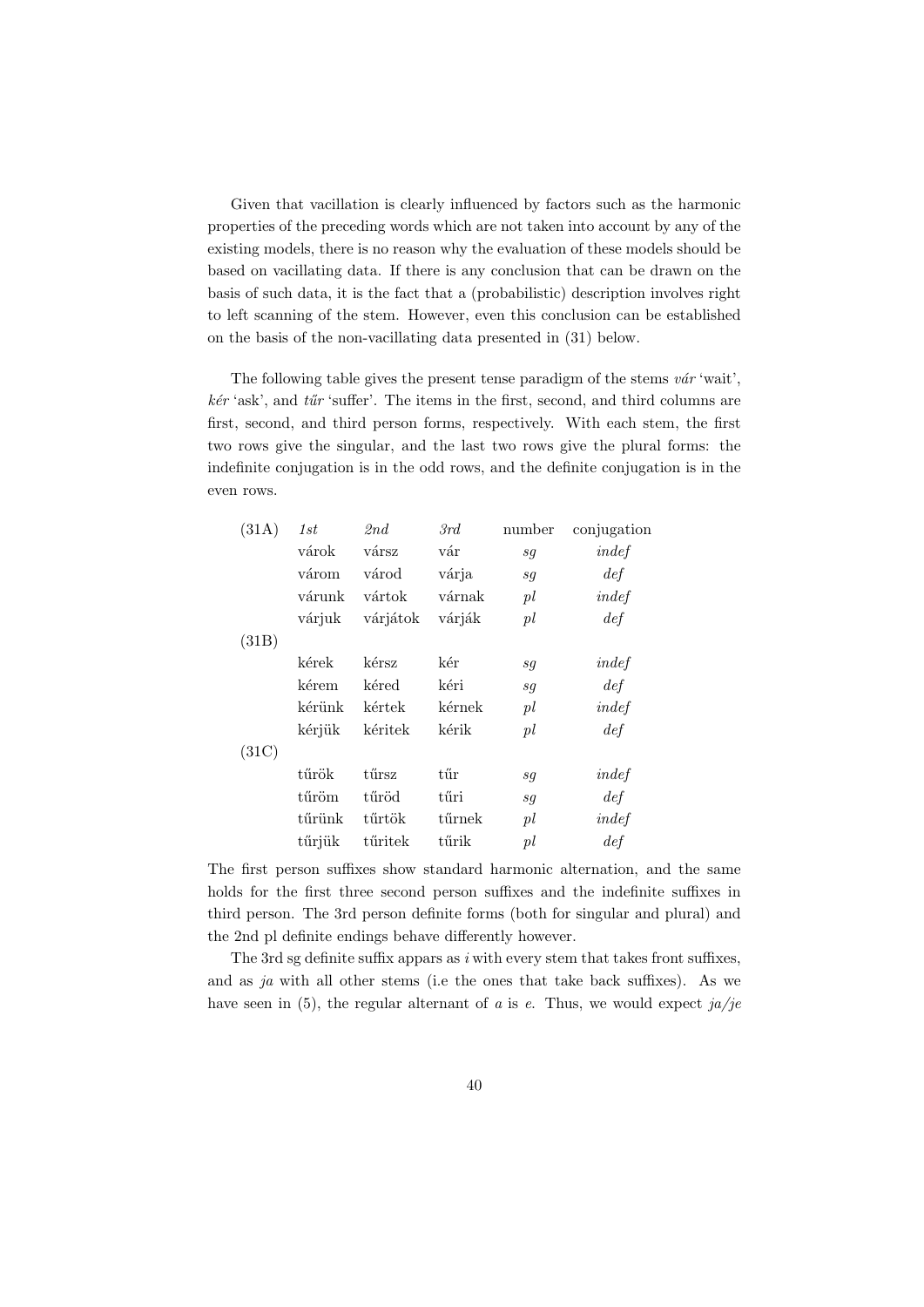Given that vacillation is clearly influenced by factors such as the harmonic properties of the preceding words which are not taken into account by any of the existing models, there is no reason why the evaluation of these models should be based on vacillating data. If there is any conclusion that can be drawn on the basis of such data, it is the fact that a (probabilistic) description involves right to left scanning of the stem. However, even this conclusion can be established on the basis of the non-vacillating data presented in (31) below.

The following table gives the present tense paradigm of the stems  $v\acute{a}r$  'wait',  $kér$  'ask', and  $tür$  'suffer'. The items in the first, second, and third columns are first, second, and third person forms, respectively. With each stem, the first two rows give the singular, and the last two rows give the plural forms: the indefinite conjugation is in the odd rows, and the definite conjugation is in the even rows.

| (31A) | 1st    | 2nd      | 3rd                  | number | conjugation |
|-------|--------|----------|----------------------|--------|-------------|
|       | várok  | vársz    | vár                  | sq     | indef       |
|       | várom  | várod    | várja                | sq     | def         |
|       | várunk | vártok   | várnak               | pl     | indef       |
|       | várjuk | várjátok | várják               | pl     | def         |
| (31B) |        |          |                      |        |             |
|       | kérek  | kérsz    | kér                  | sq     | indef       |
|       | kérem  | kéred    | kéri                 | sq     | def         |
|       | kérünk | kértek   | kérnek               | pl     | indef       |
|       | kérjük | kéritek  | kérik                | pl     | def         |
| (31C) |        |          |                      |        |             |
|       | tűrök  | tűrsz    | $\tilde{\mathrm{t}}$ | sq     | indef       |
|       | tűröm  | tűröd    | tűri                 | sq     | def         |
|       | tűrünk | tűrtök   | tűrnek               | pl     | indef       |
|       | tűrjük | tűritek  | tűrik                | pl     | def         |

The first person suffixes show standard harmonic alternation, and the same holds for the first three second person suffixes and the indefinite suffixes in third person. The 3rd person definite forms (both for singular and plural) and the 2nd pl definite endings behave differently however.

The 3rd sg definite suffix appars as  $i$  with every stem that takes front suffixes, and as  $ja$  with all other stems (i.e the ones that take back suffixes). As we have seen in (5), the regular alternant of a is e. Thus, we would expect  $ja/je$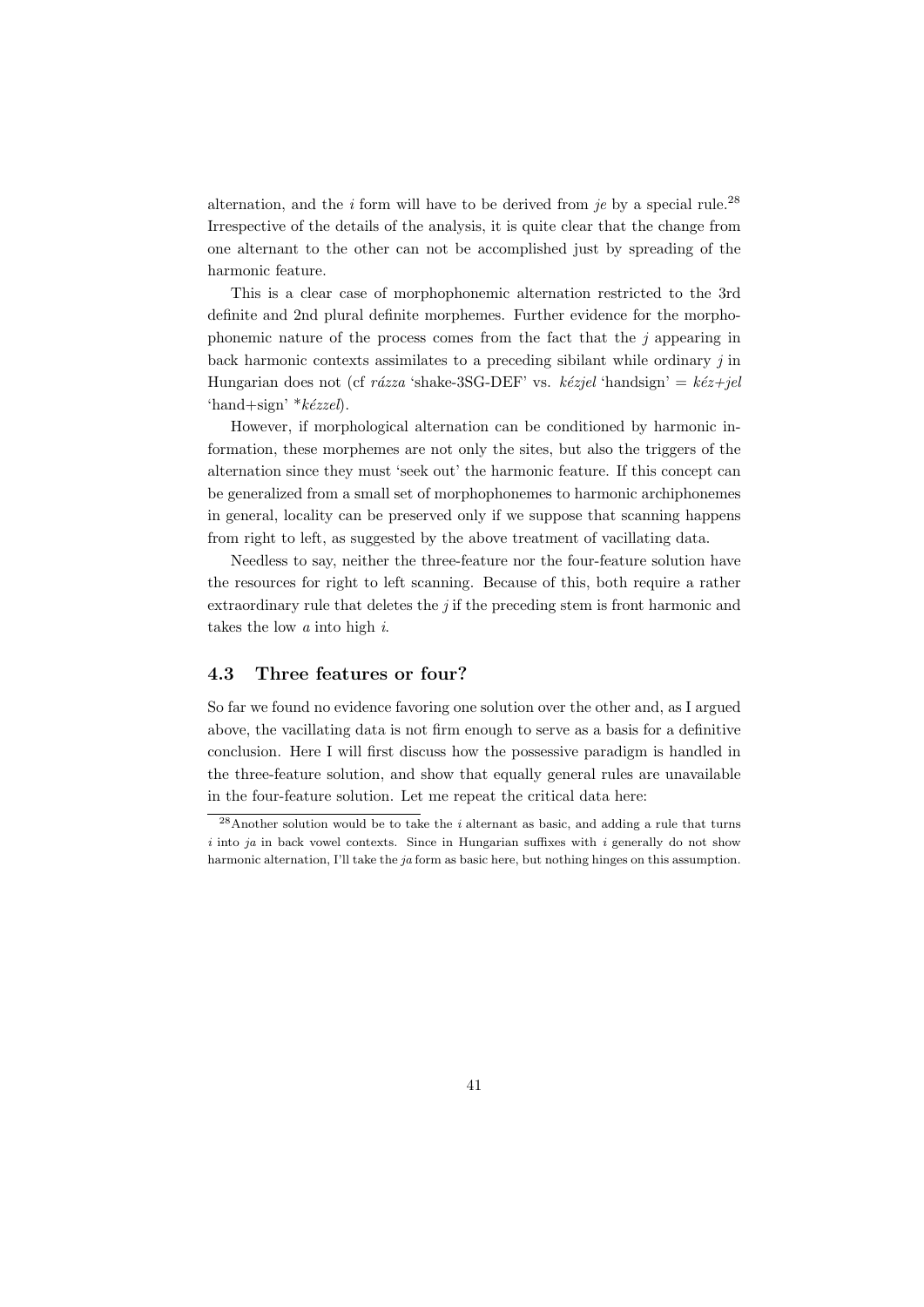alternation, and the *i* form will have to be derived from *je* by a special rule.<sup>28</sup> Irrespective of the details of the analysis, it is quite clear that the change from one alternant to the other can not be accomplished just by spreading of the harmonic feature.

This is a clear case of morphophonemic alternation restricted to the 3rd definite and 2nd plural definite morphemes. Further evidence for the morphophonemic nature of the process comes from the fact that the  $j$  appearing in back harmonic contexts assimilates to a preceding sibilant while ordinary j in Hungarian does not (cf rázza 'shake-3SG-DEF' vs. kézjel 'handsign' = kéz+jel 'hand+sign'  $*k\acute{e}zzel$ ).

However, if morphological alternation can be conditioned by harmonic information, these morphemes are not only the sites, but also the triggers of the alternation since they must 'seek out' the harmonic feature. If this concept can be generalized from a small set of morphophonemes to harmonic archiphonemes in general, locality can be preserved only if we suppose that scanning happens from right to left, as suggested by the above treatment of vacillating data.

Needless to say, neither the three-feature nor the four-feature solution have the resources for right to left scanning. Because of this, both require a rather extraordinary rule that deletes the  $j$  if the preceding stem is front harmonic and takes the low a into high i.

## 4.3 Three features or four?

So far we found no evidence favoring one solution over the other and, as I argued above, the vacillating data is not firm enough to serve as a basis for a definitive conclusion. Here I will first discuss how the possessive paradigm is handled in the three-feature solution, and show that equally general rules are unavailable in the four-feature solution. Let me repeat the critical data here:

 $^{28}$ Another solution would be to take the *i* alternant as basic, and adding a rule that turns i into ja in back vowel contexts. Since in Hungarian suffixes with i generally do not show harmonic alternation, I'll take the ja form as basic here, but nothing hinges on this assumption.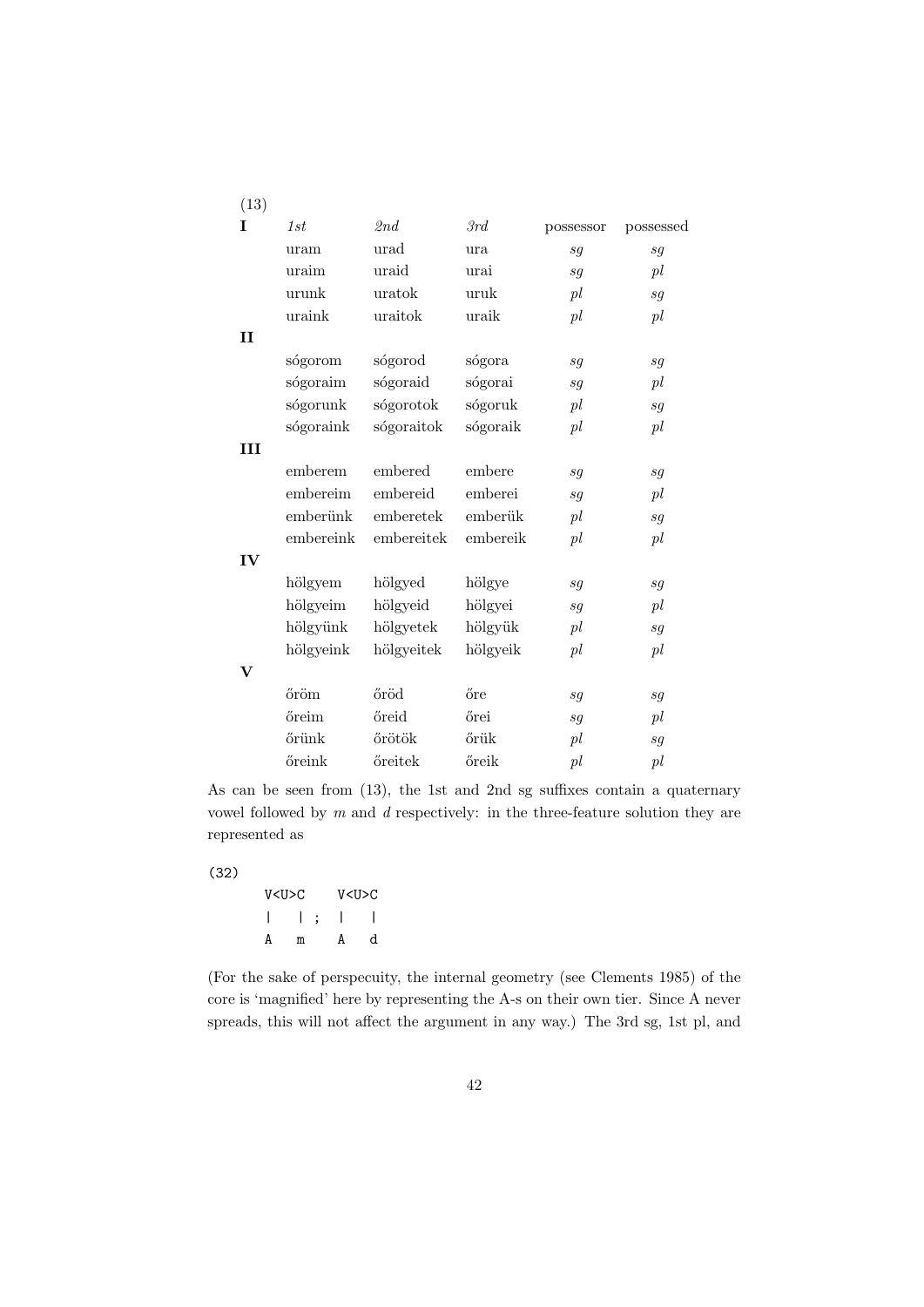| (13)         |           |            |          |           |                            |
|--------------|-----------|------------|----------|-----------|----------------------------|
| I            | 1st       | 2nd        | 3rd      | possessor | possessed                  |
|              | uram      | urad       | ura      | sg        | sg                         |
|              | uraim     | uraid      | urai     | sq        | pl                         |
|              | urunk     | uratok     | uruk     | pl        | sg                         |
|              | uraink    | uraitok    | uraik    | pl        | pl                         |
| $\mathbf{I}$ |           |            |          |           |                            |
|              | sógorom   | sógorod    | sógora   | sg        | sg                         |
|              | sógoraim  | sógoraid   | sógorai  | sg        | pl                         |
|              | sógorunk  | sógorotok  | sógoruk  | pl        | sg                         |
|              | sógoraink | sógoraitok | sógoraik | pl        | pl                         |
| Ш            |           |            |          |           |                            |
|              | emberem   | embered    | embere   | sg        | sg                         |
|              | embereim  | embereid   | emberei  | sg        | pl                         |
|              | emberünk  | emberetek  | emberük  | pl        | sg                         |
|              | embereink | embereitek | embereik | pl        | pl                         |
| IV           |           |            |          |           |                            |
|              | hölgyem   | hölgyed    | hölgye   | sg        | $\mathfrak{s}\mathfrak{g}$ |
|              | hölgyeim  | hölgyeid   | hölgyei  | sg        | pl                         |
|              | hölgyünk  | hölgyetek  | hölgyük  | pl        | sg                         |
|              | hölgyeink | hölgyeitek | hölgyeik | pl        | pl                         |
| $\mathbf{V}$ |           |            |          |           |                            |
|              | őröm      | őröd       | őre      | sg        | sg                         |
|              | őreim     | őreid      | őrei     | sg        | pl                         |
|              | őrünk     | őrötök     | őrük     | pl        | sg                         |
|              | őreink    | őreitek    | őreik    | pl        | pl                         |

As can be seen from (13), the 1st and 2nd sg suffixes contain a quaternary vowel followed by  $m$  and  $d$  respectively: in the three-feature solution they are represented as

### (32)

V<U>C V<U>C | | ; | | A m A d

(For the sake of perspecuity, the internal geometry (see Clements 1985) of the core is 'magnified' here by representing the A-s on their own tier. Since A never spreads, this will not affect the argument in any way.) The 3rd sg, 1st pl, and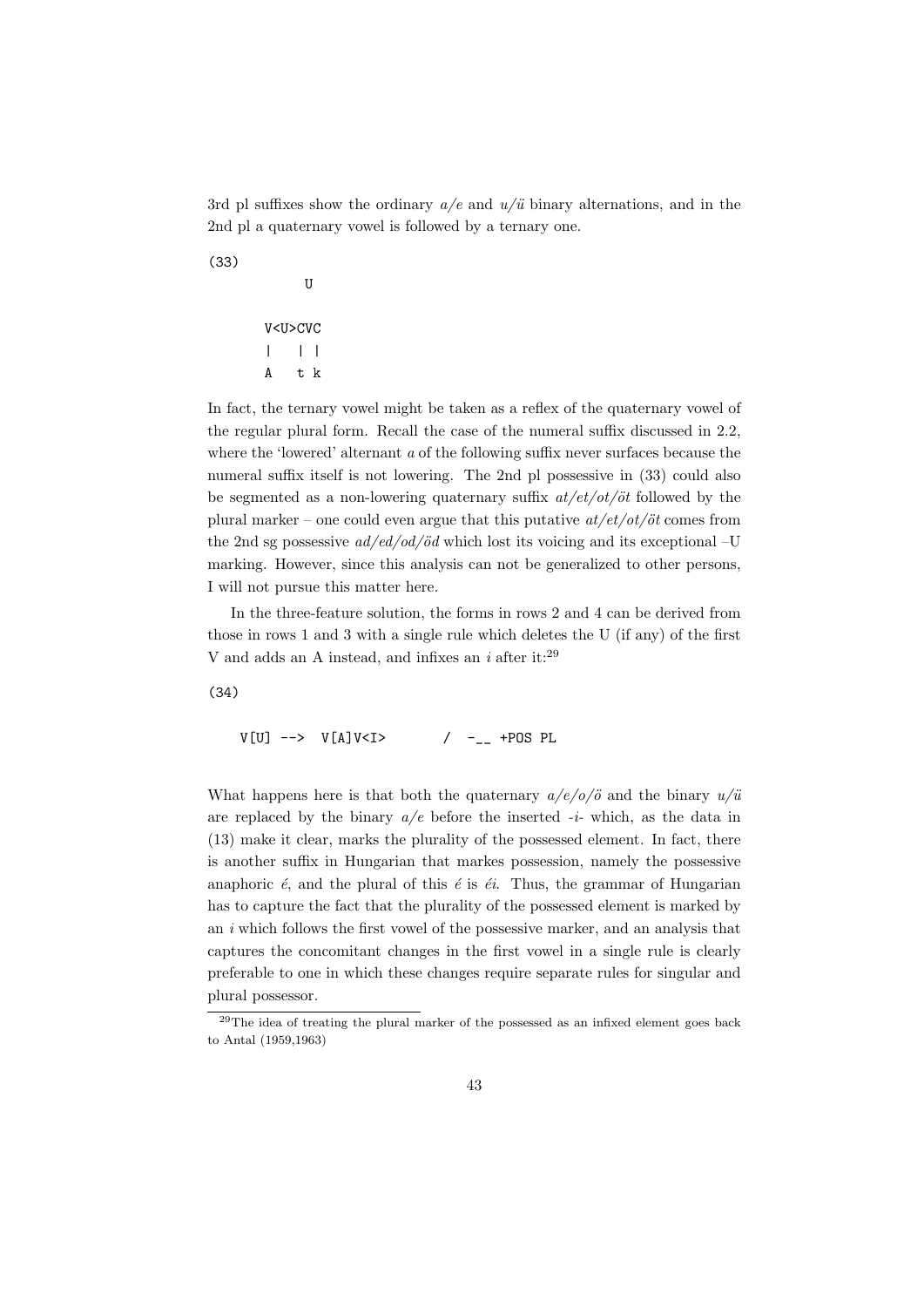3rd pl suffixes show the ordinary  $a/e$  and  $u/\ddot{u}$  binary alternations, and in the 2nd pl a quaternary vowel is followed by a ternary one.

(33)

V<U>CVC | | | A t k

U

In fact, the ternary vowel might be taken as a reflex of the quaternary vowel of the regular plural form. Recall the case of the numeral suffix discussed in 2.2, where the 'lowered' alternant a of the following suffix never surfaces because the numeral suffix itself is not lowering. The 2nd pl possessive in (33) could also be segmented as a non-lowering quaternary suffix  $at/et/ot/öt$  followed by the plural marker – one could even argue that this putative  $at/et/ot/öt$  comes from the 2nd sg possessive  $ad/ed/od/öd$  which lost its voicing and its exceptional –U marking. However, since this analysis can not be generalized to other persons, I will not pursue this matter here.

In the three-feature solution, the forms in rows 2 and 4 can be derived from those in rows 1 and 3 with a single rule which deletes the U (if any) of the first V and adds an A instead, and infixes an i after it: $^{29}$ 

(34)

 $V[U]$  -->  $V[A]V < I >$  / -\_ +POS PL

What happens here is that both the quaternary  $a/e/o/\ddot{o}$  and the binary  $u/\ddot{u}$ are replaced by the binary  $a/e$  before the inserted  $-i$ - which, as the data in (13) make it clear, marks the plurality of the possessed element. In fact, there is another suffix in Hungarian that markes possession, namely the possessive anaphoric  $\acute{e}$ , and the plural of this  $\acute{e}$  is  $\acute{e}i$ . Thus, the grammar of Hungarian has to capture the fact that the plurality of the possessed element is marked by an i which follows the first vowel of the possessive marker, and an analysis that captures the concomitant changes in the first vowel in a single rule is clearly preferable to one in which these changes require separate rules for singular and plural possessor.

<sup>29</sup>The idea of treating the plural marker of the possessed as an infixed element goes back to Antal (1959,1963)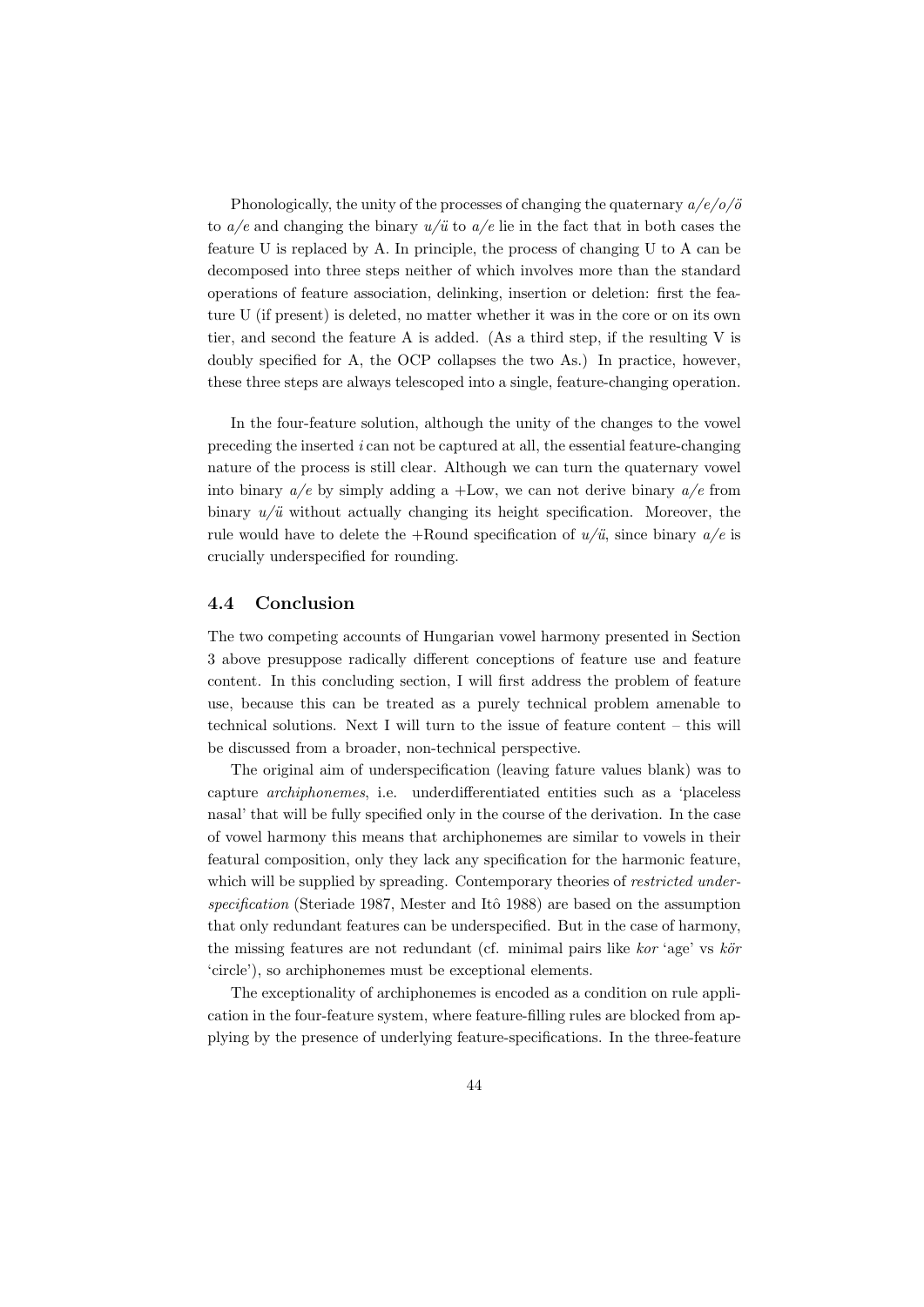Phonologically, the unity of the processes of changing the quaternary  $a/e/o/\ddot{o}$ to  $a/e$  and changing the binary  $u/\ddot{u}$  to  $a/e$  lie in the fact that in both cases the feature U is replaced by A. In principle, the process of changing U to A can be decomposed into three steps neither of which involves more than the standard operations of feature association, delinking, insertion or deletion: first the feature U (if present) is deleted, no matter whether it was in the core or on its own tier, and second the feature A is added. (As a third step, if the resulting V is doubly specified for A, the OCP collapses the two As.) In practice, however, these three steps are always telescoped into a single, feature-changing operation.

In the four-feature solution, although the unity of the changes to the vowel preceding the inserted  $i$  can not be captured at all, the essential feature-changing nature of the process is still clear. Although we can turn the quaternary vowel into binary  $a/e$  by simply adding a +Low, we can not derive binary  $a/e$  from binary  $u/\ddot{u}$  without actually changing its height specification. Moreover, the rule would have to delete the +Round specification of  $u/\ddot{u}$ , since binary  $a/e$  is crucially underspecified for rounding.

## 4.4 Conclusion

The two competing accounts of Hungarian vowel harmony presented in Section 3 above presuppose radically different conceptions of feature use and feature content. In this concluding section, I will first address the problem of feature use, because this can be treated as a purely technical problem amenable to technical solutions. Next I will turn to the issue of feature content – this will be discussed from a broader, non-technical perspective.

The original aim of underspecification (leaving fature values blank) was to capture archiphonemes, i.e. underdifferentiated entities such as a 'placeless nasal' that will be fully specified only in the course of the derivation. In the case of vowel harmony this means that archiphonemes are similar to vowels in their featural composition, only they lack any specification for the harmonic feature, which will be supplied by spreading. Contemporary theories of restricted under $specification$  (Steriade 1987, Mester and Itô 1988) are based on the assumption that only redundant features can be underspecified. But in the case of harmony, the missing features are not redundant (cf. minimal pairs like kor 'age' vs  $k\ddot{o}r$ 'circle'), so archiphonemes must be exceptional elements.

The exceptionality of archiphonemes is encoded as a condition on rule application in the four-feature system, where feature-filling rules are blocked from applying by the presence of underlying feature-specifications. In the three-feature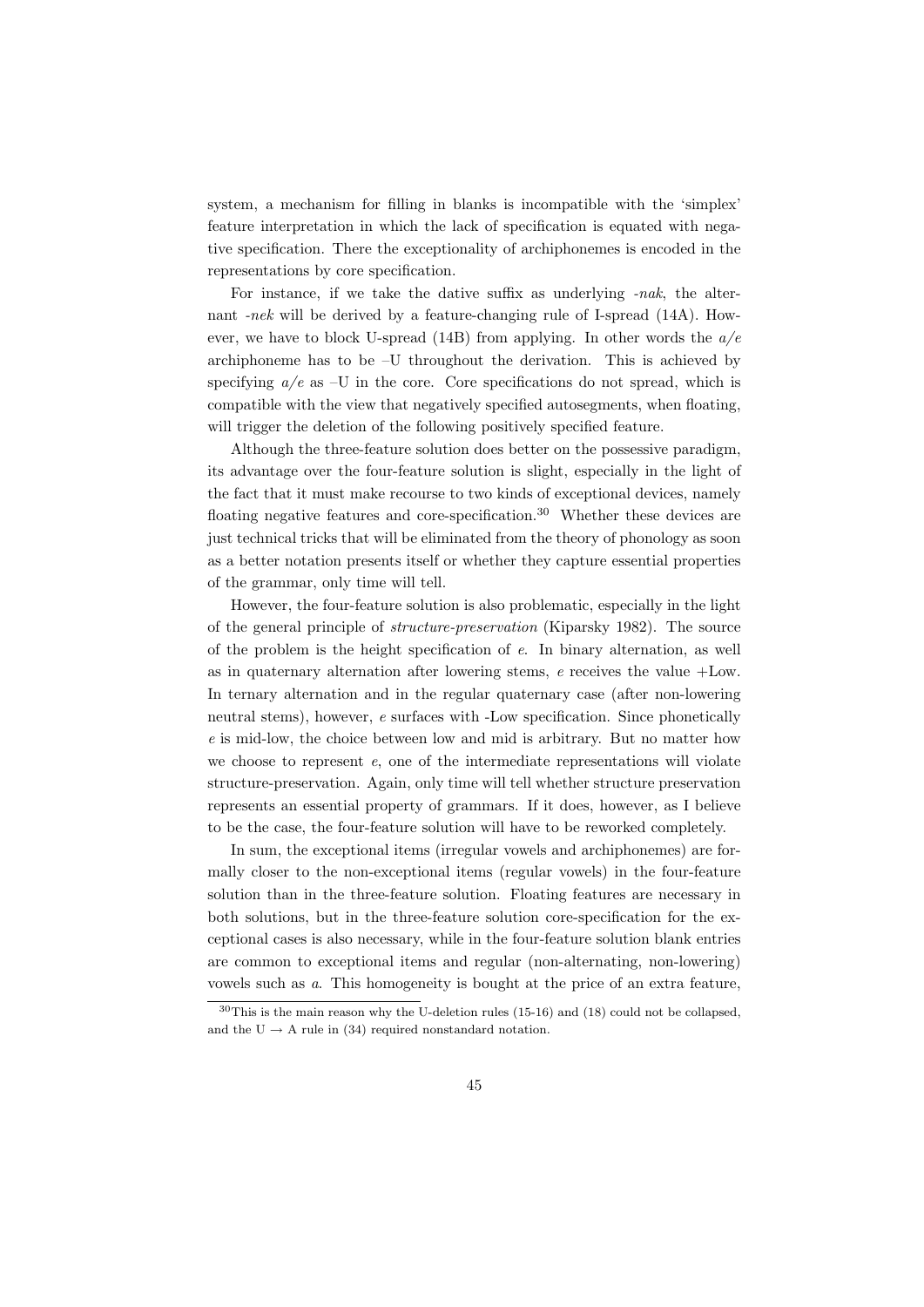system, a mechanism for filling in blanks is incompatible with the 'simplex' feature interpretation in which the lack of specification is equated with negative specification. There the exceptionality of archiphonemes is encoded in the representations by core specification.

For instance, if we take the dative suffix as underlying -nak, the alternant -nek will be derived by a feature-changing rule of I-spread (14A). However, we have to block U-spread (14B) from applying. In other words the  $a/e$ archiphoneme has to be –U throughout the derivation. This is achieved by specifying  $a/e$  as  $-U$  in the core. Core specifications do not spread, which is compatible with the view that negatively specified autosegments, when floating, will trigger the deletion of the following positively specified feature.

Although the three-feature solution does better on the possessive paradigm, its advantage over the four-feature solution is slight, especially in the light of the fact that it must make recourse to two kinds of exceptional devices, namely floating negative features and core-specification.<sup>30</sup> Whether these devices are just technical tricks that will be eliminated from the theory of phonology as soon as a better notation presents itself or whether they capture essential properties of the grammar, only time will tell.

However, the four-feature solution is also problematic, especially in the light of the general principle of structure-preservation (Kiparsky 1982). The source of the problem is the height specification of e. In binary alternation, as well as in quaternary alternation after lowering stems,  $e$  receives the value  $+$ Low. In ternary alternation and in the regular quaternary case (after non-lowering neutral stems), however, e surfaces with -Low specification. Since phonetically e is mid-low, the choice between low and mid is arbitrary. But no matter how we choose to represent  $e$ , one of the intermediate representations will violate structure-preservation. Again, only time will tell whether structure preservation represents an essential property of grammars. If it does, however, as I believe to be the case, the four-feature solution will have to be reworked completely.

In sum, the exceptional items (irregular vowels and archiphonemes) are formally closer to the non-exceptional items (regular vowels) in the four-feature solution than in the three-feature solution. Floating features are necessary in both solutions, but in the three-feature solution core-specification for the exceptional cases is also necessary, while in the four-feature solution blank entries are common to exceptional items and regular (non-alternating, non-lowering) vowels such as a. This homogeneity is bought at the price of an extra feature,

 $30$ This is the main reason why the U-deletion rules (15-16) and (18) could not be collapsed, and the U  $\rightarrow$  A rule in (34) required nonstandard notation.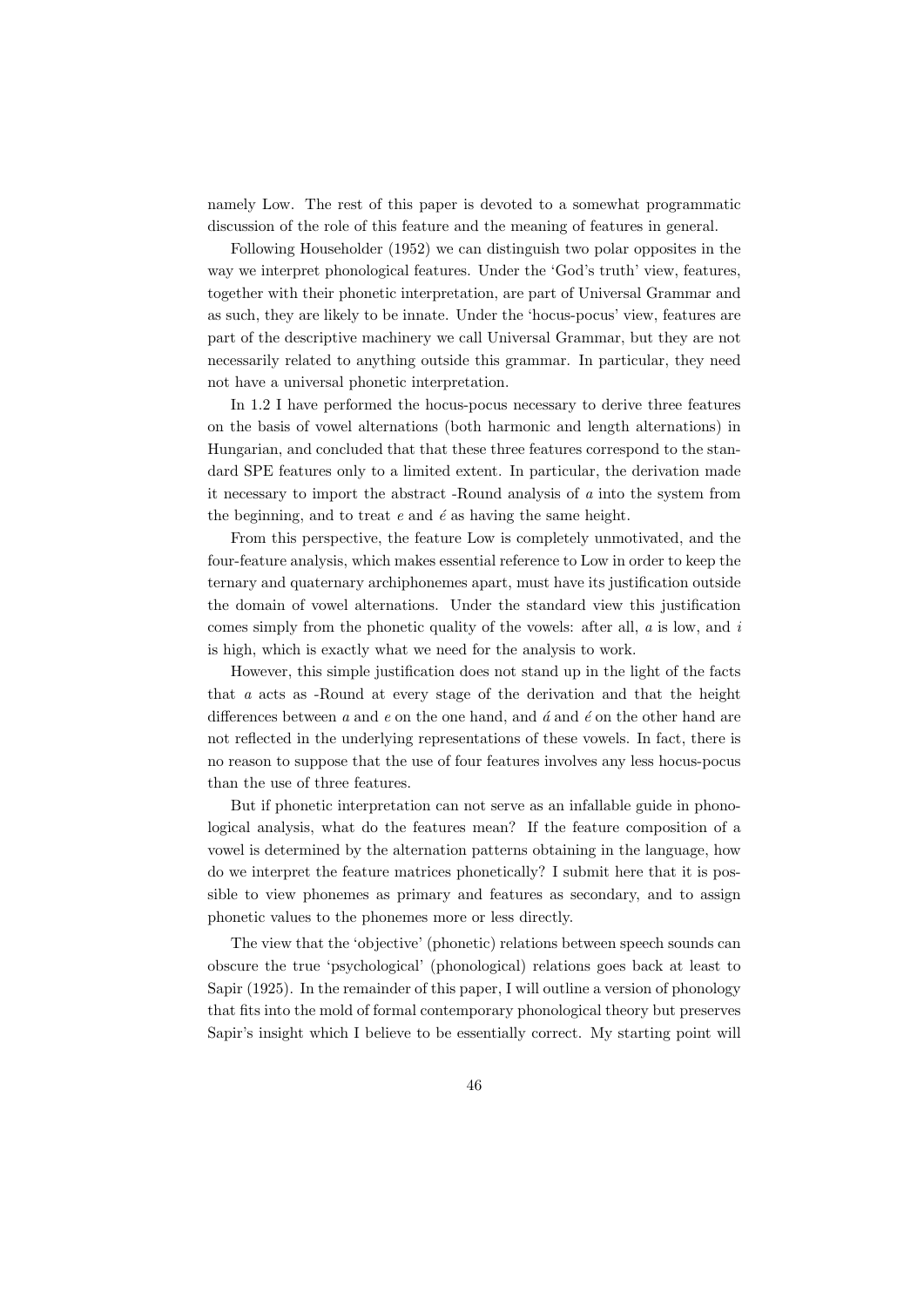namely Low. The rest of this paper is devoted to a somewhat programmatic discussion of the role of this feature and the meaning of features in general.

Following Householder (1952) we can distinguish two polar opposites in the way we interpret phonological features. Under the 'God's truth' view, features, together with their phonetic interpretation, are part of Universal Grammar and as such, they are likely to be innate. Under the 'hocus-pocus' view, features are part of the descriptive machinery we call Universal Grammar, but they are not necessarily related to anything outside this grammar. In particular, they need not have a universal phonetic interpretation.

In 1.2 I have performed the hocus-pocus necessary to derive three features on the basis of vowel alternations (both harmonic and length alternations) in Hungarian, and concluded that that these three features correspond to the standard SPE features only to a limited extent. In particular, the derivation made it necessary to import the abstract -Round analysis of a into the system from the beginning, and to treat  $e$  and  $\acute{e}$  as having the same height.

From this perspective, the feature Low is completely unmotivated, and the four-feature analysis, which makes essential reference to Low in order to keep the ternary and quaternary archiphonemes apart, must have its justification outside the domain of vowel alternations. Under the standard view this justification comes simply from the phonetic quality of the vowels: after all,  $a$  is low, and  $i$ is high, which is exactly what we need for the analysis to work.

However, this simple justification does not stand up in the light of the facts that a acts as -Round at every stage of the derivation and that the height differences between  $a$  and  $e$  on the one hand, and  $\acute{a}$  and  $\acute{e}$  on the other hand are not reflected in the underlying representations of these vowels. In fact, there is no reason to suppose that the use of four features involves any less hocus-pocus than the use of three features.

But if phonetic interpretation can not serve as an infallable guide in phonological analysis, what do the features mean? If the feature composition of a vowel is determined by the alternation patterns obtaining in the language, how do we interpret the feature matrices phonetically? I submit here that it is possible to view phonemes as primary and features as secondary, and to assign phonetic values to the phonemes more or less directly.

The view that the 'objective' (phonetic) relations between speech sounds can obscure the true 'psychological' (phonological) relations goes back at least to Sapir (1925). In the remainder of this paper, I will outline a version of phonology that fits into the mold of formal contemporary phonological theory but preserves Sapir's insight which I believe to be essentially correct. My starting point will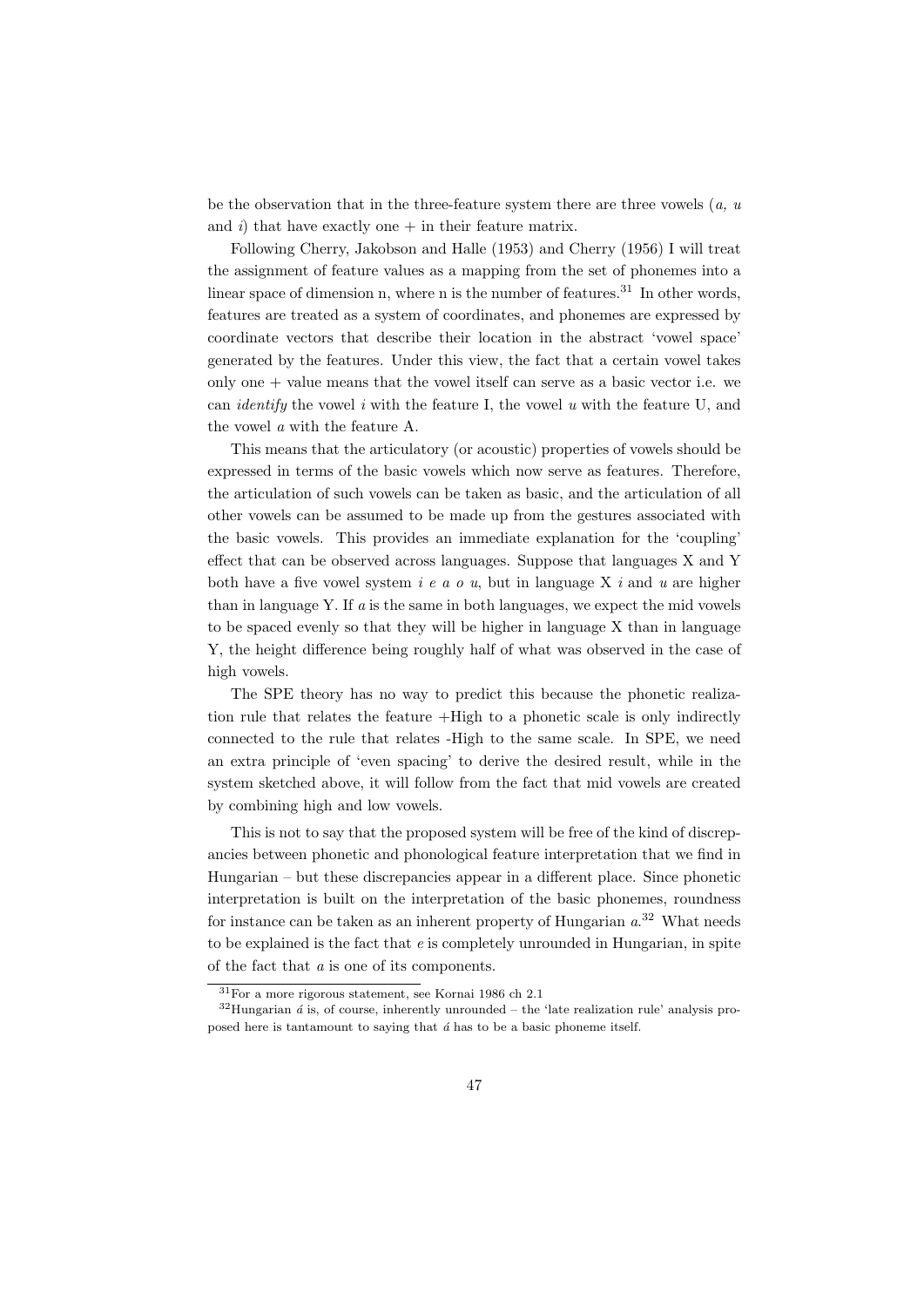be the observation that in the three-feature system there are three vowels  $(a, u)$ and i) that have exactly one  $+$  in their feature matrix.

Following Cherry, Jakobson and Halle (1953) and Cherry (1956) I will treat the assignment of feature values as a mapping from the set of phonemes into a linear space of dimension n, where n is the number of features.<sup>31</sup> In other words, features are treated as a system of coordinates, and phonemes are expressed by coordinate vectors that describe their location in the abstract 'vowel space' generated by the features. Under this view, the fact that a certain vowel takes only one  $+$  value means that the vowel itself can serve as a basic vector i.e. we can *identify* the vowel i with the feature I, the vowel u with the feature U, and the vowel a with the feature A.

This means that the articulatory (or acoustic) properties of vowels should be expressed in terms of the basic vowels which now serve as features. Therefore, the articulation of such vowels can be taken as basic, and the articulation of all other vowels can be assumed to be made up from the gestures associated with the basic vowels. This provides an immediate explanation for the 'coupling' effect that can be observed across languages. Suppose that languages X and Y both have a five vowel system  $i \in a \circ u$ , but in language X i and u are higher than in language Y. If  $\alpha$  is the same in both languages, we expect the mid vowels to be spaced evenly so that they will be higher in language X than in language Y, the height difference being roughly half of what was observed in the case of high vowels.

The SPE theory has no way to predict this because the phonetic realization rule that relates the feature +High to a phonetic scale is only indirectly connected to the rule that relates -High to the same scale. In SPE, we need an extra principle of 'even spacing' to derive the desired result, while in the system sketched above, it will follow from the fact that mid vowels are created by combining high and low vowels.

This is not to say that the proposed system will be free of the kind of discrepancies between phonetic and phonological feature interpretation that we find in Hungarian – but these discrepancies appear in a different place. Since phonetic interpretation is built on the interpretation of the basic phonemes, roundness for instance can be taken as an inherent property of Hungarian  $a^{32}$  What needs to be explained is the fact that  $e$  is completely unrounded in Hungarian, in spite of the fact that a is one of its components.

<sup>31</sup>For a more rigorous statement, see Kornai 1986 ch 2.1

 $32$ Hungarian  $\acute{a}$  is, of course, inherently unrounded – the 'late realization rule' analysis proposed here is tantamount to saying that  $\acute{a}$  has to be a basic phoneme itself.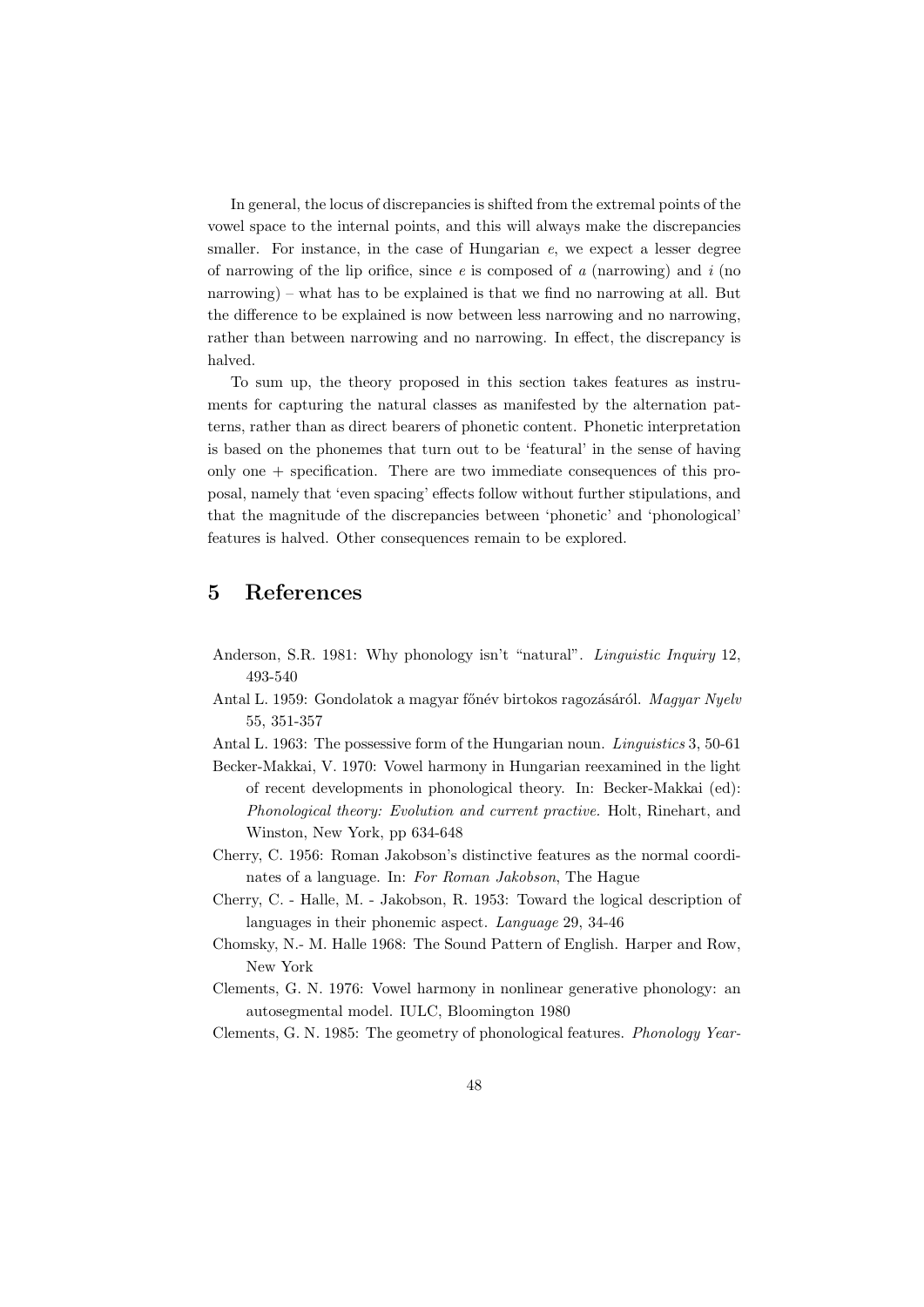In general, the locus of discrepancies is shifted from the extremal points of the vowel space to the internal points, and this will always make the discrepancies smaller. For instance, in the case of Hungarian  $e$ , we expect a lesser degree of narrowing of the lip orifice, since  $e$  is composed of  $a$  (narrowing) and  $i$  (no narrowing) – what has to be explained is that we find no narrowing at all. But the difference to be explained is now between less narrowing and no narrowing, rather than between narrowing and no narrowing. In effect, the discrepancy is halved.

To sum up, the theory proposed in this section takes features as instruments for capturing the natural classes as manifested by the alternation patterns, rather than as direct bearers of phonetic content. Phonetic interpretation is based on the phonemes that turn out to be 'featural' in the sense of having only one + specification. There are two immediate consequences of this proposal, namely that 'even spacing' effects follow without further stipulations, and that the magnitude of the discrepancies between 'phonetic' and 'phonological' features is halved. Other consequences remain to be explored.

# 5 References

- Anderson, S.R. 1981: Why phonology isn't "natural". Linguistic Inquiry 12, 493-540
- Antal L. 1959: Gondolatok a magyar főnév birtokos ragozásáról. Magyar Nyelv 55, 351-357
- Antal L. 1963: The possessive form of the Hungarian noun. Linguistics 3, 50-61
- Becker-Makkai, V. 1970: Vowel harmony in Hungarian reexamined in the light of recent developments in phonological theory. In: Becker-Makkai (ed): Phonological theory: Evolution and current practive. Holt, Rinehart, and Winston, New York, pp 634-648
- Cherry, C. 1956: Roman Jakobson's distinctive features as the normal coordinates of a language. In: For Roman Jakobson, The Hague
- Cherry, C. Halle, M. Jakobson, R. 1953: Toward the logical description of languages in their phonemic aspect. Language 29, 34-46
- Chomsky, N.- M. Halle 1968: The Sound Pattern of English. Harper and Row, New York
- Clements, G. N. 1976: Vowel harmony in nonlinear generative phonology: an autosegmental model. IULC, Bloomington 1980

Clements, G. N. 1985: The geometry of phonological features. Phonology Year-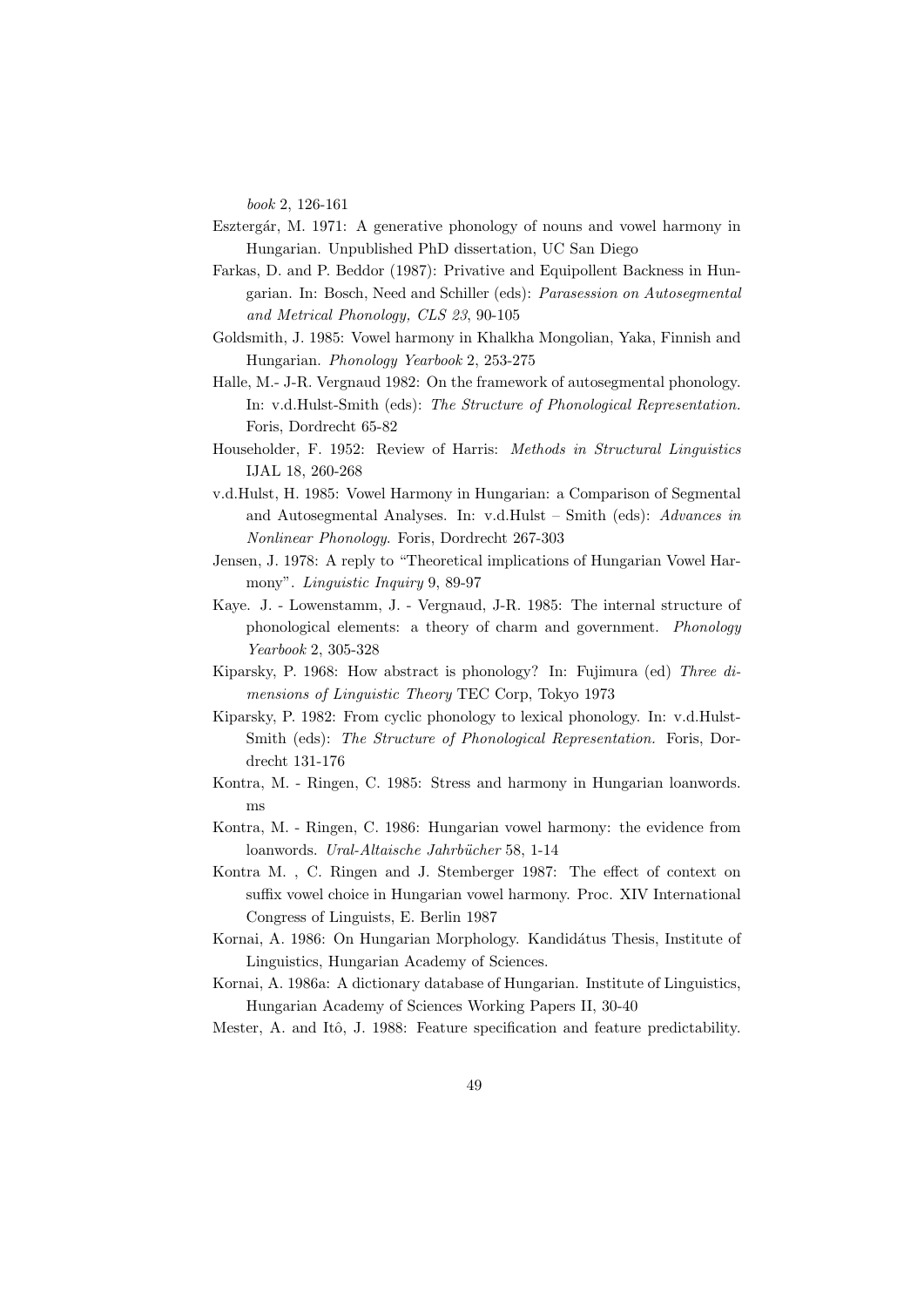book 2, 126-161

- Esztergár, M. 1971: A generative phonology of nouns and vowel harmony in Hungarian. Unpublished PhD dissertation, UC San Diego
- Farkas, D. and P. Beddor (1987): Privative and Equipollent Backness in Hungarian. In: Bosch, Need and Schiller (eds): Parasession on Autosegmental and Metrical Phonology, CLS 23, 90-105
- Goldsmith, J. 1985: Vowel harmony in Khalkha Mongolian, Yaka, Finnish and Hungarian. Phonology Yearbook 2, 253-275
- Halle, M.- J-R. Vergnaud 1982: On the framework of autosegmental phonology. In: v.d.Hulst-Smith (eds): The Structure of Phonological Representation. Foris, Dordrecht 65-82
- Householder, F. 1952: Review of Harris: Methods in Structural Linguistics IJAL 18, 260-268
- v.d.Hulst, H. 1985: Vowel Harmony in Hungarian: a Comparison of Segmental and Autosegmental Analyses. In: v.d.Hulst – Smith (eds): Advances in Nonlinear Phonology. Foris, Dordrecht 267-303
- Jensen, J. 1978: A reply to "Theoretical implications of Hungarian Vowel Harmony". Linguistic Inquiry 9, 89-97
- Kaye. J. Lowenstamm, J. Vergnaud, J-R. 1985: The internal structure of phonological elements: a theory of charm and government. Phonology Yearbook 2, 305-328
- Kiparsky, P. 1968: How abstract is phonology? In: Fujimura (ed) Three dimensions of Linguistic Theory TEC Corp, Tokyo 1973
- Kiparsky, P. 1982: From cyclic phonology to lexical phonology. In: v.d.Hulst-Smith (eds): The Structure of Phonological Representation. Foris, Dordrecht 131-176
- Kontra, M. Ringen, C. 1985: Stress and harmony in Hungarian loanwords. ms
- Kontra, M. Ringen, C. 1986: Hungarian vowel harmony: the evidence from loanwords. Ural-Altaische Jahrbücher 58, 1-14
- Kontra M. , C. Ringen and J. Stemberger 1987: The effect of context on suffix vowel choice in Hungarian vowel harmony. Proc. XIV International Congress of Linguists, E. Berlin 1987
- Kornai, A. 1986: On Hungarian Morphology. Kandidátus Thesis, Institute of Linguistics, Hungarian Academy of Sciences.
- Kornai, A. 1986a: A dictionary database of Hungarian. Institute of Linguistics, Hungarian Academy of Sciences Working Papers II, 30-40

Mester, A. and Itô, J. 1988: Feature specification and feature predictability.